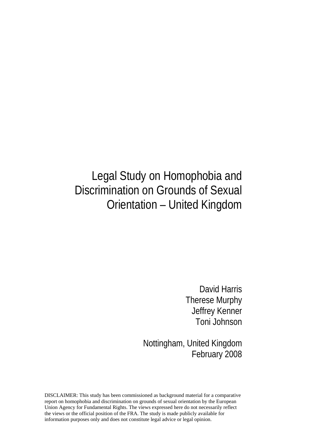# Legal Study on Homophobia and Discrimination on Grounds of Sexual Orientation – United Kingdom

David Harris Therese Murphy Jeffrey Kenner Toni Johnson

Nottingham, United Kingdom February 2008

DISCLAIMER: This study has been commissioned as background material for a comparative report on homophobia and discrimination on grounds of sexual orientation by the European Union Agency for Fundamental Rights. The views expressed here do not necessarily reflect the views or the official position of the FRA. The study is made publicly available for information purposes only and does not constitute legal advice or legal opinion.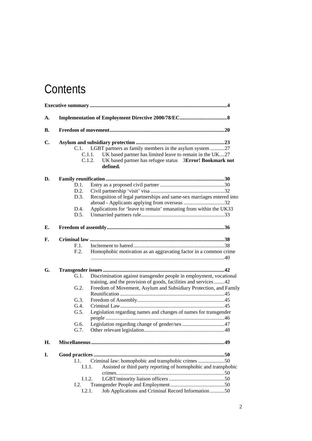# **Contents**

| A. |         |                                                                           |  |  |
|----|---------|---------------------------------------------------------------------------|--|--|
| В. |         |                                                                           |  |  |
| C. |         |                                                                           |  |  |
|    | C.1.    | LGBT partners as family members in the asylum system 27                   |  |  |
|    |         | UK based partner has limited leave to remain in the UK27<br>C.1.1.        |  |  |
|    |         | UK based partner has refugee status 3Error! Bookmark not<br>C.1.2.        |  |  |
|    |         | defined.                                                                  |  |  |
| D. |         |                                                                           |  |  |
|    | D.1.    |                                                                           |  |  |
|    | D.2.    |                                                                           |  |  |
|    | D.3.    | Recognition of legal partnerships and same-sex marriages entered into     |  |  |
|    |         |                                                                           |  |  |
|    | D.4.    | Applications for 'leave to remain' emanating from within the UK33         |  |  |
|    | D.5.    |                                                                           |  |  |
|    |         |                                                                           |  |  |
| Е. |         |                                                                           |  |  |
| F. |         |                                                                           |  |  |
|    | F.1.    |                                                                           |  |  |
|    | F.2.    | Homophobic motivation as an aggravating factor in a common crime          |  |  |
|    |         |                                                                           |  |  |
| G. |         |                                                                           |  |  |
|    | G.1.    | Discrimination against transgender people in employment, vocational       |  |  |
|    |         | training, and the provision of goods, facilities and services 42          |  |  |
|    | G.2.    | Freedom of Movement, Asylum and Subsidiary Protection, and Family         |  |  |
|    |         |                                                                           |  |  |
|    | $G.3$ . |                                                                           |  |  |
|    | G.4.    |                                                                           |  |  |
|    | G.5.    | Legislation regarding names and changes of names for transgender          |  |  |
|    |         |                                                                           |  |  |
|    | G.6.    |                                                                           |  |  |
|    | G.7.    |                                                                           |  |  |
| Η. |         |                                                                           |  |  |
| I. |         |                                                                           |  |  |
|    | 1.1.    | Criminal law: homophobic and transphobic crimes 50                        |  |  |
|    |         | Assisted or third party reporting of homophobic and transphobic<br>I.1.1. |  |  |
|    |         |                                                                           |  |  |
|    |         | I.1.2.                                                                    |  |  |
|    | I.2.    |                                                                           |  |  |
|    |         | Job Applications and Criminal Record Information 50<br>I.2.1.             |  |  |
|    |         |                                                                           |  |  |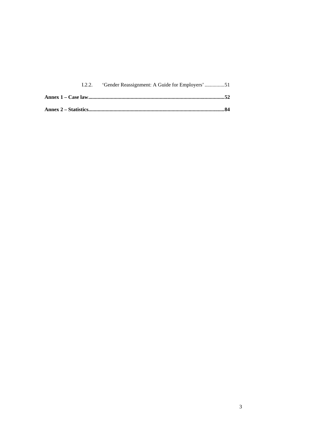| 1.2.2. |  |
|--------|--|
|        |  |
|        |  |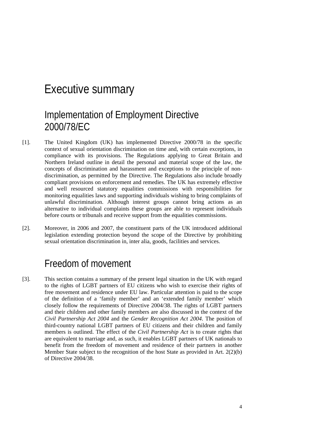### Executive summary

#### Implementation of Employment Directive 2000/78/EC

- [1]. The United Kingdom (UK) has implemented Directive 2000/78 in the specific context of sexual orientation discrimination on time and, with certain exceptions, in compliance with its provisions. The Regulations applying to Great Britain and Northern Ireland outline in detail the personal and material scope of the law, the concepts of discrimination and harassment and exceptions to the principle of nondiscrimination, as permitted by the Directive. The Regulations also include broadly compliant provisions on enforcement and remedies. The UK has extremely effective and well resourced statutory equalities commissions with responsibilities for monitoring equalities laws and supporting individuals wishing to bring complaints of unlawful discrimination. Although interest groups cannot bring actions as an alternative to individual complaints these groups are able to represent individuals before courts or tribunals and receive support from the equalities commissions.
- [2]. Moreover, in 2006 and 2007, the constituent parts of the UK introduced additional legislation extending protection beyond the scope of the Directive by prohibiting sexual orientation discrimination in, inter alia, goods, facilities and services.

#### Freedom of movement

[3]. This section contains a summary of the present legal situation in the UK with regard to the rights of LGBT partners of EU citizens who wish to exercise their rights of free movement and residence under EU law. Particular attention is paid to the scope of the definition of a 'family member' and an 'extended family member' which closely follow the requirements of Directive 2004/38. The rights of LGBT partners and their children and other family members are also discussed in the context of the *Civil Partnership Act 2004* and the *Gender Recognition Act 2004*. The position of third-country national LGBT partners of EU citizens and their children and family members is outlined. The effect of the *Civil Partnership Act* is to create rights that are equivalent to marriage and, as such, it enables LGBT partners of UK nationals to benefit from the freedom of movement and residence of their partners in another Member State subject to the recognition of the host State as provided in Art. 2(2)(b) of Directive 2004/38.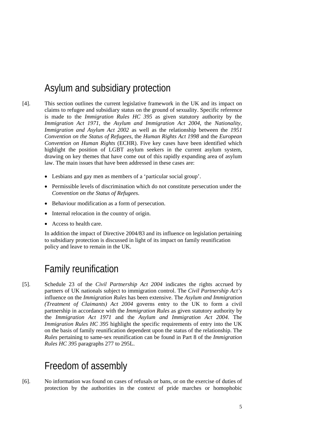### Asylum and subsidiary protection

- [4]. This section outlines the current legislative framework in the UK and its impact on claims to refugee and subsidiary status on the ground of sexuality. Specific reference is made to the *Immigration Rules HC 395* as given statutory authority by the *Immigration Act 1971*, the *Asylum and Immigration Act 2004*, the *Nationality, Immigration and Asylum Act 2002* as well as the relationship between the *1951 Convention on the Status of Refugees*, the *Human Rights Act 1998* and the *European Convention on Human Rights* (ECHR). Five key cases have been identified which highlight the position of LGBT asylum seekers in the current asylum system, drawing on key themes that have come out of this rapidly expanding area of asylum law. The main issues that have been addressed in these cases are:
	- Lesbians and gay men as members of a 'particular social group'.
	- Permissible levels of discrimination which do not constitute persecution under the *Convention on the Status of Refugees*.
	- Behaviour modification as a form of persecution.
	- Internal relocation in the country of origin.
	- Access to health care.

In addition the impact of Directive 2004/83 and its influence on legislation pertaining to subsidiary protection is discussed in light of its impact on family reunification policy and leave to remain in the UK.

#### Family reunification

[5]. Schedule 23 of the *Civil Partnership Act 2004* indicates the rights accrued by partners of UK nationals subject to immigration control. The *Civil Partnership Act's* influence on the *Immigration Rules* has been extensive. The *Asylum and Immigration (Treatment of Claimants) Act 2004* governs entry to the UK to form a civil partnership in accordance with the *Immigration Rules* as given statutory authority by the *Immigration Act 1971* and the *Asylum and Immigration Act 2004*. The *Immigration Rules HC 395* highlight the specific requirements of entry into the UK on the basis of family reunification dependent upon the status of the relationship. The *Rules* pertaining to same-sex reunification can be found in Part 8 of the *Immigration Rules HC 395* paragraphs 277 to 295L.

#### Freedom of assembly

[6]. No information was found on cases of refusals or bans, or on the exercise of duties of protection by the authorities in the context of pride marches or homophobic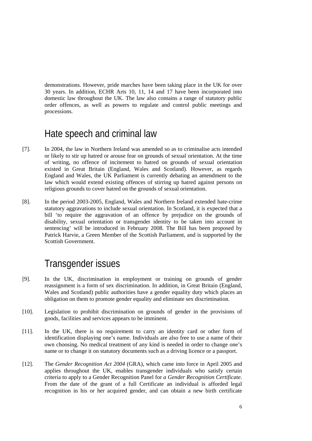demonstrations. However, pride marches have been taking place in the UK for over 30 years. In addition, ECHR Arts 10, 11, 14 and 17 have been incorporated into domestic law throughout the UK. The law also contains a range of statutory public order offences, as well as powers to regulate and control public meetings and processions.

#### Hate speech and criminal law

- [7]. In 2004, the law in Northern Ireland was amended so as to criminalise acts intended or likely to stir up hatred or arouse fear on grounds of sexual orientation. At the time of writing, no offence of incitement to hatred on grounds of sexual orientation existed in Great Britain (England, Wales and Scotland). However, as regards England and Wales, the UK Parliament is currently debating an amendment to the law which would extend existing offences of stirring up hatred against persons on religious grounds to cover hatred on the grounds of sexual orientation.
- [8]. In the period 2003-2005, England, Wales and Northern Ireland extended hate-crime statutory aggravations to include sexual orientation. In Scotland, it is expected that a bill 'to require the aggravation of an offence by prejudice on the grounds of disability, sexual orientation or transgender identity to be taken into account in sentencing' will be introduced in February 2008. The Bill has been proposed by Patrick Harvie, a Green Member of the Scottish Parliament, and is supported by the Scottish Government.

#### Transgender issues

- [9]. In the UK, discrimination in employment or training on grounds of gender reassignment is a form of sex discrimination. In addition, in Great Britain (England, Wales and Scotland) public authorities have a gender equality duty which places an obligation on them to promote gender equality and eliminate sex discrimination.
- [10]. Legislation to prohibit discrimination on grounds of gender in the provisions of goods, facilities and services appears to be imminent.
- [11]. In the UK, there is no requirement to carry an identity card or other form of identification displaying one's name. Individuals are also free to use a name of their own choosing. No medical treatment of any kind is needed in order to change one's name or to change it on statutory documents such as a driving licence or a passport.
- [12]. The *Gender Recognition Act 2004* (GRA), which came into force in April 2005 and applies throughout the UK, enables transgender individuals who satisfy certain criteria to apply to a Gender Recognition Panel for *a Gender Recognition Certificate*. From the date of the grant of a full Certificate an individual is afforded legal recognition in his or her acquired gender, and can obtain a new birth certificate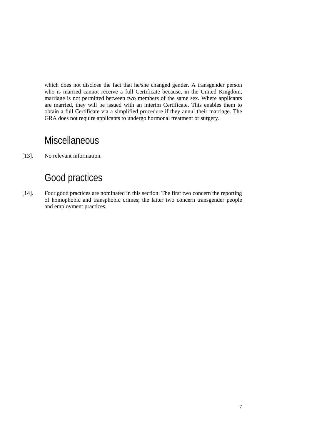which does not disclose the fact that he/she changed gender. A transgender person who is married cannot receive a full Certificate because, in the United Kingdom, marriage is not permitted between two members of the same sex. Where applicants are married, they will be issued with an interim Certificate. This enables them to obtain a full Certificate via a simplified procedure if they annul their marriage. The GRA does not require applicants to undergo hormonal treatment or surgery.

### **Miscellaneous**

[13]. No relevant information.

### Good practices

[14]. Four good practices are nominated in this section. The first two concern the reporting of homophobic and transphobic crimes; the latter two concern transgender people and employment practices.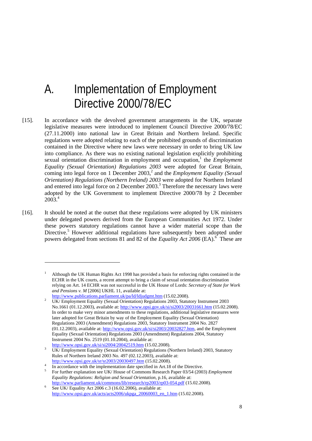# A. Implementation of Employment Directive 2000/78/EC

- [15]. In accordance with the devolved government arrangements in the UK, separate legislative measures were introduced to implement Council Directive 2000/78/EC (27.11.2000) into national law in Great Britain and Northern Ireland. Specific regulations were adopted relating to each of the prohibited grounds of discrimination contained in the Directive where new laws were necessary in order to bring UK law into compliance. As there was no existing national legislation explicitly prohibiting sexual orientation discrimination in employment and occupation,<sup>1</sup> the *Employment Equality (Sexual Orientation) Regulations 2003* were adopted for Great Britain, coming into legal force on 1 December 2003,<sup>2</sup> and the *Employment Equality (Sexual*) *Orientation) Regulations (Northern Ireland) 2003* were adopted for Northern Ireland and entered into legal force on 2 December 2003.<sup>3</sup> Therefore the necessary laws were adopted by the UK Government to implement Directive 2000/78 by 2 December  $2003.<sup>4</sup>$
- [16]. It should be noted at the outset that these regulations were adopted by UK ministers under delegated powers derived from the European Communities Act 1972. Under these powers statutory regulations cannot have a wider material scope than the Directive.<sup>5</sup> However additional regulations have subsequently been adopted under powers delegated from sections 81 and 82 of the *Equality Act 2006* (EA).<sup>6</sup> These are

<sup>1</sup> Although the UK Human Rights Act 1998 has provided a basis for enforcing rights contained in the ECHR in the UK courts, a recent attempt to bring a claim of sexual orientation discrimination relying on Art. 14 ECHR was not successful in the UK House of Lords: *Secretary of State for Work and Pensions v. M* [2006] UKHL 11, available at:

 $\frac{\text{http://www.publications.parliament.uk/pa/d/djudgmt.htm (15.02.2008)}{\text{IJK/Emularumort Earth/} (2008)}$ 

UK/ Employment Equality (Sexual Orientation) Regulations 2003, Statutory Instrument 2003 No.1661 (01.12.2003), available at: http://www.opsi.gov.uk/si/si2003/20031661.htm (15.02.2008). In order to make very minor amendments to these regulations, additional legislative measures were later adopted for Great Britain by way of the Employment Equality (Sexual Orientation) Regulations 2003 (Amendment) Regulations 2003, Statutory Instrument 2004 No. 2827 (01.12.2003), available at: http://www.opsi.gov.uk/si/si2003/20032827.htm, and the Employment Equality (Sexual Orientation) Regulations 2003 (Amendment) Regulations 2004, Statutory Instrument 2004 No. 2519 (01.10.2004), available at: http://www.opsi.gov.uk/si/si2004/20042519.htm (15.02.2008).

UK/ Employment Equality (Sexual Orientation) Regulations (Northern Ireland) 2003, Statutory Rules of Northern Ireland 2003 No. 497 (02.12.2003), available at:

http://www.opsi.gov.uk/sr/sr2003/20030497.htm (15.02.2008). In accordance with the implementation date specified in Art.18 of the Directive.

For further explanation see UK/ House of Commons Research Paper 03/54 (2003) *Employment Equality Regulations: Religion and Sexual Orientation*, p.16, available at: http://www.parliament.uk/commons/lib/research/rp2003/rp03-054.pdf (15.02.2008).

See UK/ Equality Act 2006 c.3 (16.02.2006), available at: http://www.opsi.gov.uk/acts/acts2006/ukpga\_20060003\_en\_1.htm (15.02.2008).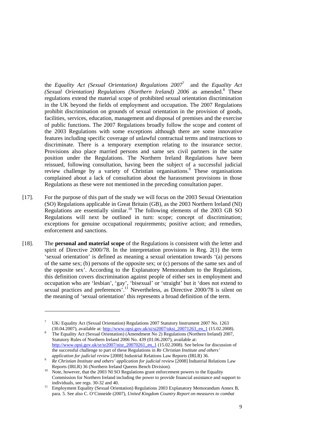the *Equality Act (Sexual Orientation) Regulations 2007*<sup>7</sup> and the *Equality Act* (Sexual Orientation) Regulations (Northern Ireland) 2006 as amended.<sup>8</sup> These regulations extend the material scope of prohibited sexual orientation discrimination in the UK beyond the fields of employment and occupation. The 2007 Regulations prohibit discrimination on grounds of sexual orientation in the provision of goods, facilities, services, education, management and disposal of premises and the exercise of public functions. The 2007 Regulations broadly follow the scope and content of the 2003 Regulations with some exceptions although there are some innovative features including specific coverage of unlawful contractual terms and instructions to discriminate. There is a temporary exemption relating to the insurance sector. Provisions also place married persons and same sex civil partners in the same position under the Regulations. The Northern Ireland Regulations have been reissued, following consultation, having been the subject of a successful judicial review challenge by a variety of Christian organisations.<sup>9</sup> These organisations complained about a lack of consultation about the harassment provisions in those Regulations as these were not mentioned in the preceding consultation paper.

- [17]. For the purpose of this part of the study we will focus on the 2003 Sexual Orientation (SO) Regulations applicable in Great Britain (GB), as the 2003 Northern Ireland (NI) Regulations are essentially similar.<sup>10</sup> The following elements of the 2003 GB SO Regulations will next be outlined in turn: scope; concept of discrimination; exceptions for genuine occupational requirements; positive action; and remedies, enforcement and sanctions.
- [18]. The **personal and material scope** of the Regulations is consistent with the letter and spirit of Directive 2000/78. In the interpretation provisions in Reg. 2(1) the term 'sexual orientation' is defined as meaning a sexual orientation towards '(a) persons of the same sex; (b) persons of the opposite sex; or (c) persons of the same sex and of the opposite sex'. According to the Explanatory Memorandum to the Regulations, this definition covers discrimination against people of either sex in employment and occupation who are 'lesbian', 'gay', 'bisexual' or 'straight' but it 'does not extend to sexual practices and preferences<sup>'.11</sup> Nevertheless, as Directive 2000/78 is silent on the meaning of 'sexual orientation' this represents a broad definition of the term.

<sup>7</sup> UK/ Equality Act (Sexual Orientation) Regulations 2007 Statutory Instrument 2007 No. 1263 (30.04.2007), available at: http://www.opsi.gov.uk/si/si2007/uksi\_20071263\_en\_1 (15.02.2008).

The Equality Act (Sexual Orientation) (Amendment No 2) Regulations (Northern Ireland) 2007, Statutory Rules of Northern Ireland 2006 No. 439 (01.06.2007), available at: http://www.opsi.gov.uk/sr/sr2007/nisr\_20070261\_en\_1 (15.02.2008). See below for discussion of the successful challenge to part of these Regulations in *Re Christian Institute and others'* 

*application for judicial review* [2008] Industrial Relations Law Reports (IRLR) 36. *Re Christian Institute and others' application for judicial review* [2008] Industrial Relations Law

Reports (IRLR) 36 (Northern Ireland Queens Bench Division).<br><sup>10</sup> Note, however, that the 2003 NI SO Regulations grant enforcement powers to the Equality Commission for Northern Ireland including the power to provide financial assistance and support to

individuals, see regs. 30-32 and 40.<br>
Employment Equality (Sexual Orientation) Regulations 2003 Explanatory Memorandum Annex B, para. 5. See also C. O'Cinneide (2007), *United Kingdom Country Report on measures to combat*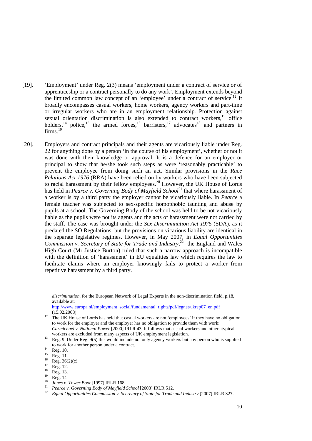- [19]. 'Employment' under Reg. 2(3) means 'employment under a contract of service or of apprenticeship or a contract personally to do any work'. Employment extends beyond the limited common law concept of an 'employee' under a contract of service.<sup>12</sup> It broadly encompasses casual workers, home workers, agency workers and part-time or irregular workers who are in an employment relationship. Protection against sexual orientation discrimination is also extended to contract workers,<sup>13</sup> office holders, $14$  police,  $15$  the armed forces, $16$  barristers, $17$  advocates  $18$  and partners in firms.<sup>19</sup>
- [20]. Employers and contract principals and their agents are vicariously liable under Reg. 22 for anything done by a person 'in the course of his employment', whether or not it was done with their knowledge or approval. It is a defence for an employer or principal to show that he/she took such steps as were 'reasonably practicable' to prevent the employee from doing such an act. Similar provisions in the *Race Relations Act 1976* (RRA) have been relied on by workers who have been subjected to racial harassment by their fellow employees.<sup>20</sup> However, the UK House of Lords has held in *Pearce v. Governing Body of Mayfield School*<sup>21</sup> that where harassment of a worker is by a third party the employer cannot be vicariously liable. In *Pearce* a female teacher was subjected to sex-specific homophobic taunting and abuse by pupils at a school. The Governing Body of the school was held to be not vicariously liable as the pupils were not its agents and the acts of harassment were not carried by the staff. The case was brought under the *Sex Discrimination Act 1975* (SDA), as it predated the SO Regulations, but the provisions on vicarious liability are identical in the separate legislative regimes. However, in May 2007, in *Equal Opportunities Commission v. Secretary of State for Trade and Industry*, 22 the England and Wales High Court (Mr Justice Burton) ruled that such a narrow approach is incompatible with the definition of 'harassment' in EU equalities law which requires the law to facilitate claims where an employer knowingly fails to protect a worker from repetitive harassment by a third party.

*discrimination*, for the European Network of Legal Experts in the non-discrimination field, p.18, available at:

http://www.europa.nl/employment\_social/fundamental\_rights/pdf/legnet/ukrep07\_en.pdf (15.02.2008).

<sup>&</sup>lt;sup>12</sup> The UK House of Lords has held that casual workers are not 'employees' if they have no obligation to work for the employer and the employer has no obligation to provide them with work: *Carmichael v. National Power* [2000] IRLR 43. It follows that casual workers and other atypical

workers are excluded from many aspects of UK employment legislation.<br><sup>13</sup> Reg. 9. Under Reg. 9(5) this would include not only agency workers but any person who is supplied to work for another person under a contract.<br>  $\text{Reg. } 10.$ <br>  $\frac{15}{25}$  Reg. 11

 $^{15}$  Reg. 11.

 $^{16}$  Reg. 36(2)(c).

 $^{17}$  Reg. 12.

 $\frac{18}{19}$  Reg. 13.

 $\frac{19}{20}$  Reg. 14

<sup>20</sup>*Jones v. Tower Boot* [1997] IRLR 168. 21 *Pearce v. Governing Body of Mayfield School* [2003] IRLR 512. 22 *Equal Opportunities Commission v. Secretary of State for Trade and Industry* [2007] IRLR 327.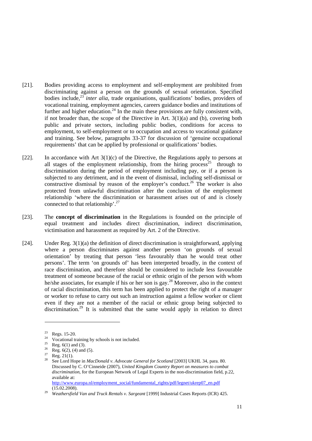- [21]. Bodies providing access to employment and self-employment are prohibited from discriminating against a person on the grounds of sexual orientation. Specified bodies include,<sup>23</sup> *inter alia*, trade organisations, qualifications' bodies, providers of vocational training, employment agencies, careers guidance bodies and institutions of further and higher education.<sup>24</sup> In the main these provisions are fully consistent with, if not broader than, the scope of the Directive in Art.  $3(1)(a)$  and (b), covering both public and private sectors, including public bodies, conditions for access to employment, to self-employment or to occupation and access to vocational guidance and training. See below, paragraphs 33-37 for discussion of 'genuine occupational requirements' that can be applied by professional or qualifications' bodies.
- [22]. In accordance with Art  $3(1)(c)$  of the Directive, the Regulations apply to persons at all stages of the employment relationship, from the hiring process<sup>25</sup> through to discrimination during the period of employment including pay, or if a person is subjected to any detriment, and in the event of dismissal, including self-dismissal or constructive dismissal by reason of the employer's conduct.<sup>26</sup> The worker is also protected from unlawful discrimination after the conclusion of the employment relationship 'where the discrimination or harassment arises out of and is closely connected to that relationship'.27
- [23]. The **concept of discrimination** in the Regulations is founded on the principle of equal treatment and includes direct discrimination, indirect discrimination, victimisation and harassment as required by Art. 2 of the Directive.
- [24]. Under Reg. 3(1)(a) the definition of direct discrimination is straightforward, applying where a person discriminates against another person 'on grounds of sexual orientation' by treating that person 'less favourably than he would treat other persons'. The term 'on grounds of' has been interpreted broadly, in the context of race discrimination, and therefore should be considered to include less favourable treatment of someone because of the racial or ethnic origin of the person with whom he/she associates, for example if his or her son is gay.28 Moreover, also in the context of racial discrimination, this term has been applied to protect the right of a manager or worker to refuse to carry out such an instruction against a fellow worker or client even if they are not a member of the racial or ethnic group being subjected to discrimination.<sup>29</sup> It is submitted that the same would apply in relation to direct

 $\frac{23}{24}$  Regs. 15-20.

<sup>&</sup>lt;sup>24</sup> Vocational training by schools is not included.

 $\frac{25}{26}$  Reg. 6(1) and (3).

 $rac{26}{27}$  Reg. 6(2), (4) and (5).

 $\frac{27}{28}$  Reg. 21(1).

<sup>28</sup> See Lord Hope in *MacDonald v. Advocate General for Scotland* [2003] UKHL 34, para. 80. Discussed by C. O'Cinneide (2007), *United Kingdom Country Report on measures to combat discrimination*, for the European Network of Legal Experts in the non-discrimination field, p.22, available at: http://www.europa.nl/employment\_social/fundamental\_rights/pdf/legnet/ukrep07\_en.pdf

<sup>(15.02.2008). 29</sup> *Weathersfield Van and Truck Rentals v. Sargeant* [1999] Industrial Cases Reports (ICR) 425.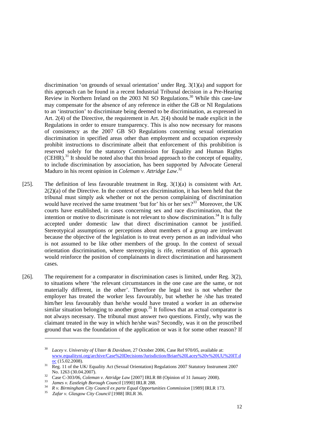discrimination 'on grounds of sexual orientation' under Reg. 3(1)(a) and support for this approach can be found in a recent Industrial Tribunal decision in a Pre-Hearing Review in Northern Ireland on the 2003 NI SO Regulations.<sup>30</sup> While this case-law may compensate for the absence of any reference in either the GB or NI Regulations to an 'instruction' to discriminate being deemed to be discrimination, as expressed in Art. 2(4) of the Directive, the requirement in Art. 2(4) should be made explicit in the Regulations in order to ensure transparency. This is also now necessary for reasons of consistency as the 2007 GB SO Regulations concerning sexual orientation discrimination in specified areas other than employment and occupation expressly prohibit instructions to discriminate albeit that enforcement of this prohibition is reserved solely for the statutory Commission for Equality and Human Rights  $(CEHR)$ .<sup>31</sup> It should be noted also that this broad approach to the concept of equality, to include discrimination by association, has been supported by Advocate General Maduro in his recent opinion in *Coleman v. Attridge Law*. 32

- [25]. The definition of less favourable treatment in Reg. 3(1)(a) is consistent with Art.  $2(2)(a)$  of the Directive. In the context of sex discrimination, it has been held that the tribunal must simply ask whether or not the person complaining of discrimination would have received the same treatment 'but for' his or her sex $33^3$  Moreover, the UK courts have established, in cases concerning sex and race discrimination, that the intention or motive to discriminate is not relevant to show discrimination.<sup>34</sup> It is fully accepted under domestic law that direct discrimination cannot be justified. Stereotypical assumptions or perceptions about members of a group are irrelevant because the objective of the legislation is to treat every person as an individual who is not assumed to be like other members of the group. In the context of sexual orientation discrimination, where stereotyping is rife, reiteration of this approach would reinforce the position of complainants in direct discrimination and harassment cases.
- [26]. The requirement for a comparator in discrimination cases is limited, under Reg. 3(2), to situations where 'the relevant circumstances in the one case are the same, or not materially different, in the other'. Therefore the legal test is not whether the employer has treated the worker less favourably, but whether he /she has treated him/her less favourably than he/she would have treated a worker in an otherwise similar situation belonging to another group.<sup>35</sup> It follows that an actual comparator is not always necessary. The tribunal must answer two questions. Firstly, why was the claimant treated in the way in which he/she was? Secondly, was it on the proscribed ground that was the foundation of the application or was it for some other reason? If

<sup>30</sup> *Lacey v. University of Ulster & Davidson*, 27 October 2006, Case Ref 970/05, available at: www.equalityni.org/archive/Case%20Decisions/Jurisdiction/Brian%20Lacey%20v%20UU%20IT.d

 $\frac{OC}{13}$  Reg. 11 of the UK/ Equality Act (Sexual Orientation) Regulations 2007 Statutory Instrument 2007

No. 1263 (30.04.2007).<br>
Case C-303/06, *Coleman v. Attridge Law* [2007] IRLR 88 (Opinion of 31 January 2008).<br> *James v. Eastleigh Borough Council* [1990] IRLR 288.<br> *R v. Birmingham City Council ex parte Equal Opportuniti*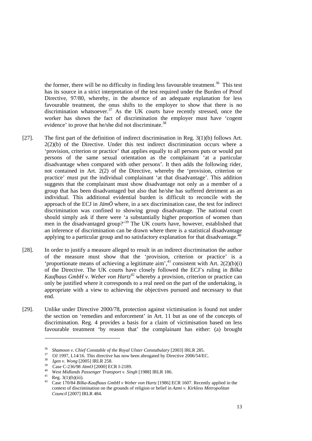the former, there will be no difficulty in finding less favourable treatment.<sup>36</sup> This test has its source in a strict interpretation of the test required under the Burden of Proof Directive, 97/80, whereby, in the absence of an adequate explanation for less favourable treatment, the onus shifts to the employer to show that there is no discrimination whatsoever.<sup>37</sup> As the UK courts have recently stressed, once the worker has shown the fact of discrimination the employer must have 'cogent evidence' to prove that he/she did not discriminate.<sup>38</sup>

- [27]. The first part of the definition of indirect discrimination in Reg. 3(1)(b) follows Art.  $2(2)(b)$  of the Directive. Under this test indirect discrimination occurs where a 'provision, criterion or practice' that applies equally to all persons puts or would put persons of the same sexual orientation as the complainant 'at a particular disadvantage when compared with other persons'. It then adds the following rider, not contained in Art. 2(2) of the Directive, whereby the 'provision, criterion or practice' must put the individual complainant 'at that disadvantage'. This addition suggests that the complainant must show disadvantage not only as a member of a group that has been disadvantaged but also that he/she has suffered detriment as an individual. This additional evidential burden is difficult to reconcile with the approach of the ECJ in *JämÖ* where, in a sex discrimination case, the test for indirect discrimination was confined to showing group disadvantage. The national court should simply ask if there were 'a substantially higher proportion of women than men in the disadvantaged group?<sup>39</sup> The UK courts have, however, established that an inference of discrimination can be drawn where there is a statistical disadvantage applying to a particular group and no satisfactory explanation for that disadvantage.<sup>4</sup>
- [28]. In order to justify a measure alleged to result in an indirect discrimination the author of the measure must show that the 'provision, criterion or practice' is a 'proportionate means of achieving a legitimate aim', $4$ <sup>1</sup> consistent with Art. 2(2)(b)(i) of the Directive. The UK courts have closely followed the ECJ's ruling in *Bilka Kaufhaus GmbH v. Weber von Hartz<sup>42</sup>* whereby a provision, criterion or practice can only be justified where it corresponds to a real need on the part of the undertaking, is appropriate with a view to achieving the objectives pursued and necessary to that end.
- [29]. Unlike under Directive 2000/78, protection against victimisation is found not under the section on 'remedies and enforcement' in Art. 11 but as one of the concepts of discrimination. Reg. 4 provides a basis for a claim of victimisation based on less favourable treatment 'by reason that' the complainant has either: (a) brought

<sup>&</sup>lt;sup>36</sup> Shamoon v. Chief Constable of the Royal Ulster Constabulary [2003] IRLR 285.<br><sup>37</sup> OJ 1997, L14/16. This directive has now been abrogated by Directive 2006/54/EC.<br><sup>38</sup> Igen v. Wong [2005] IRLR 258.<br><sup>39</sup> Case C-236/98

<sup>42</sup> Case 170/84 *Bilka-Kaufhaus GmbH v Weber von Hartz* [1986] ECR 1607. Recently applied in the context of discrimination on the grounds of religion or belief in *Azmi v. Kirkless Metropolitan Council* [2007] IRLR 484.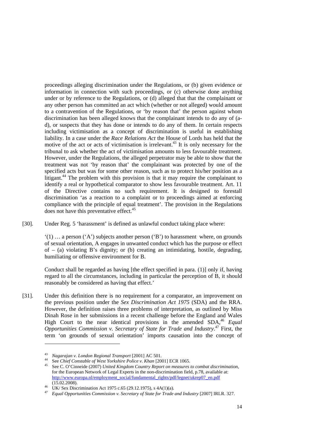proceedings alleging discrimination under the Regulations, or (b) given evidence or information in connection with such proceedings, or (c) otherwise done anything under or by reference to the Regulations, or (d) alleged that that the complainant or any other person has committed an act which (whether or not alleged) would amount to a contravention of the Regulations, or 'by reason that' the person against whom discrimination has been alleged knows that the complainant intends to do any of (ad), or suspects that they has done or intends to do any of them. In certain respects including victimisation as a concept of discrimination is useful in establishing liability. In a case under the *Race Relations Act* the House of Lords has held that the motive of the act or acts of victimisation is irrelevant.<sup>43</sup> It is only necessary for the tribunal to ask whether the act of victimisation amounts to less favourable treatment. However, under the Regulations, the alleged perpetrator may be able to show that the treatment was not 'by reason that' the complainant was protected by one of the specified acts but was for some other reason, such as to protect his/her position as a litigant.<sup>44</sup> The problem with this provision is that it may require the complainant to identify a real or hypothetical comparator to show less favourable treatment. Art. 11 of the Directive contains no such requirement. It is designed to forestall discrimination 'as a reaction to a complaint or to proceedings aimed at enforcing compliance with the principle of equal treatment'. The provision in the Regulations does not have this preventative effect.<sup>45</sup>

[30]. Under Reg. 5 'harassment' is defined as unlawful conduct taking place where:

 $'(1)$  ... a person  $'(A')$  subjects another person  $'(B')$  to harassment where, on grounds of sexual orientation, A engages in unwanted conduct which has the purpose or effect of  $-$  (a) violating B's dignity; or (b) creating an intimidating, hostile, degrading, humiliating or offensive environment for B.

Conduct shall be regarded as having [the effect specified in para. (1)] only if, having regard to all the circumstances, including in particular the perception of B, it should reasonably be considered as having that effect.'

[31]. Under this definition there is no requirement for a comparator, an improvement on the previous position under the *Sex Discrimination Act 1975* (SDA) and the RRA. However, the definition raises three problems of interpretation, as outlined by Miss Dinah Rose in her submissions in a recent challenge before the England and Wales High Court to the near identical provisions in the amended SDA,<sup>46</sup> *Equal Opportunities Commission v. Secretary of State for Trade and Industry*. 47 First, the term 'on grounds of sexual orientation' imports causation into the concept of

<sup>&</sup>lt;sup>43</sup> Nagarajan v. London Regional Transport [2001] AC 501.<br><sup>44</sup> See Chief Constable of West Yorkshire Police v. Khan [2001] ECR 1065.<br><sup>45</sup> See C. O'Cinneide (2007) United Kingdom Country Report on measures to combat discr for the European Network of Legal Experts in the non-discrimination field, p.78, available at: http://www.europa.nl/employment\_social/fundamental\_rights/pdf/legnet/ukrep07\_en.pdf (15.02.2008).

<sup>(15.02.2008). 46</sup> UK/ Sex Discrimination Act 1975 c.65 (29.12.1975), s 4A(1)(a). 47 *Equal Opportunities Commission v. Secretary of State for Trade and Industry* [2007] IRLR. 327.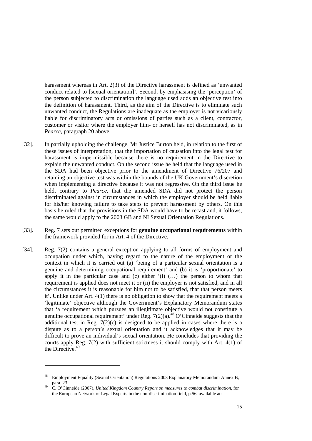harassment whereas in Art. 2(3) of the Directive harassment is defined as 'unwanted conduct related to [sexual orientation]'. Second, by emphasising the 'perception' of the person subjected to discrimination the language used adds an objective test into the definition of harassment. Third, as the aim of the Directive is to eliminate such unwanted conduct, the Regulations are inadequate as the employer is not vicariously liable for discriminatory acts or omissions of parties such as a client, contractor, customer or visitor where the employer him- or herself has not discriminated, as in *Pearce,* paragraph 20 above.

- [32]. In partially upholding the challenge, Mr Justice Burton held, in relation to the first of these issues of interpretation, that the importation of causation into the legal test for harassment is impermissible because there is no requirement in the Directive to explain the unwanted conduct. On the second issue he held that the language used in the SDA had been objective prior to the amendment of Directive 76/207 and retaining an objective test was within the bounds of the UK Government's discretion when implementing a directive because it was not regressive. On the third issue he held, contrary to *Pearce*, that the amended SDA did not protect the person discriminated against in circumstances in which the employer should be held liable for his/her knowing failure to take steps to prevent harassment by others. On this basis he ruled that the provisions in the SDA would have to be recast and, it follows, the same would apply to the 2003 GB and NI Sexual Orientation Regulations.
- [33]. Reg. 7 sets out permitted exceptions for **genuine occupational requirements** within the framework provided for in Art. 4 of the Directive.
- [34]. Reg. 7(2) contains a general exception applying to all forms of employment and occupation under which, having regard to the nature of the employment or the context in which it is carried out (a) 'being of a particular sexual orientation is a genuine and determining occupational requirement' and (b) it is 'proportionate' to apply it in the particular case and  $(c)$  either  $(i)$   $(...)$  the person to whom that requirement is applied does not meet it or (ii) the employer is not satisfied, and in all the circumstances it is reasonable for him not to be satisfied, that that person meets it'. Unlike under Art. 4(1) there is no obligation to show that the requirement meets a 'legitimate' objective although the Government's Explanatory Memorandum states that 'a requirement which pursues an illegitimate objective would not constitute a genuine occupational requirement' under Reg.  $7(2)(a)^{48}$  O'Cinneide suggests that the additional test in Reg.  $7(2)(c)$  is designed to be applied in cases where there is a dispute as to a person's sexual orientation and it acknowledges that it may be difficult to prove an individual's sexual orientation. He concludes that providing the courts apply Reg. 7(2) with sufficient strictness it should comply with Art. 4(1) of the Directive.<sup>49</sup>

Employment Equality (Sexual Orientation) Regulations 2003 Explanatory Memorandum Annex B, para. 23.

para. 23. 49 C. O'Cinneide (2007), *United Kingdom Country Report on measures to combat discrimination*, for the European Network of Legal Experts in the non-discrimination field, p.56, available at: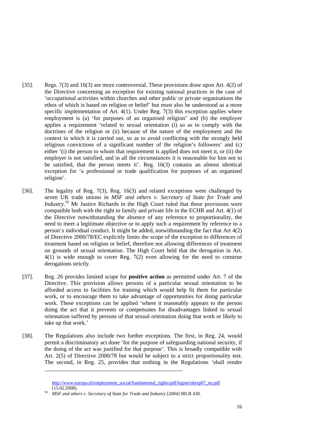- [35]. Regs. 7(3) and 16(3) are more controversial. These provisions draw upon Art. 4(2) of the Directive concerning an exception for existing national practices in the case of 'occupational activities within churches and other public or private organisations the ethos of which is based on religion or belief' but must also be understood as a more specific implementation of Art. 4(1). Under Reg. 7(3) this exception applies where employment is (a) 'for purposes of an organised religion' and (b) the employer applies a requirement 'related to sexual orientation (i) so as to comply with the doctrines of the religion or (ii) because of the nature of the employment and the context in which it is carried out, so as to avoid conflicting with the strongly held religious convictions of a significant number of the religion's followers' and (c) either '(i) the person to whom that requirement is applied does not meet it, or (ii) the employer is not satisfied, and in all the circumstances it is reasonable for him not to be satisfied, that the person meets it'. Reg. 16(3) contains an almost identical exception for 'a professional or trade qualification for purposes of an organised religion'.
- [36]. The legality of Reg. 7(3), Reg. 16(3) and related exceptions were challenged by seven UK trade unions in *MSF and others v. Secretary of State for Trade and Industry*. 50 Mr Justice Richards in the High Court ruled that these provisions were compatible both with the right to family and private life in the ECHR and Art. 4(1) of the Directive notwithstanding the absence of any reference to proportionality, the need to meet a legitimate objective or to apply such a requirement by reference to a person's individual conduct. It might be added, notwithstanding the fact that Art 4(2) of Directive 2000/78/EC explicitly limits the scope of the exception to differences of treatment based on religion or belief, therefore not allowing differences of treatment on grounds of sexual orientation. The High Court held that the derogation in Art. 4(1) is wide enough to cover Reg. 7(2) even allowing for the need to construe derogations strictly.
- [37]. Reg. 26 provides limited scope for **positive action** as permitted under Art. 7 of the Directive. This provision allows persons of a particular sexual orientation to be afforded access to facilities for training which would help fit them for particular work, or to encourage them to take advantage of opportunities for doing particular work. These exceptions can be applied 'where it reasonably appears to the person doing the act that it prevents or compensates for disadvantages linked to sexual orientation suffered by persons of that sexual orientation doing that work or likely to take up that work.'
- [38]. The Regulations also include two further exceptions. The first, in Reg. 24, would permit a discriminatory act done 'for the purpose of safeguarding national security, if the doing of the act was justified for that purpose'. This is broadly compatible with Art. 2(5) of Directive 2000/78 but would be subject to a strict proportionality test. The second, in Reg. 25, provides that nothing in the Regulations 'shall render

http://www.europa.nl/employment\_social/fundamental\_rights/pdf/legnet/ukrep07\_en.pdf (15.02.2008). 50 *MSF and others v. Secretary of State for Trade and Industry* [2004] IRLR 430.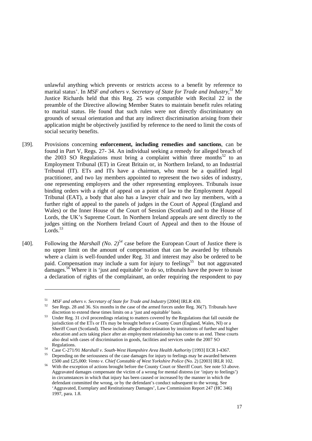unlawful anything which prevents or restricts access to a benefit by reference to marital status'. In *MSF and others v. Secretary of State for Trade and Industry,<sup>51</sup>* Mr Justice Richards held that this Reg. 25 was compatible with Recital 22 in the preamble of the Directive allowing Member States to maintain benefit rules relating to marital status. He found that such rules were not directly discriminatory on grounds of sexual orientation and that any indirect discrimination arising from their application might be objectively justified by reference to the need to limit the costs of social security benefits.

- [39]. Provisions concerning **enforcement, including remedies and sanctions**, can be found in Part V, Regs. 27- 34. An individual seeking a remedy for alleged breach of the 2003 SO Regulations must bring a complaint within three months<sup>52</sup> to an Employment Tribunal (ET) in Great Britain or, in Northern Ireland, to an Industrial Tribunal (IT). ETs and ITs have a chairman, who must be a qualified legal practitioner, and two lay members appointed to represent the two sides of industry, one representing employers and the other representing employees. Tribunals issue binding orders with a right of appeal on a point of law to the Employment Appeal Tribunal (EAT), a body that also has a lawyer chair and two lay members, with a further right of appeal to the panels of judges in the Court of Appeal (England and Wales) or the Inner House of the Court of Session (Scotland) and to the House of Lords, the UK's Supreme Court. In Northern Ireland appeals are sent directly to the judges sitting on the Northern Ireland Court of Appeal and then to the House of Lords.<sup>53</sup>
- [40]. Following the *Marshall* (*No.*  $2^{54}$  case before the European Court of Justice there is no upper limit on the amount of compensation that can be awarded by tribunals where a claim is well-founded under Reg. 31 and interest may also be ordered to be paid. Compensation may include a sum for injury to feelings<sup>55</sup> but not aggravated damages.<sup>56</sup> Where it is 'just and equitable' to do so, tribunals have the power to issue a declaration of rights of the complainant, an order requiring the respondent to pay

<sup>&</sup>lt;sup>51</sup> *MSF and others v. Secretary of State for Trade and Industry* [2004] IRLR 430.<br><sup>52</sup> See Regs. 28 and 36. Six months in the case of the armed forces under Reg. 36(7). Tribunals have discretion to extend these times lim

 $^{53}$  Under Reg. 31 civil proceedings relating to matters covered by the Regulations that fall outside the jurisdiction of the ETs or ITs may be brought before a County Court (England, Wales, NI) or a Sheriff Court (Scotland). These include alleged discrimination by institutions of further and higher education and acts taking place after an employment relationship has come to an end. These courts also deal with cases of discrimination in goods, facilities and services under the 2007 SO

Regulations.<br><sup>54</sup> Case C-271/91 *Marshall v. South-West Hampshire Area Health Authority* [1993] ECR I-4367.<br><sup>55</sup> Depending on the seriousness of the case damages for injury to feelings may be awarded between

<sup>£500</sup> and £25,000: *Vento v. Chief Constable of West Yorkshire Police* (No. 2) [2003] IRLR 102. 56 With the exception of actions brought before the County Court or Sheriff Court. See note 53 above. Aggravated damages compensate the victim of a wrong for mental distress (or 'injury to feelings') in circumstances in which that injury has been caused or increased by the manner in which the defendant committed the wrong, or by the defendant's conduct subsequent to the wrong. See 'Aggravated, Exemplary and Restitutionary Damages', Law Commission Report 247 (HC 346) 1997, para. 1.8.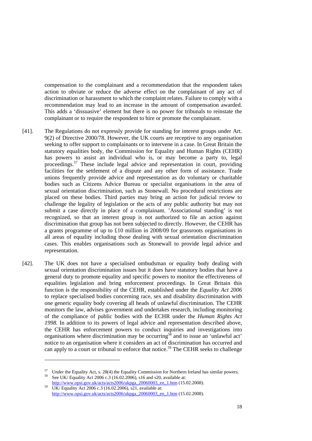compensation to the complainant and a recommendation that the respondent takes action to obviate or reduce the adverse effect on the complainant of any act of discrimination or harassment to which the complaint relates. Failure to comply with a recommendation may lead to an increase in the amount of compensation awarded. This adds a 'dissuasive' element but there is no power for tribunals to reinstate the complainant or to require the respondent to hire or promote the complainant.

- [41]. The Regulations do not expressly provide for standing for interest groups under Art. 9(2) of Directive 2000/78. However, the UK courts are receptive to any organisation seeking to offer support to complainants or to intervene in a case. In Great Britain the statutory equalities body, the Commission for Equality and Human Rights (CEHR) has powers to assist an individual who is, or may become a party to, legal proceedings.57 These include legal advice and representation in court, providing facilities for the settlement of a dispute and any other form of assistance. Trade unions frequently provide advice and representation as do voluntary or charitable bodies such as Citizens Advice Bureau or specialist organisations in the area of sexual orientation discrimination, such as Stonewall. No procedural restrictions are placed on these bodies. Third parties may bring an action for judicial review to challenge the legality of legislation or the acts of any public authority but may not submit a case directly in place of a complainant. 'Associational standing' is not recognized, so that an interest group is not authorized to file an action against discrimination that group has not been subjected to directly. However, the CEHR has a grants programme of up to £10 million in 2008/09 for grassroots organisations in all areas of equality including those dealing with sexual orientation discrimination cases. This enables organisations such as Stonewall to provide legal advice and representation.
- [42]. The UK does not have a specialised ombudsman or equality body dealing with sexual orientation discrimination issues but it does have statutory bodies that have a general duty to promote equality and specific powers to monitor the effectiveness of equalities legislation and bring enforcement proceedings. In Great Britain this function is the responsibility of the CEHR, established under the *Equality Act 2006* to replace specialised bodies concerning race, sex and disability discrimination with one generic equality body covering all heads of unlawful discrimination. The CEHR monitors the law, advises government and undertakes research, including monitoring of the compliance of public bodies with the ECHR under the *Human Rights Act 1998*. In addition to its powers of legal advice and representation described above, the CEHR has enforcement powers to conduct inquiries and investigations into organisations where discrimination may be occurring<sup>58</sup> and to issue an 'unlawful act' notice to an organisation where it considers an act of discrimination has occurred and can apply to a court or tribunal to enforce that notice.<sup>59</sup> The CEHR seeks to challenge

<sup>&</sup>lt;sup>57</sup> Under the Equality Act, s. 28(4) the Equality Commission for Northern Ireland has similar powers.<br><sup>58</sup> See UK/ Equality Act 2006 c.3 (16.02.2006), s16 and s20, available at:

http://www.opsi.gov.uk/acts/acts2006/ukpga\_20060003\_en\_1.htm (15.02.2008). UK/ Equality Act 2006 c.3 (16.02.2006), s21, available at:

http://www.opsi.gov.uk/acts/acts2006/ukpga\_20060003\_en\_1.htm (15.02.2008).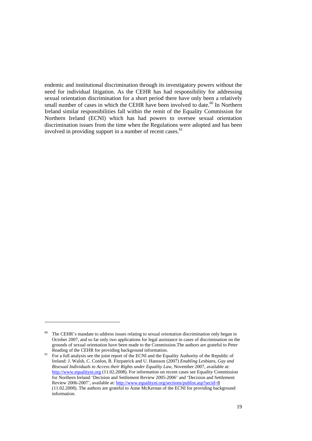endemic and institutional discrimination through its investigatory powers without the need for individual litigation. As the CEHR has had responsibility for addressing sexual orientation discrimination for a short period there have only been a relatively small number of cases in which the CEHR have been involved to date.<sup>60</sup> In Northern Ireland similar responsibilities fall within the remit of the Equality Commission for Northern Ireland (ECNI) which has had powers to oversee sexual orientation discrimination issues from the time when the Regulations were adopted and has been involved in providing support in a number of recent cases.<sup>61</sup>

<sup>&</sup>lt;sup>60</sup> The CEHR's mandate to address issues relating to sexual orientation discrimination only began in October 2007, and so far only two applications for legal assistance in cases of discrimination on the grounds of sexual orientation have been made to the Commission.The authors are grateful to Peter Reading of the CEHR for providing background information.<br><sup>61</sup> For a full analysis see the joint report of the ECNI and the Equality Authority of the Republic of

Ireland: J. Walsh, C. Conlon, B. Fitzpatrick and U. Hansson (2007) *Enabling Lesbians, Gay and Bisexual Individuals to Access their Rights under Equality Law*, November 2007, available at: http://www.equalityni.org (11.02.2008). For information on recent cases see Equality Commission for Northern Ireland 'Decision and Settlement Review 2005-2006' and 'Decision and Settlement Review 2006-2007', available at: http://www.equalityni.org/sections/publist.asp?secid=8 (11.02.2008). The authors are grateful to Anne McKernan of the ECNI for providing background information.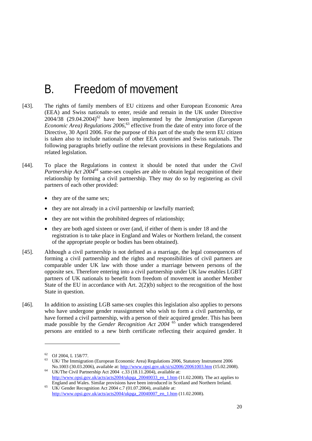# B. Freedom of movement

- [43]. The rights of family members of EU citizens and other European Economic Area (EEA) and Swiss nationals to enter, reside and remain in the UK under Directive 2004/38 (29.04.2004)62 have been implemented by the *Immigration (European Economic Area) Regulations 2006*, 63 effective from the date of entry into force of the Directive, 30 April 2006. For the purpose of this part of the study the term EU citizen is taken also to include nationals of other EEA countries and Swiss nationals. The following paragraphs briefly outline the relevant provisions in these Regulations and related legislation.
- [44]. To place the Regulations in context it should be noted that under the *Civil Partnership Act 200464* same-sex couples are able to obtain legal recognition of their relationship by forming a civil partnership. They may do so by registering as civil partners of each other provided:
	- they are of the same sex;
	- they are not already in a civil partnership or lawfully married;
	- they are not within the prohibited degrees of relationship;
	- they are both aged sixteen or over (and, if either of them is under 18 and the registration is to take place in England and Wales or Northern Ireland, the consent of the appropriate people or bodies has been obtained).
- [45]. Although a civil partnership is not defined as a marriage, the legal consequences of forming a civil partnership and the rights and responsibilities of civil partners are comparable under UK law with those under a marriage between persons of the opposite sex. Therefore entering into a civil partnership under UK law enables LGBT partners of UK nationals to benefit from freedom of movement in another Member State of the EU in accordance with Art.  $2(2)(b)$  subject to the recognition of the host State in question.
- [46]. In addition to assisting LGB same-sex couples this legislation also applies to persons who have undergone gender reassignment who wish to form a civil partnership, or have formed a civil partnership, with a person of their acquired gender. This has been made possible by the *Gender Recognition Act 2004* <sup>65</sup> under which transgendered persons are entitled to a new birth certificate reflecting their acquired gender. It

 $^{62}$  OJ 2004, L 158/77.

UK/ The Immigration (European Economic Area) Regulations 2006, Statutory Instrument 2006<br>No.1003 (30.03.2006), available at: http://www.opsi.gov.uk/si/si2006/20061003.htm (15.02.2008).

 $W$ <sup>64</sup> UK/The Civil Partnership Act 2004  $\overline{c.33}$  (18.11.2004), available at: http://www.opsi.gov.uk/acts/acts2004/ukpga\_20040033\_en\_1.htm (11.02.2008). The act applies to England and Wales. Similar provisions have been introduced in Scotland and Northern Ireland. UK/ Gender Recognition Act 2004 c.7 (01.07.2004), available at:

http://www.opsi.gov.uk/acts/acts2004/ukpga\_20040007\_en\_1.htm (11.02.2008).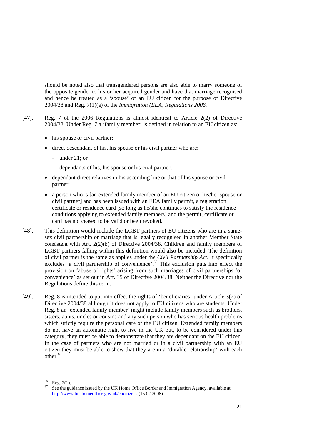should be noted also that transgendered persons are also able to marry someone of the opposite gender to his or her acquired gender and have that marriage recognised and hence be treated as a 'spouse' of an EU citizen for the purpose of Directive 2004/38 and Reg. 7(1)(a) of the *Immigration (EEA) Regulations 2006.*

- [47]. Reg. 7 of the 2006 Regulations is almost identical to Article 2(2) of Directive 2004/38. Under Reg. 7 a 'family member' is defined in relation to an EU citizen as:
	- his spouse or civil partner;
	- direct descendant of his, his spouse or his civil partner who are:
		- under 21; or
		- dependants of his, his spouse or his civil partner;
	- dependant direct relatives in his ascending line or that of his spouse or civil partner;
	- a person who is [an extended family member of an EU citizen or his/her spouse or civil partner] and has been issued with an EEA family permit, a registration certificate or residence card [so long as he/she continues to satisfy the residence conditions applying to extended family members] and the permit, certificate or card has not ceased to be valid or been revoked.
- [48]. This definition would include the LGBT partners of EU citizens who are in a samesex civil partnership or marriage that is legally recognised in another Member State consistent with Art. 2(2)(b) of Directive 2004/38. Children and family members of LGBT partners falling within this definition would also be included. The definition of civil partner is the same as applies under the *Civil Partnership Act*. It specifically excludes 'a civil partnership of convenience'.<sup>66</sup> This exclusion puts into effect the provision on 'abuse of rights' arising from such marriages of civil partnerships 'of convenience' as set out in Art. 35 of Directive 2004/38. Neither the Directive nor the Regulations define this term.
- [49]. Reg. 8 is intended to put into effect the rights of 'beneficiaries' under Article 3(2) of Directive 2004/38 although it does not apply to EU citizens who are students. Under Reg. 8 an 'extended family member' might include family members such as brothers, sisters, aunts, uncles or cousins and any such person who has serious health problems which strictly require the personal care of the EU citizen. Extended family members do not have an automatic right to live in the UK but, to be considered under this category, they must be able to demonstrate that they are dependant on the EU citizen. In the case of partners who are not married or in a civil partnership with an EU citizen they must be able to show that they are in a 'durable relationship' with each other.<sup>67</sup>

 $66$  Reg. 2(1).

See the guidance issued by the UK Home Office Border and Immigration Agency, available at: http://www.bia.homeoffice.gov.uk/eucitizens (15.02.2008).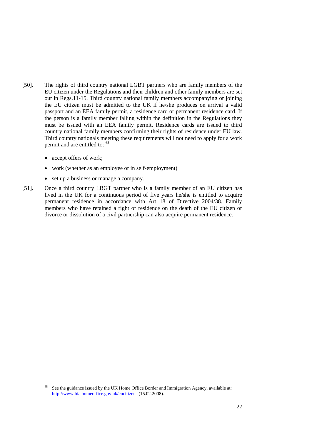- [50]. The rights of third country national LGBT partners who are family members of the EU citizen under the Regulations and their children and other family members are set out in Regs.11-15. Third country national family members accompanying or joining the EU citizen must be admitted to the UK if he/she produces on arrival a valid passport and an EEA family permit, a residence card or permanent residence card. If the person is a family member falling within the definition in the Regulations they must be issued with an EEA family permit. Residence cards are issued to third country national family members confirming their rights of residence under EU law. Third country nationals meeting these requirements will not need to apply for a work permit and are entitled to: 68
	- accept offers of work;

- work (whether as an employee or in self-employment)
- set up a business or manage a company.
- [51]. Once a third country LBGT partner who is a family member of an EU citizen has lived in the UK for a continuous period of five years he/she is entitled to acquire permanent residence in accordance with Art 18 of Directive 2004/38. Family members who have retained a right of residence on the death of the EU citizen or divorce or dissolution of a civil partnership can also acquire permanent residence.

See the guidance issued by the UK Home Office Border and Immigration Agency, available at: http://www.bia.homeoffice.gov.uk/eucitizens (15.02.2008).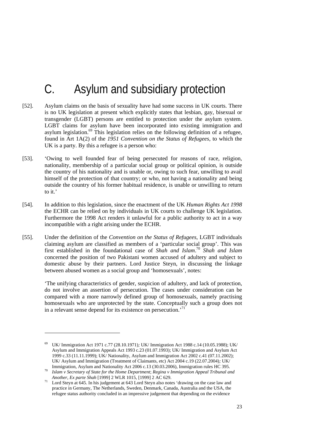# C. Asylum and subsidiary protection

- [52]. Asylum claims on the basis of sexuality have had some success in UK courts. There is no UK legislation at present which explicitly states that lesbian, gay, bisexual or transgender (LGBT) persons are entitled to protection under the asylum system. LGBT claims for asylum have been incorporated into existing immigration and asylum legislation.<sup>69</sup> This legislation relies on the following definition of a refugee, found in Art 1A(2) of the *1951 Convention on the Status of Refugees*, to which the UK is a party. By this a refugee is a person who:
- [53]. 'Owing to well founded fear of being persecuted for reasons of race, religion, nationality, membership of a particular social group or political opinion, is outside the country of his nationality and is unable or, owing to such fear, unwilling to avail himself of the protection of that country; or who, not having a nationality and being outside the country of his former habitual residence, is unable or unwilling to return to it.'
- [54]. In addition to this legislation, since the enactment of the UK *Human Rights Act 1998* the ECHR can be relied on by individuals in UK courts to challenge UK legislation. Furthermore the 1998 Act renders it unlawful for a public authority to act in a way incompatible with a right arising under the ECHR.
- [55]. Under the definition of the *Convention on the Status of Refugees*, LGBT individuals claiming asylum are classified as members of a 'particular social group'. This was first established in the foundational case of *Shah and Islam*. <sup>70</sup> *Shah and Islam* concerned the position of two Pakistani women accused of adultery and subject to domestic abuse by their partners. Lord Justice Steyn, in discussing the linkage between abused women as a social group and 'homosexuals', notes:

'The unifying characteristics of gender, suspicion of adultery, and lack of protection, do not involve an assertion of persecution. The cases under consideration can be compared with a more narrowly defined group of homosexuals, namely practising homosexuals who are unprotected by the state. Conceptually such a group does not in a relevant sense depend for its existence on persecution.<sup>71</sup>

<sup>69</sup> UK/ Immigration Act 1971 c.77 (28.10.1971)*;* UK/ Immigration Act 1988 c.14 (10.05.1988); UK/ Asylum and Immigration Appeals Act 1993 c.23 (01.07.1993); UK/ Immigration and Asylum Act 1999 c.33 (11.11.1999); UK/ Nationality, Asylum and Immigration Act 2002 c.41 (07.11.2002); UK/ Asylum and Immigration (Treatment of Claimants, etc) Act 2004 c.19 (22.07.2004)*;* UK/

Islam v Secretary of State for the Home Department; Regina v Immigration Appeal Tribunal and <sup>70</sup> *Islam v Secretary of State for the Home Department*; *Regina v Immigration Appeal Tribunal and* 

*Another, Ex parte Shah* [1999] 2 WLR 1015, [1999] 2 AC 629.<br><sup>71</sup> Lord Steyn at 645. In his judgement at 643 Lord Steyn also notes 'drawing on the case law and practice in Germany, The Netherlands, Sweden, Denmark, Canada, Australia and the USA, the refugee status authority concluded in an impressive judgement that depending on the evidence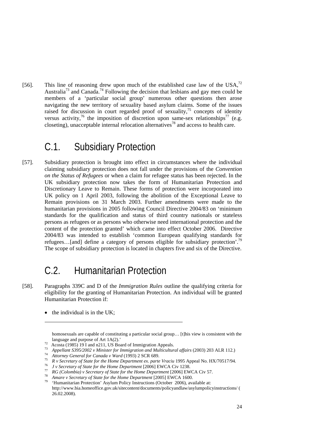[56]. This line of reasoning drew upon much of the established case law of the USA, $^{72}$ Australia<sup>73</sup> and Canada.<sup>74</sup> Following the decision that lesbians and gay men could be members of a 'particular social group' numerous other questions then arose navigating the new territory of sexuality based asylum claims. Some of the issues raised for discussion in court regarded proof of sexuality, $\frac{75}{15}$  concepts of identity versus activity,<sup>76</sup> the imposition of discretion upon same-sex relationships<sup>77</sup> (e.g. closeting), unacceptable internal relocation alternatives<sup>78</sup> and access to health care.

#### C.1. Subsidiary Protection

[57]. Subsidiary protection is brought into effect in circumstances where the individual claiming subsidiary protection does not fall under the provisions of the *Convention on the Status of Refugees* or when a claim for refugee status has been rejected. In the UK subsidiary protection now takes the form of Humanitarian Protection and Discretionary Leave to Remain. These forms of protection were incorporated into UK policy on 1 April 2003, following the abolition of the Exceptional Leave to Remain provisions on 31 March 2003. Further amendments were made to the humanitarian provisions in 2005 following Council Directive 2004/83 on 'minimum standards for the qualification and status of third country nationals or stateless persons as refugees or as persons who otherwise need international protection and the content of the protection granted' which came into effect October 2006. Directive 2004/83 was intended to establish 'common European qualifying standards for refugees…[and] define a category of persons eligible for subsidiary protection'.79 The scope of subsidiary protection is located in chapters five and six of the Directive.

# C.2. Humanitarian Protection

- [58]. Paragraphs 339C and D of the *Immigration Rules* outline the qualifying criteria for eligibility for the granting of Humanitarian Protection. An individual will be granted Humanitarian Protection if:
	- the individual is in the  $UK$ ;

homosexuals are capable of constituting a particular social group... [t]his view is consistent with the

language and purpose of Art 1A(2).'<br>  $^{72}$  Acosta (1985) 19 I and n211, US Board of Immigration Appeals.

<sup>&</sup>lt;sup>73</sup> Appellant S395/2002 v Minister for Immigration and Multicultural affairs (2003) 203 ALR 112.)<br><sup>74</sup> Attorney General for Canada v Ward (1993) 2 SCR 689.<br><sup>75</sup> R v Secretary of State for the Home Department ex. parte Vr

http://www.bia.homeoffice.gov.uk/sitecontent/documents/policyandlaw/asylumpolicyinstructions/ ( 26.02.2008).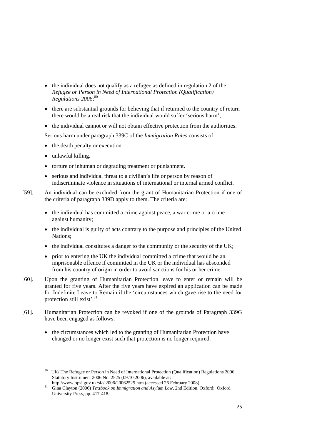- the individual does not qualify as a refugee as defined in regulation 2 of the *Refugee or Person in Need of International Protection (Qualification) Regulations 2006*; 80
- there are substantial grounds for believing that if returned to the country of return there would be a real risk that the individual would suffer 'serious harm';
- the individual cannot or will not obtain effective protection from the authorities.

Serious harm under paragraph 339C of the *Immigration Rules* consists of:

- the death penalty or execution.
- unlawful killing.

- torture or inhuman or degrading treatment or punishment.
- serious and individual threat to a civilian's life or person by reason of indiscriminate violence in situations of international or internal armed conflict.
- [59]. An individual can be excluded from the grant of Humanitarian Protection if one of the criteria of paragraph 339D apply to them. The criteria are:
	- the individual has committed a crime against peace, a war crime or a crime against humanity;
	- the individual is guilty of acts contrary to the purpose and principles of the United Nations;
	- the individual constitutes a danger to the community or the security of the UK;
	- prior to entering the UK the individual committed a crime that would be an imprisonable offence if committed in the UK or the individual has absconded from his country of origin in order to avoid sanctions for his or her crime.
- [60]. Upon the granting of Humanitarian Protection leave to enter or remain will be granted for five years. After the five years have expired an application can be made for Indefinite Leave to Remain if the 'circumstances which gave rise to the need for protection still exist'.<sup>81</sup>
- [61]. Humanitarian Protection can be revoked if one of the grounds of Paragraph 339G have been engaged as follows:
	- the circumstances which led to the granting of Humanitarian Protection have changed or no longer exist such that protection is no longer required.

<sup>&</sup>lt;sup>80</sup> UK/ The Refugee or Person in Need of International Protection (Qualification) Regulations 2006, Statutory Instrument 2006 No. 2525 (09.10.2006), available at:<br>http://www.opsi.gov.uk/si/si2006/20062525.htm (accessed 26 February 2008).

<sup>81</sup> Gina Clayton (2006) *Textbook on Immigration and Asylum Law*, 2nd Edition. Oxford: Oxford University Press, pp. 417-418.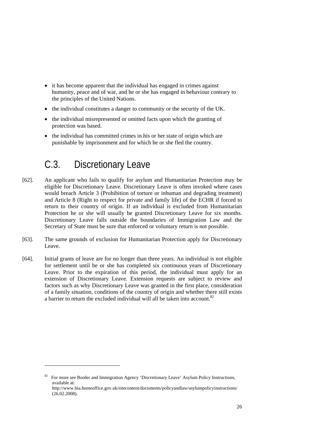- it has become apparent that the individual has engaged in crimes against humanity, peace and of war, and he or she has engaged in behaviour contrary to the principles of the United Nations.
- the individual constitutes a danger to community or the security of the UK.
- the individual misrepresented or omitted facts upon which the granting of protection was based.
- the individual has committed crimes in his or her state of origin which are punishable by imprisonment and for which he or she fled the country.

# C.3. Discretionary Leave

- [62]. An applicant who fails to qualify for asylum and Humanitarian Protection may be eligible for Discretionary Leave. Discretionary Leave is often invoked where cases would breach Article 3 (Prohibition of torture or inhuman and degrading treatment) and Article 8 (Right to respect for private and family life) of the ECHR if forced to return to their country of origin. If an individual is excluded from Humanitarian Protection he or she will usually be granted Discretionary Leave for six months. Discretionary Leave falls outside the boundaries of Immigration Law and the Secretary of State must be sure that enforced or voluntary return is not possible.
- [63]. The same grounds of exclusion for Humanitarian Protection apply for Discretionary Leave.
- [64]. Initial grants of leave are for no longer than three years. An individual is not eligible for settlement until he or she has completed six continuous years of Discretionary Leave. Prior to the expiration of this period, the individual must apply for an extension of Discretionary Leave. Extension requests are subject to review and factors such as why Discretionary Leave was granted in the first place, consideration of a family situation, conditions of the country of origin and whether there still exists a barrier to return the excluded individual will all be taken into account.<sup>82</sup>

<sup>&</sup>lt;sup>82</sup> For more see Border and Immigration Agency 'Discretionary Leave' Asylum Policy Instructions, available at: http://www.bia.homeoffice.gov.uk/sitecontent/documents/policyandlaw/asylumpolicyinstructions/ (26.02.2008).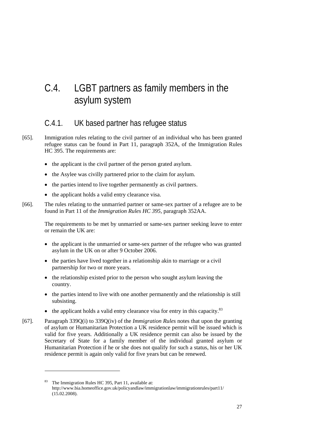# C.4. LGBT partners as family members in the asylum system

#### C.4.1. UK based partner has refugee status

- [65]. Immigration rules relating to the civil partner of an individual who has been granted refugee status can be found in Part 11, paragraph 352A, of the Immigration Rules HC 395. The requirements are:
	- the applicant is the civil partner of the person grated asylum.
	- the Asylee was civilly partnered prior to the claim for asylum.
	- the parties intend to live together permanently as civil partners.
	- the applicant holds a valid entry clearance visa.
- [66]. The rules relating to the unmarried partner or same-sex partner of a refugee are to be found in Part 11 of the *Immigration Rules HC 395*, paragraph 352AA.

The requirements to be met by unmarried or same-sex partner seeking leave to enter or remain the UK are:

- the applicant is the unmarried or same-sex partner of the refugee who was granted asylum in the UK on or after 9 October 2006.
- the parties have lived together in a relationship akin to marriage or a civil partnership for two or more years.
- the relationship existed prior to the person who sought asylum leaving the country.
- the parties intend to live with one another permanently and the relationship is still subsisting.
- the applicant holds a valid entry clearance visa for entry in this capacity.<sup>83</sup>
- [67]. Paragraph 339Q(i) to 339Q(iv) of the *Immigration Rules* notes that upon the granting of asylum or Humanitarian Protection a UK residence permit will be issued which is valid for five years. Additionally a UK residence permit can also be issued by the Secretary of State for a family member of the individual granted asylum or Humanitarian Protection if he or she does not qualify for such a status, his or her UK residence permit is again only valid for five years but can be renewed.

The Immigration Rules HC 395, Part 11, available at: http://www.bia.homeoffice.gov.uk/policyandlaw/immigrationlaw/immigrationrules/part11/ (15.02.2008).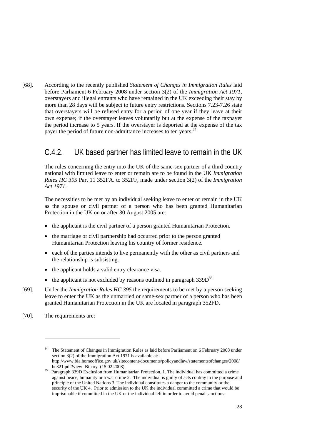[68]. According to the recently published *Statement of Changes in Immigration Rules* laid before Parliament 6 February 2008 under section 3(2) of the *Immigration Act 1971*, overstayers and illegal entrants who have remained in the UK exceeding their stay by more than 28 days will be subject to future entry restrictions. Sections 7.23-7.26 state that overstayers will be refused entry for a period of one year if they leave at their own expense; if the overstayer leaves voluntarily but at the expense of the taxpayer the period increase to 5 years. If the overstayer is deported at the expense of the tax payer the period of future non-admittance increases to ten years.<sup>84</sup>

#### C.4.2. UK based partner has limited leave to remain in the UK

The rules concerning the entry into the UK of the same-sex partner of a third country national with limited leave to enter or remain are to be found in the UK *Immigration Rules HC 395* Part 11 352FA. to 352FF, made under section 3(2) of the *Immigration Act 1971*.

The necessities to be met by an individual seeking leave to enter or remain in the UK as the spouse or civil partner of a person who has been granted Humanitarian Protection in the UK on or after 30 August 2005 are:

- the applicant is the civil partner of a person granted Humanitarian Protection.
- the marriage or civil partnership had occurred prior to the person granted Humanitarian Protection leaving his country of former residence.
- each of the parties intends to live permanently with the other as civil partners and the relationship is subsisting.
- the applicant holds a valid entry clearance visa.
- the applicant is not excluded by reasons outlined in paragraph  $339D^{85}$
- [69]. Under the *Immigration Rules HC 395* the requirements to be met by a person seeking leave to enter the UK as the unmarried or same-sex partner of a person who has been granted Humanitarian Protection in the UK are located in paragraph 352FD.
- [70]. The requirements are:

<sup>84</sup> The Statement of Changes in Immigration Rules as laid before Parliament on 6 February 2008 under section 3(2) of the Immigration Act 1971 is available at: http://www.bia.homeoffice.gov.uk/sitecontent/documents/policyandlaw/statementsofchanges/2008/

hc321.pdf?view=Binary (15.02.2008).<br><sup>85</sup> Paragraph 339D Exclusion from Humanitarian Protection. 1. The individual has committed a crime against peace, humanity or a war crime 2. The individual is guilty of acts contray to the purpose and principle of the United Nations 3. The individual constitutes a danger to the community or the security of the UK 4. Prior to admission to the UK the individual committed a crime that would be imprisonable if committed in the UK or the individual left in order to avoid penal sanctions.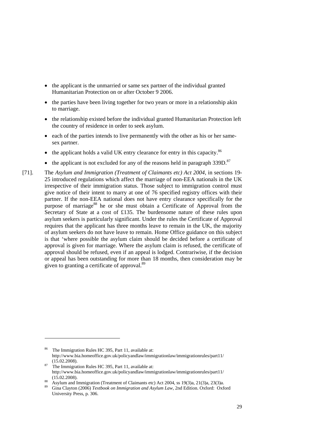- the applicant is the unmarried or same sex partner of the individual granted Humanitarian Protection on or after October 9 2006.
- the parties have been living together for two years or more in a relationship akin to marriage.
- the relationship existed before the individual granted Humanitarian Protection left the country of residence in order to seek asylum.
- each of the parties intends to live permanently with the other as his or her samesex partner.
- the applicant holds a valid UK entry clearance for entry in this capacity.<sup>86</sup>
- the applicant is not excluded for any of the reasons held in paragraph 339D.<sup>87</sup>
- [71]. The *Asylum and Immigration (Treatment of Claimants etc) Act 2004, in sections 19-*25 introduced regulations which affect the marriage of non-EEA nationals in the UK irrespective of their immigration status. Those subject to immigration control must give notice of their intent to marry at one of 76 specified registry offices with their partner. If the non-EEA national does not have entry clearance specifically for the purpose of marriage<sup>88</sup> he or she must obtain a Certificate of Approval from the Secretary of State at a cost of £135. The burdensome nature of these rules upon asylum seekers is particularly significant. Under the rules the Certificate of Approval requires that the applicant has three months leave to remain in the UK, the majority of asylum seekers do not have leave to remain. Home Office guidance on this subject is that 'where possible the asylum claim should be decided before a certificate of approval is given for marriage. Where the asylum claim is refused, the certificate of approval should be refused, even if an appeal is lodged. Contrariwise, if the decision or appeal has been outstanding for more than 18 months, then consideration may be given to granting a certificate of approval.<sup>89</sup>

<sup>86</sup> The Immigration Rules HC 395, Part 11, available at: http://www.bia.homeoffice.gov.uk/policyandlaw/immigrationlaw/immigrationrules/part11/

 $(15.02.2008)$ .<br>The Immigration Rules HC 395, Part 11, available at: http://www.bia.homeoffice.gov.uk/policyandlaw/immigrationlaw/immigrationrules/part11/

<sup>(15.02.2008). 88</sup> Asylum and Immigration (Treatment of Claimants etc) Act 2004, ss 19(3)a, 21(3)a, 23(3)a. 89 Gina Clayton (2006) *Textbook on Immigration and Asylum Law*, 2nd Edition. Oxford: Oxford University Press, p. 306.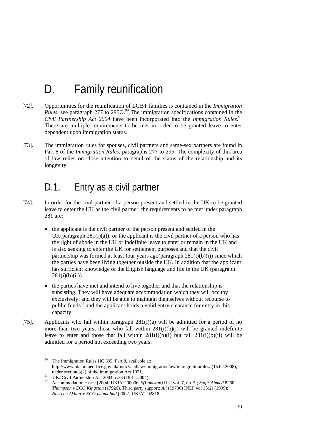# D. Family reunification

- [72]. Opportunities for the reunification of LGBT families is contained in the *Immigration*   $Rules$ , see paragraph 277 to 2950.<sup>90</sup> The immigration specifications contained in the *Civil Partnership Act 2004* have been incorporated into the *Immigration Rules*. 91 There are multiple requirements to be met in order to be granted leave to enter dependent upon immigration status.
- [73]. The immigration rules for spouses, civil partners and same-sex partners are found in Part 8 of the *Immigration Rules*, paragraphs 277 to 295. The complexity of this area of law relies on close attention to detail of the status of the relationship and its longevity.

### D.1. Entry as a civil partner

- [74]. In order for the civil partner of a person present and settled in the UK to be granted leave to enter the UK as the civil partner, the requirements to be met under paragraph 281 are:
	- the applicant is the civil partner of the person present and settled in the UK(paragraph  $281(i)(a)$ ); *or* the applicant is the civil partner of a person who has the right of abode in the UK or indefinite leave to enter or remain in the UK and is also seeking to enter the UK for settlement purposes and that the civil partnership was formed at least four years ago(paragraph  $281(i)(b)(i)$ ) since which the parties have been living together outside the UK. In addition that the applicant has sufficient knowledge of the English language and life in the UK (paragraph  $281(i)(b)(ii)$ ).
	- the parties have met and intend to live together and that the relationship is subsisting. They will have adequate accommodation which they will occupy exclusively; and they will be able to maintain themselves without recourse to public funds $92$  and the applicant holds a valid entry clearance for entry in this capacity.
- [75]. Applicants who fall within paragraph  $281(i)(a)$  will be admitted for a period of no more than two years; those who fall within  $281(i)(b)(i)$  will be granted indefinite leave to enter and those that fall within  $281(i)(b)(i)$  but fail  $281(i)(b)(ii)$  will be admitted for a period not exceeding two years.

<sup>90</sup> The Immigration Rules HC 395, Part 8, available at: http://www.bia.homeoffice.gov.uk/policyandlaw/immigrationlaw/immigrationrules/ (15.02.2008),

under section 3(2) of the Immigration Act 1971.<br><sup>91</sup> UK/ Civil Partnership Act 2004 c.33 (18.11.2004)

<sup>92</sup> Accommodation cases: [2004] UKIAT 00006, *S(Pakistan)* ILU vol. 7, no. 5.; *Sagir Ahmed* 8260; *Thompson v ECO Kingston* (17926). Third party support: *Ali* (19736) INLP vol 13(2) (1999); *Nasreen Akhtar v ECO Islamabad* [2002] UKIAT 02818.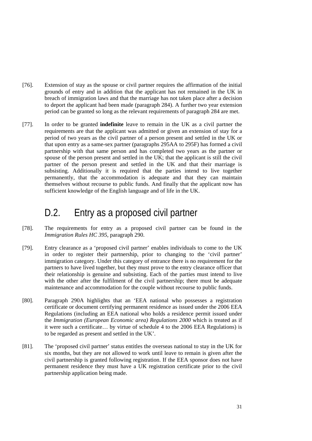- [76]. Extension of stay as the spouse or civil partner requires the affirmation of the initial grounds of entry and in addition that the applicant has not remained in the UK in breach of immigration laws and that the marriage has not taken place after a decision to deport the applicant had been made (paragraph 284). A further two year extension period can be granted so long as the relevant requirements of paragraph 284 are met.
- [77]. In order to be granted **indefinite** leave to remain in the UK as a civil partner the requirements are that the applicant was admitted or given an extension of stay for a period of two years as the civil partner of a person present and settled in the UK or that upon entry as a same-sex partner (paragraphs 295AA to 295F) has formed a civil partnership with that same person and has completed two years as the partner or spouse of the person present and settled in the UK; that the applicant is still the civil partner of the person present and settled in the UK and that their marriage is subsisting. Additionally it is required that the parties intend to live together permanently, that the accommodation is adequate and that they can maintain themselves without recourse to public funds. And finally that the applicant now has sufficient knowledge of the English language and of life in the UK.

### D.2. Entry as a proposed civil partner

- [78]. The requirements for entry as a proposed civil partner can be found in the *Immigration Rules HC 395*, paragraph 290.
- [79]. Entry clearance as a 'proposed civil partner' enables individuals to come to the UK in order to register their partnership, prior to changing to the 'civil partner' immigration category. Under this category of entrance there is no requirement for the partners to have lived together, but they must prove to the entry clearance officer that their relationship is genuine and subsisting. Each of the parties must intend to live with the other after the fulfilment of the civil partnership; there must be adequate maintenance and accommodation for the couple without recourse to public funds.
- [80]. Paragraph 290A highlights that an 'EEA national who possesses a registration certificate or document certifying permanent residence as issued under the 2006 EEA Regulations (including an EEA national who holds a residence permit issued under the *Immigration (European Economic area) Regulations 2000* which is treated as if it were such a certificate… by virtue of schedule 4 to the 2006 EEA Regulations) is to be regarded as present and settled in the UK'.
- [81]. The 'proposed civil partner' status entitles the overseas national to stay in the UK for six months, but they are not allowed to work until leave to remain is given after the civil partnership is granted following registration. If the EEA sponsor does not have permanent residence they must have a UK registration certificate prior to the civil partnership application being made.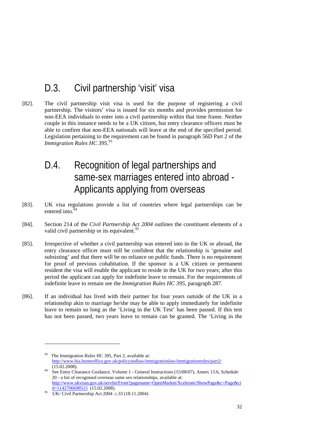### D.3. Civil partnership 'visit' visa

[82]. The civil partnership visit visa is used for the purpose of registering a civil partnership. The visitors' visa is issued for six months and provides permission for non-EEA individuals to enter into a civil partnership within that time frame. Neither couple in this instance needs to be a UK citizen, but entry clearance officers must be able to confirm that non-EEA nationals will leave at the end of the specified period. Legislation pertaining to the requirement can be found in paragraph 56D Part 2 of the *Immigration Rules HC 395*. 93

### D.4. Recognition of legal partnerships and same-sex marriages entered into abroad - Applicants applying from overseas

- [83]. UK visa regulations provide a list of countries where legal partnerships can be entered into. $94$
- [84]. Section 214 of the *Civil Partnership Act 2004* outlines the constituent elements of a valid civil partnership or its equivalent.<sup>95</sup>
- [85]. Irrespective of whether a civil partnership was entered into in the UK or abroad, the entry clearance officer must still be confident that the relationship is 'genuine and subsisting' and that there will be no reliance on public funds. There is no requirement for proof of previous cohabitation. If the sponsor is a UK citizen or permanent resident the visa will enable the applicant to reside in the UK for two years; after this period the applicant can apply for indefinite leave to remain. For the requirements of indefinite leave to remain see the *Immigration Rules HC 395,* paragraph 287.
- [86]. If an individual has lived with their partner for four years outside of the UK in a relationship akin to marriage he/she may be able to apply immediately for indefinite leave to remain so long as the 'Living in the UK Test' has been passed. If this test has not been passed, two years leave to remain can be granted. The 'Living in the

<sup>&</sup>lt;sup>93</sup> The Immigration Rules HC 395, Part 2, available at: http://www.bia.homeoffice.gov.uk/policyandlaw/immigrationlaw/immigrationrules/part2/ (15.02.2008).<br>See Entry Clearance Guidance, Volume 1 - General Instructions (15/08/07), Annex 13.6, Schedule

<sup>20 -</sup> a list of recognised overseas same sex relationships, available at: http://www.ukvisas.gov.uk/servlet/Front?pagename=OpenMarket/Xcelerate/ShowPage&c=Page&ci

<sup>&</sup>lt;sup>95</sup> UK/ Civil Partnership Act 2004 c.33 (18.11.2004)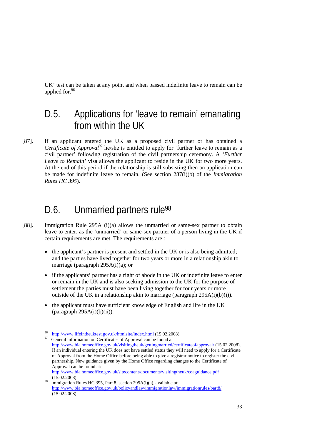UK' test can be taken at any point and when passed indefinite leave to remain can be applied for.  $96$ 

#### D.5. Applications for 'leave to remain' emanating from within the UK

[87]. If an applicant entered the UK as a proposed civil partner or has obtained a *Certificate of Approval*<sup>97</sup> he/she is entitled to apply for 'further leave to remain as a civil partner' following registration of the civil partnership ceremony. A '*Further Leave to Remain'* visa allows the applicant to reside in the UK for two more years. At the end of this period if the relationship is still subsisting then an application can be made for indefinite leave to remain. (See section 287(i)(b) of the *Immigration Rules HC 395*).

### D.6. Unmarried partners rule<sup>98</sup>

- [88]. Immigration Rule 295A (i)(a) allows the unmarried or same-sex partner to obtain leave to enter, as the 'unmarried' or same-sex partner of a person living in the UK if certain requirements are met. The requirements are :
	- the applicant's partner is present and settled in the UK or is also being admitted; and the parties have lived together for two years or more in a relationship akin to marriage (paragraph 295A(i)(a); or
	- if the applicants' partner has a right of abode in the UK or indefinite leave to enter or remain in the UK and is also seeking admission to the UK for the purpose of settlement the parties must have been living together for four years or more outside of the UK in a relationship akin to marriage (paragraph  $295A(i)(b)(i)$ ).
	- the applicant must have sufficient knowledge of English and life in the UK  $(paragnh 295A(i)(b)(ii)).$

<sup>&</sup>lt;sup>96</sup> http://www.lifeintheuktest.gov.uk/htmlsite/index.html (15.02.2008)<br><sup>97</sup> General information on Certificates of Approval can be found at

http://www.bia.homeoffice.gov.uk/visitingtheuk/gettingmarried/certificateofapproval/ (15.02.2008). If an individual entering the UK does not have settled status they will need to apply for a Certificate of Approval from the Home Office before being able to give a registrar notice to register the civil partnership. New guidance given by the Home Office regarding changes to the Certificate of Approval can be found at: http://www.bia.homeoffice.gov.uk/sitecontent/documents/visitingtheuk/coaguidance.pdf

<sup>(15.02.2008).</sup> Immigration Rules HC 395, Part 8, section 295A(i)(a), available at: http://www.bia.homeoffice.gov.uk/policyandlaw/immigrationlaw/immigrationrules/part8/ (15.02.2008).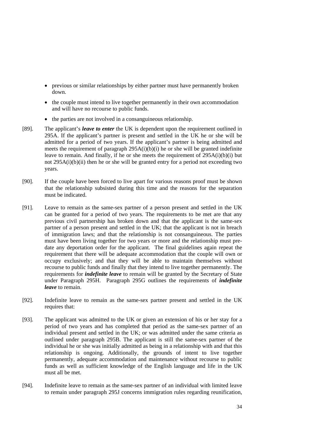- previous or similar relationships by either partner must have permanently broken down.
- the couple must intend to live together permanently in their own accommodation and will have no recourse to public funds.
- the parties are not involved in a consanguineous relationship.
- [89]. The applicant's *leave to enter* the UK is dependent upon the requirement outlined in 295A. If the applicant's partner is present and settled in the UK he or she will be admitted for a period of two years. If the applicant's partner is being admitted and meets the requirement of paragraph  $295A(i)(b)(i)$  he or she will be granted indefinite leave to remain. And finally, if he or she meets the requirement of  $295A(i)(b)(i)$  but not 295A(i)(b)(ii) then he or she will be granted entry for a period not exceeding two years.
- [90]. If the couple have been forced to live apart for various reasons proof must be shown that the relationship subsisted during this time and the reasons for the separation must be indicated.
- [91]. Leave to remain as the same-sex partner of a person present and settled in the UK can be granted for a period of two years. The requirements to be met are that any previous civil partnership has broken down and that the applicant is the same-sex partner of a person present and settled in the UK; that the applicant is not in breach of immigration laws; and that the relationship is not consanguineous. The parties must have been living together for two years or more and the relationship must predate any deportation order for the applicant. The final guidelines again repeat the requirement that there will be adequate accommodation that the couple will own or occupy exclusively; and that they will be able to maintain themselves without recourse to public funds and finally that they intend to live together permanently. The requirements for *indefinite leave* to remain will be granted by the Secretary of State under Paragraph 295H. Paragraph 295G outlines the requirements of *indefinite leave* to remain.
- [92]. Indefinite leave to remain as the same-sex partner present and settled in the UK requires that:
- [93]. The applicant was admitted to the UK or given an extension of his or her stay for a period of two years and has completed that period as the same-sex partner of an individual present and settled in the UK; or was admitted under the same criteria as outlined under paragraph 295B. The applicant is still the same-sex partner of the individual he or she was initially admitted as being in a relationship with and that this relationship is ongoing. Additionally, the grounds of intent to live together permanently, adequate accommodation and maintenance without recourse to public funds as well as sufficient knowledge of the English language and life in the UK must all be met.
- [94]. Indefinite leave to remain as the same-sex partner of an individual with limited leave to remain under paragraph 295J concerns immigration rules regarding reunification,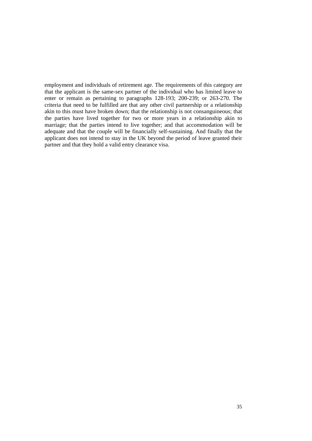employment and individuals of retirement age. The requirements of this category are that the applicant is the same-sex partner of the individual who has limited leave to enter or remain as pertaining to paragraphs 128-193; 200-239; or 263-270. The criteria that need to be fulfilled are that any other civil partnership or a relationship akin to this must have broken down; that the relationship is not consanguineous; that the parties have lived together for two or more years in a relationship akin to marriage; that the parties intend to live together; and that accommodation will be adequate and that the couple will be financially self-sustaining. And finally that the applicant does not intend to stay in the UK beyond the period of leave granted their partner and that they hold a valid entry clearance visa.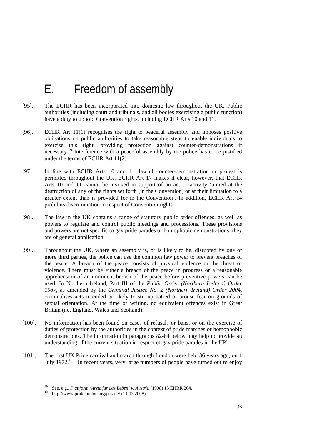# E. Freedom of assembly

- [95]. The ECHR has been incorporated into domestic law throughout the UK. Public authorities (including court and tribunals, and all bodies exercising a public function) have a duty to uphold Convention rights, including ECHR Arts 10 and 11.
- [96]. ECHR Art 11(1) recognises the right to peaceful assembly and imposes positive obligations on public authorities to take reasonable steps to enable individuals to exercise this right, providing protection against counter-demonstrations if necessary.<sup>99</sup> Interference with a peaceful assembly by the police has to be justified under the terms of ECHR Art  $11(2)$ .
- [97]. In line with ECHR Arts 10 and 11, lawful counter-demonstration or protest is permitted throughout the UK. ECHR Art 17 makes it clear, however, that ECHR Arts 10 and 11 cannot be invoked in support of an act or activity 'aimed at the destruction of any of the rights set forth [in the Convention] or at their limitation to a greater extent than is provided for in the Convention'. In addition, ECHR Art 14 prohibits discrimination in respect of Convention rights.
- [98]. The law in the UK contains a range of statutory public order offences, as well as powers to regulate and control public meetings and processions. These provisions and powers are not specific to gay pride parades or homophobic demonstrations; they are of general application.
- [99]. Throughout the UK, where an assembly is, or is likely to be, disrupted by one or more third parties, the police can use the common law power to prevent breaches of the peace. A breach of the peace consists of physical violence or the threat of violence. There must be either a breach of the peace in progress or a reasonable apprehension of an imminent breach of the peace before preventive powers can be used. In Northern Ireland, Part III of the *Public Order (Northern Ireland) Order 1987*, as amended by the *Criminal Justice No. 2 (Northern Ireland) Order 2004*, criminalises acts intended or likely to stir up hatred or arouse fear on grounds of sexual orientation. At the time of writing, no equivalent offences exist in Great Britain (i.e. England, Wales and Scotland).
- [100]. No information has been found on cases of refusals or bans, or on the exercise of duties of protection by the authorities in the context of pride marches or homophobic demonstrations. The information in paragraphs 82-84 below may help to provide an understanding of the current situation in respect of gay pride parades in the UK.
- [101]. The first UK Pride carnival and march through London were held 36 years ago, on 1 July 1972.<sup>100</sup> In recent years, very large numbers of people have turned out to enjoy

<sup>&</sup>lt;sup>99</sup> See, e.g., *Plattform 'Arzte fur das Leben' v. Austria* (1998) 13 EHRR 204.<br><sup>100</sup> http://www.pridelondon.org/parade/ (11.02.2008).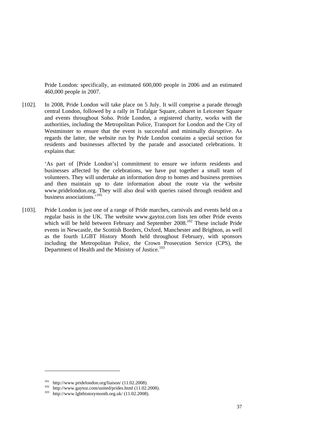Pride London: specifically, an estimated 600,000 people in 2006 and an estimated 460,000 people in 2007.

[102]. In 2008, Pride London will take place on 5 July. It will comprise a parade through central London, followed by a rally in Trafalgar Square, cabaret in Leicester Square and events throughout Soho. Pride London, a registered charity, works with the authorities, including the Metropolitan Police, Transport for London and the City of Westminster to ensure that the event is successful and minimally disruptive. As regards the latter, the website run by Pride London contains a special section for residents and businesses affected by the parade and associated celebrations. It explains that:

> 'As part of [Pride London's] commitment to ensure we inform residents and businesses affected by the celebrations, we have put together a small team of volunteers. They will undertake an information drop to homes and business premises and then maintain up to date information about the route via the website www.pridelondon.org. They will also deal with queries raised through resident and business associations.'<sup>101</sup>

[103]. Pride London is just one of a range of Pride marches, carnivals and events held on a regular basis in the UK. The website www.gaytoz.com lists ten other Pride events which will be held between February and September 2008.<sup>102</sup> These include Pride events in Newcastle, the Scottish Borders, Oxford, Manchester and Brighton, as well as the fourth LGBT History Month held throughout February, with sponsors including the Metropolitan Police, the Crown Prosecution Service (CPS), the Department of Health and the Ministry of Justice.<sup>103</sup>

<sup>101</sup> http://www.pridelondon.org/liaison/ (11.02.2008).<br>
102 http://www.gaytoz.com/united/prides.html (11.02.2008).<br>
103 http://www.lgbthistorymonth.org.uk/ (11.02.2008).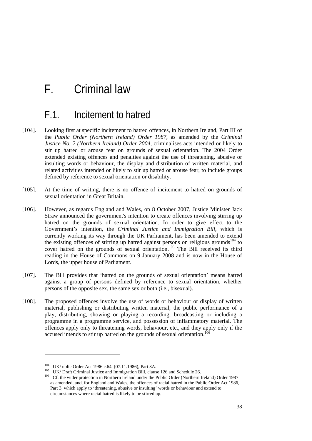## F. Criminal law

### F.1. Incitement to hatred

- [104]. Looking first at specific incitement to hatred offences, in Northern Ireland, Part III of the *Public Order (Northern Ireland) Order 1987*, as amended by the *Criminal Justice No. 2 (Northern Ireland) Order 2004*, criminalises acts intended or likely to stir up hatred or arouse fear on grounds of sexual orientation. The 2004 Order extended existing offences and penalties against the use of threatening, abusive or insulting words or behaviour, the display and distribution of written material, and related activities intended or likely to stir up hatred or arouse fear, to include groups defined by reference to sexual orientation or disability.
- [105]. At the time of writing, there is no offence of incitement to hatred on grounds of sexual orientation in Great Britain.
- [106]. However, as regards England and Wales, on 8 October 2007, Justice Minister Jack Straw announced the government's intention to create offences involving stirring up hatred on the grounds of sexual orientation. In order to give effect to the Government's intention, the *Criminal Justice and Immigration Bill*, which is currently working its way through the UK Parliament, has been amended to extend the existing offences of stirring up hatred against persons on religious grounds<sup>104</sup> to cover hatred on the grounds of sexual orientation.<sup>105</sup> The Bill received its third reading in the House of Commons on 9 January 2008 and is now in the House of Lords, the upper house of Parliament.
- [107]. The Bill provides that 'hatred on the grounds of sexual orientation' means hatred against a group of persons defined by reference to sexual orientation, whether persons of the opposite sex, the same sex or both (i.e., bisexual).
- [108]. The proposed offences involve the use of words or behaviour or display of written material, publishing or distributing written material, the public performance of a play, distributing, showing or playing a recording, broadcasting or including a programme in a programme service, and possession of inflammatory material. The offences apply only to threatening words, behaviour, etc., and they apply only if the accused intends to stir up hatred on the grounds of sexual orientation.<sup>106</sup>

<sup>&</sup>lt;sup>104</sup> UK/ ublic Order Act 1986 c.64 (07.11.1986), Part 3A.<br><sup>105</sup> UK/ Draft Criminal Justice and Immigration Bill, clause 126 and Schedule 26.<br><sup>106</sup> Cf. the wider protection in Northern Ireland under the Public Order (Nort as amended, and, for England and Wales, the offences of racial hatred in the Public Order Act 1986, Part 3, which apply to 'threatening, abusive or insulting' words or behaviour and extend to circumstances where racial hatred is likely to be stirred up.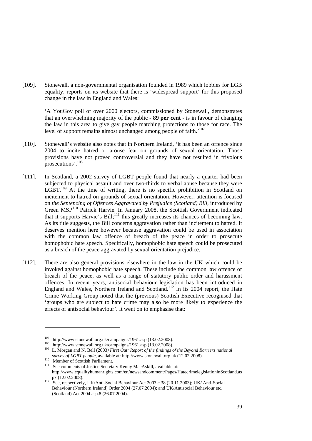[109]. Stonewall, a non-governmental organisation founded in 1989 which lobbies for LGB equality, reports on its website that there is 'widespread support' for this proposed change in the law in England and Wales:

> 'A YouGov poll of over 2000 electors, commissioned by Stonewall, demonstrates that an overwhelming majority of the public - **89 per cent** - is in favour of changing the law in this area to give gay people matching protections to those for race. The level of support remains almost unchanged among people of faith.'<sup>107</sup>

- [110]. Stonewall's website also notes that in Northern Ireland, 'it has been an offence since 2004 to incite hatred or arouse fear on grounds of sexual orientation. Those provisions have not proved controversial and they have not resulted in frivolous prosecutions'.<sup>108</sup>
- [111]. In Scotland, a 2002 survey of LGBT people found that nearly a quarter had been subjected to physical assault and over two-thirds to verbal abuse because they were  $LGBT$ <sup>109</sup> At the time of writing, there is no specific prohibition in Scotland on incitement to hatred on grounds of sexual orientation. However, attention is focused on *the Sentencing of Offences Aggravated by Prejudice (Scotland) Bill,* introduced by Green MSP110 Patrick Harvie. In January 2008, the Scottish Government indicated that it supports Harvie's Bill;<sup>111</sup> this greatly increases its chances of becoming law. As its title suggests, the Bill concerns aggravation rather than incitement to hatred. It deserves mention here however because aggravation could be used in association with the common law offence of breach of the peace in order to prosecute homophobic hate speech. Specifically, homophobic hate speech could be prosecuted as a breach of the peace aggravated by sexual orientation prejudice.
- [112]. There are also general provisions elsewhere in the law in the UK which could be invoked against homophobic hate speech. These include the common law offence of breach of the peace, as well as a range of statutory public order and harassment offences. In recent years, antisocial behaviour legislation has been introduced in England and Wales, Northern Ireland and Scotland.<sup>112</sup> In its 2004 report, the Hate Crime Working Group noted that the (previous) Scottish Executive recognised that 'groups who are subject to hate crime may also be more likely to experience the effects of antisocial behaviour'. It went on to emphasise that:

<sup>&</sup>lt;sup>107</sup> http://www.stonewall.org.uk/campaigns/1961.asp (13.02.2008).<br><sup>108</sup> http://www.stonewall.org.uk/campaigns/1961.asp (13.02.2008).<br><sup>109</sup> L. Morgan and N. Bell (2003) *First Out: Report of the findings of the Beyond Bar* 

*survey of LGBT people*, available at: http://www.stonewall.org.uk (12.02.2008).<br><sup>110</sup> Member of Scottish Parliament.<br><sup>111</sup> See comments of Justice Secretary Kenny MacAskill, available at: http://www.equalityhumanrights.com/en/newsandcomment/Pages/HatecrimelegislationinScotland.as px (12.02.2008).  $\overline{P}$ <br>
See, respectively, UK/Anti-Social Behaviour Act 2003 c.38 (20.11.2003); UK/ Anti-Social

Behaviour (Northern Ireland) Order 2004 (27.07.2004); and UK/Antisocial Behaviour etc. (Scotland) Act 2004 asp.8 (26.07.2004).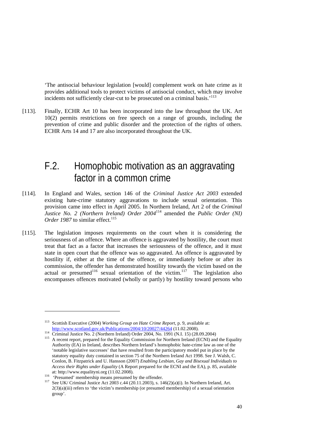'The antisocial behaviour legislation [would] complement work on hate crime as it provides additional tools to protect victims of antisocial conduct, which may involve incidents not sufficiently clear-cut to be prosecuted on a criminal basis.<sup> $113$ </sup>

[113]. Finally, ECHR Art 10 has been incorporated into the law throughout the UK. Art 10(2) permits restrictions on free speech on a range of grounds, including the prevention of crime and public disorder and the protection of the rights of others. ECHR Arts 14 and 17 are also incorporated throughout the UK.

### F.2. Homophobic motivation as an aggravating factor in a common crime

- [114]. In England and Wales, section 146 of the *Criminal Justice Act 2003* extended existing hate-crime statutory aggravations to include sexual orientation. This provision came into effect in April 2005. In Northern Ireland, Art 2 of the *Criminal Justice No. 2 (Northern Ireland) Order 2004*114 amended the *Public Order (NI) Order 1987* to similar effect.<sup>115</sup>
- [115]. The legislation imposes requirements on the court when it is considering the seriousness of an offence. Where an offence is aggravated by hostility, the court must treat that fact as a factor that increases the seriousness of the offence, and it must state in open court that the offence was so aggravated. An offence is aggravated by hostility if, either at the time of the offence, or immediately before or after its commission, the offender has demonstrated hostility towards the victim based on the actual or presumed<sup>116</sup> sexual orientation of the victim.<sup>117</sup> The legislation also encompasses offences motivated (wholly or partly) by hostility toward persons who

<sup>113</sup> Scottish Executive (2004) *Working Group on Hate Crime Report*, p. 9, available at:

 $\frac{\text{http://www.scotland.gov.uk/Publications/2004/10/20027/44264}}{\text{Criminal Justice No. 2 (Northern Ireland) Order 2004, No. 1991 (N.I. 15) (28.09.2004)}$ Authority (EA) in Ireland, describes Northern Ireland's homophobic hate-crime law as one of the 'notable legislative successes' that have resulted from the participatory model put in place by the statutory equality duty contained in section 75 of the Northern Ireland Act 1998. See J. Walsh, C. Conlon, B. Fitzpatrick and U. Hansson (2007) *Enabling Lesbian, Gay and Bisexual Individuals to Access their Rights under Equality* (A Report prepared for the ECNI and the EA), p. 85, available

at: http://www.equalityni.org (11.02.2008).<br>
<sup>116</sup> 'Presumed' membership means presumed by the offender.<br>
<sup>117</sup> See UK/ Criminal Justice Act 2003 c.44 (20.11.2003), s. 146(2)(a)(i). In Northern Ireland, Art.  $2(3)(a)(iii)$  refers to 'the victim's membership (or presumed membership) of a sexual orientation group'.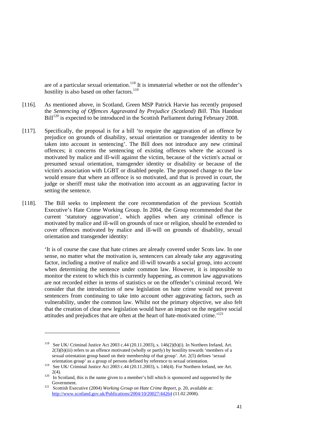are of a particular sexual orientation.<sup>118</sup> It is immaterial whether or not the offender's hostility is also based on other factors.<sup>119</sup>

- [116]. As mentioned above, in Scotland, Green MSP Patrick Harvie has recently proposed the *Sentencing of Offences Aggravated by Prejudice (Scotland) Bill*. This Handout Bill<sup>120</sup> is expected to be introduced in the Scottish Parliament during February 2008.
- [117]. Specifically, the proposal is for a bill 'to require the aggravation of an offence by prejudice on grounds of disability, sexual orientation or transgender identity to be taken into account in sentencing'. The Bill does not introduce any new criminal offences; it concerns the sentencing of existing offences where the accused is motivated by malice and ill-will against the victim, because of the victim's actual or presumed sexual orientation, transgender identity or disability or because of the victim's association with LGBT or disabled people. The proposed change to the law would ensure that where an offence is so motivated, and that is proved in court, the judge or sheriff must take the motivation into account as an aggravating factor in setting the sentence.
- [118]. The Bill seeks to implement the core recommendation of the previous Scottish Executive's Hate Crime Working Group. In 2004, the Group recommended that the current 'statutory aggravation', which applies when any criminal offence is motivated by malice and ill-will on grounds of race or religion, should be extended to cover offences motivated by malice and ill-will on grounds of disability, sexual orientation and transgender identity:

'It is of course the case that hate crimes are already covered under Scots law. In one sense, no matter what the motivation is, sentencers can already take any aggravating factor, including a motive of malice and ill-will towards a social group, into account when determining the sentence under common law. However, it is impossible to monitor the extent to which this is currently happening, as common law aggravations are not recorded either in terms of statistics or on the offender's criminal record. We consider that the introduction of new legislation on hate crime would not prevent sentencers from continuing to take into account other aggravating factors, such as vulnerability, under the common law. Whilst not the primary objective, we also felt that the creation of clear new legislation would have an impact on the negative social attitudes and prejudices that are often at the heart of hate-motivated crime.<sup>'121</sup>

-

<sup>&</sup>lt;sup>118</sup> See UK/ Criminal Justice Act 2003 c.44 (20.11.2003), s. 146(2)(b)(i). In Northern Ireland, Art.  $2(3)(b)(iii)$  refers to an offence motivated (wholly or partly) by hostility towards 'members of a sexual orientation group based on their membership of that group'. Art. 2(5) defines 'sexual

orientation group' as a group of persons defined by reference to sexual orientation.<br><sup>119</sup> See UK/ Criminal Justice Act 2003 c.44 (20.11.2003), s. 146(4). For Northern Ireland, see Art.

<sup>&</sup>lt;sup>2(4)</sup>. In Scotland, this is the name given to a member's bill which is sponsored and supported by the Government.<br><sup>121</sup> Scottish Executive (2004) *Working Group on Hate Crime Report*, p. 20, available at:

http://www.scotland.gov.uk/Publications/2004/10/20027/44264 (11.02.2008).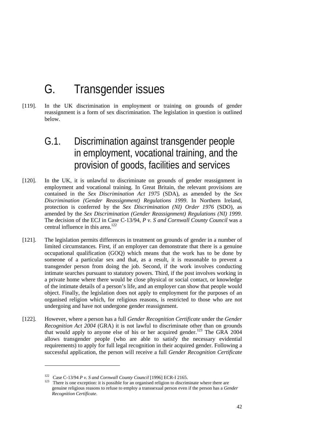## G. Transgender issues

[119]. In the UK discrimination in employment or training on grounds of gender reassignment is a form of sex discrimination. The legislation in question is outlined below.

## G.1. Discrimination against transgender people in employment, vocational training, and the provision of goods, facilities and services

- [120]. In the UK, it is unlawful to discriminate on grounds of gender reassignment in employment and vocational training. In Great Britain, the relevant provisions are contained in the *Sex Discrimination Act 1975* (SDA), as amended by the *Sex Discrimination (Gender Reassignment) Regulations 1999*. In Northern Ireland, protection is conferred by the *Sex Discrimination (NI) Order 1976* (SDO), as amended by the *Sex Discrimination (Gender Reassignment) Regulations (NI) 1999*. The decision of the ECJ in Case C-13/94, *P v. S and Cornwall County Council* was a central influence in this area.<sup>122</sup>
- [121]. The legislation permits differences in treatment on grounds of gender in a number of limited circumstances. First, if an employer can demonstrate that there is a genuine occupational qualification (GOQ) which means that the work has to be done by someone of a particular sex and that, as a result, it is reasonable to prevent a transgender person from doing the job. Second, if the work involves conducting intimate searches pursuant to statutory powers. Third, if the post involves working in a private home where there would be close physical or social contact, or knowledge of the intimate details of a person's life, and an employer can show that people would object. Finally, the legislation does not apply to employment for the purposes of an organised religion which, for religious reasons, is restricted to those who are not undergoing and have not undergone gender reassignment.
- [122]. However, where a person has a full *Gender Recognition Certificate* under the *Gender Recognition Act 2004* (GRA) it is not lawful to discriminate other than on grounds that would apply to anyone else of his or her acquired gender.<sup>123</sup> The GRA 2004 allows transgender people (who are able to satisfy the necessary evidential requirements) to apply for full legal recognition in their acquired gender. Following a successful application, the person will receive a full *Gender Recognition Certificate*

<sup>&</sup>lt;sup>122</sup> Case C-13/94 *P v. S and Cornwall County Council* [1996] ECR-I 2165.<br><sup>123</sup> There is one exception: it is possible for an organised religion to discriminate where there are genuine religious reasons to refuse to employ a transsexual person even if the person has a *Gender Recognition Certificate*.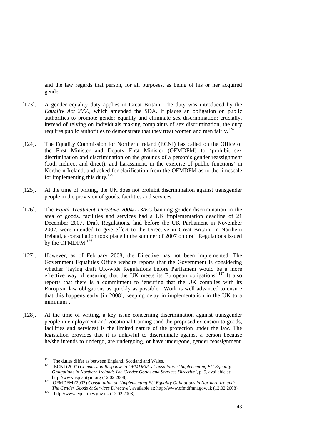and the law regards that person, for all purposes, as being of his or her acquired gender.

- [123]. A gender equality duty applies in Great Britain. The duty was introduced by the *Equality Act 2006*, which amended the SDA. It places an obligation on public authorities to promote gender equality and eliminate sex discrimination; crucially, instead of relying on individuals making complaints of sex discrimination, the duty requires public authorities to demonstrate that they treat women and men fairly.<sup>124</sup>
- [124]. The Equality Commission for Northern Ireland (ECNI) has called on the Office of the First Minister and Deputy First Minister (OFMDFM) to 'prohibit sex discrimination and discrimination on the grounds of a person's gender reassignment (both indirect and direct), and harassment, in the exercise of public functions' in Northern Ireland, and asked for clarification from the OFMDFM as to the timescale for implementing this duty.<sup>125</sup>
- [125]. At the time of writing, the UK does not prohibit discrimination against transgender people in the provision of goods, facilities and services.
- [126]. The *Equal Treatment Directive 2004/113/EC* banning gender discrimination in the area of goods, facilities and services had a UK implementation deadline of 21 December 2007. Draft Regulations, laid before the UK Parliament in November 2007, were intended to give effect to the Directive in Great Britain; in Northern Ireland, a consultation took place in the summer of 2007 on draft Regulations issued by the OFMDFM.<sup>126</sup>
- [127]. However, as of February 2008, the Directive has not been implemented. The Government Equalities Office website reports that the Government is considering whether 'laying draft UK-wide Regulations before Parliament would be a more effective way of ensuring that the UK meets its European obligations'.<sup>127</sup> It also reports that there is a commitment to 'ensuring that the UK complies with its European law obligations as quickly as possible. Work is well advanced to ensure that this happens early [in 2008], keeping delay in implementation in the UK to a minimum'.
- [128]. At the time of writing, a key issue concerning discrimination against transgender people in employment and vocational training (and the proposed extension to goods, facilities and services) is the limited nature of the protection under the law. The legislation provides that it is unlawful to discriminate against a person because he/she intends to undergo, are undergoing, or have undergone, gender reassignment.

<sup>&</sup>lt;sup>124</sup> The duties differ as between England, Scotland and Wales.<br><sup>125</sup> ECNI (2007) *Commission Response to OFMDFM's Consultation 'Implementing EU Equality Obligations in Northern Ireland: The Gender Goods and Services Directive'*, p. 5, available at:

http://www.equalityni.org (12.02.2008). 126 OFMDFM (2007) *Consultation on 'Implementing EU Equality Obligations in Northern Ireland:* 

*The Gender Goods & Services Directive'*, available at: http://www.ofmdfmni.gov.uk (12.02.2008).<br><sup>127</sup> http://www.equalities.gov.uk (12.02.2008).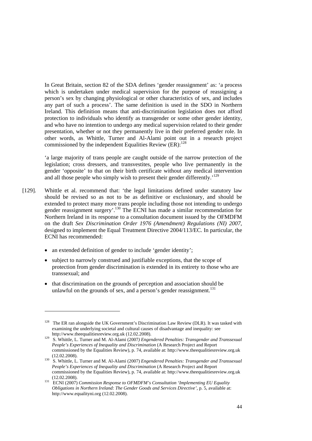In Great Britain, section 82 of the SDA defines 'gender reassignment' as: 'a process which is undertaken under medical supervision for the purpose of reassigning a person's sex by changing physiological or other characteristics of sex, and includes any part of such a process'. The same definition is used in the SDO in Northern Ireland. This definition means that anti-discrimination legislation does not afford protection to individuals who identify as transgender or some other gender identity, and who have no intention to undergo any medical supervision related to their gender presentation, whether or not they permanently live in their preferred gender role. In other words, as Whittle, Turner and Al-Alami point out in a research project commissioned by the independent Equalities Review  $(ER)$ :<sup>128</sup>

'a large majority of trans people are caught outside of the narrow protection of the legislation; cross dressers, and transvestites, people who live permanently in the gender 'opposite' to that on their birth certificate without any medical intervention and all those people who simply wish to present their gender differently.<sup>'129</sup>

- [129]. Whittle et al. recommend that: 'the legal limitations defined under statutory law should be revised so as not to be as definitive or exclusionary, and should be extended to protect many more trans people including those not intending to undergo gender reassignment surgery'.130 The ECNI has made a similar recommendation for Northern Ireland in its response to a consultation document issued by the OFMDFM on the draft *Sex Discrimination Order 1976 (Amendment) Regulations (NI) 2007*, designed to implement the Equal Treatment Directive 2004/113/EC. In particular, the ECNI has recommended:
	- an extended definition of gender to include 'gender identity';

- subject to narrowly construed and justifiable exceptions, that the scope of protection from gender discrimination is extended in its entirety to those who are transsexual; and
- that discrimination on the grounds of perception and association should be unlawful on the grounds of sex, and a person's gender reassignment.<sup>131</sup>

 $128$  The ER ran alongside the UK Government's Discrimination Law Review (DLR). It was tasked with examining the underlying societal and cultural causes of disadvantage and inequality: see http://www.theequalitiesreview.org.uk (12.02.2008).

http://www.theedualitiesreview.org.uk (12007). 129 S. Whittle, L. Turner and M. Al-Alami (2007*) Engendered Penalties: Transgender and Transsexual People's Experiences of Inequality and Discrimination* (A Research Project and Report commissioned by the Equalities Review), p. 74, available at: http://www.theequalitiesreview.org.uk

<sup>(12.02.2008). 130</sup> S. Whittle, L. Turner and M. Al-Alami (2007) *Engendered Penalties: Transgender and Transsexual People's Experiences of Inequality and Discrimination* (A Research Project and Report commissioned by the Equalities Review), p. 74, available at: http://www.theequalitiesreview.org.uk

<sup>(12.02.2008). 131</sup> ECNI (2007) *Commission Response to OFMDFM's Consultation 'Implementing EU Equality Obligations in Northern Ireland: The Gender Goods and Services Directive'*, p. 5, available at: http://www.equalityni.org (12.02.2008).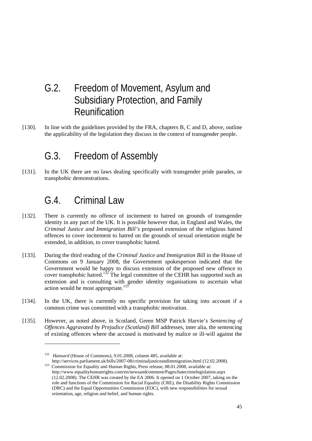## G.2. Freedom of Movement, Asylum and Subsidiary Protection, and Family Reunification

[130]. In line with the guidelines provided by the FRA, chapters B, C and D, above, outline the applicability of the legislation they discuss in the context of transgender people.

## G.3. Freedom of Assembly

[131]. In the UK there are no laws dealing specifically with transgender pride parades, or transphobic demonstrations.

## G.4. Criminal Law

1

- [132]. There is currently no offence of incitement to hatred on grounds of transgender identity in any part of the UK. It is possible however that, in England and Wales, the *Criminal Justice and Immigration Bill's* proposed extension of the religious hatred offences to cover incitement to hatred on the grounds of sexual orientation might be extended, in addition, to cover transphobic hatred.
- [133]. During the third reading of the *Criminal Justice and Immigration Bill* in the House of Commons on 9 January 2008, the Government spokesperson indicated that the Government would be happy to discuss extension of the proposed new offence to cover transphobic hatred.<sup>132</sup> The legal committee of the CEHR has supported such an extension and is consulting with gender identity organisations to ascertain what action would be most appropriate.<sup>133</sup>
- [134]. In the UK, there is currently no specific provision for taking into account if a common crime was committed with a transphobic motivation.
- [135]. However, as noted above, in Scotland, Green MSP Patrick Harvie's *Sentencing of Offences Aggravated by Prejudice (Scotland) Bill* addresses, inter alia, the sentencing of existing offences where the accused is motivated by malice or ill-will against the

http://services.parliament.uk/bills/2007-08/criminaljusticeandimmigration.html (12.02.2008). 133 Commission for Equality and Human Rights, Press release, 08.01.2008, available at: http://www.equalityhumanrights.com/en/newsandcomment/Pages/hatecrimelegislation.aspx

<sup>132</sup> *Hansard* (House of Commons), 9.01.2008, column 485, available at:

<sup>(12.02.2008).</sup> The CEHR was created by the EA 2006. It opened on 1 October 2007, taking on the role and functions of the Commission for Racial Equality (CRE), the Disability Rights Commission (DRC) and the Equal Opportunities Commission (EOC), with new responsibilities for sexual orientation, age, religion and belief, and human rights.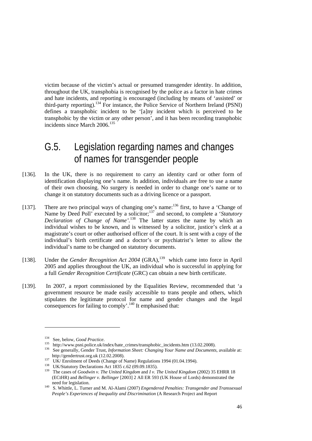victim because of the victim's actual or presumed transgender identity. In addition, throughout the UK, transphobia is recognised by the police as a factor in hate crimes and hate incidents, and reporting is encouraged (including by means of 'assisted' or third-party reporting).<sup>134</sup> For instance, the Police Service of Northern Ireland (PSNI) defines a transphobic incident to be '[a]ny incident which is perceived to be transphobic by the victim or any other person', and it has been recording transphobic incidents since March 2006.<sup>135</sup>

## G.5. Legislation regarding names and changes of names for transgender people

- [136]. In the UK, there is no requirement to carry an identity card or other form of identification displaying one's name. In addition, individuals are free to use a name of their own choosing. No surgery is needed in order to change one's name or to change it on statutory documents such as a driving licence or a passport.
- [137]. There are two principal ways of changing one's name:<sup>136</sup> first, to have a 'Change of Name by Deed Poll' executed by a solicitor;<sup>137</sup> and second, to complete a '*Statutory Declaration of Change of Name'*. 138 The latter states the name by which an individual wishes to be known, and is witnessed by a solicitor, justice's clerk at a magistrate's court or other authorised officer of the court. It is sent with a copy of the individual's birth certificate and a doctor's or psychiatrist's letter to allow the individual's name to be changed on statutory documents.
- [138]. Under the *Gender Recognition Act 2004* (GRA),<sup>139</sup> which came into force in April 2005 and applies throughout the UK, an individual who is successful in applying for a full *Gender Recognition Certificate* (GRC) can obtain a new birth certificate.
- [139]. In 2007, a report commissioned by the Equalities Review, recommended that 'a government resource be made easily accessible to trans people and others, which stipulates the legitimate protocol for name and gender changes and the legal consequences for failing to comply'.<sup>140</sup> It emphasised that:

<sup>&</sup>lt;sup>134</sup> See, below, *Good Practice*.<br>
http://www.psni.police.uk/index/hate\_crimes/transphobic\_incidents.htm (13.02.2008).<br>
<sup>136</sup> See generally, Gender Trust, *Information Sheet: Changing Your Name and Documents*, available

http://gendertrust.org.uk (12.02.2008).<br>
<sup>137</sup> UK/ Enrolment of Deeds (Change of Name) Regulations 1994 (01.04.1994).<br>
<sup>138</sup> UK/Statutory Declarations Act 1835 c.62 (09.09.1835).<br>
<sup>139</sup> The cases of *Goodwin v. The United* (ECtHR) and *Bellinger v. Bellinger* [2003] 2 All ER 593 (UK House of Lords) demonstrated the

need for legislation. 140 S. Whittle, L. Turner and M. Al-Alami (2007) *Engendered Penalties: Transgender and Transsexual People's Experiences of Inequality and Discrimination* (A Research Project and Report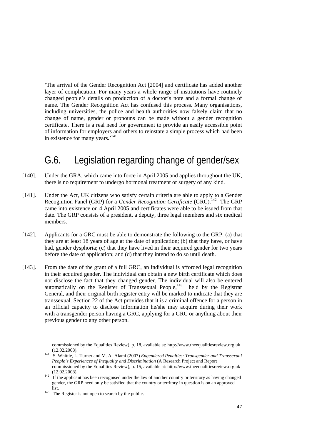'The arrival of the Gender Recognition Act [2004] and certificate has added another layer of complication. For many years a whole range of institutions have routinely changed people's details on production of a doctor's note and a formal change of name. The Gender Recognition Act has confused this process. Many organisations, including universities, the police and health authorities now falsely claim that no change of name, gender or pronouns can be made without a gender recognition certificate. There is a real need for government to provide an easily accessible point of information for employers and others to reinstate a simple process which had been in existence for many years.'<sup>141</sup>

## G.6. Legislation regarding change of gender/sex

- [140]. Under the GRA, which came into force in April 2005 and applies throughout the UK, there is no requirement to undergo hormonal treatment or surgery of any kind.
- [141]. Under the Act, UK citizens who satisfy certain criteria are able to apply to a Gender Recognition Panel (GRP) for a *Gender Recognition Certificate* (GRC).<sup>142</sup> The GRP came into existence on 4 April 2005 and certificates were able to be issued from that date. The GRP consists of a president, a deputy, three legal members and six medical members.
- [142]. Applicants for a GRC must be able to demonstrate the following to the GRP: (a) that they are at least 18 years of age at the date of application; (b) that they have, or have had, gender dysphoria; (c) that they have lived in their acquired gender for two years before the date of application; and (d) that they intend to do so until death.
- [143]. From the date of the grant of a full GRC, an individual is afforded legal recognition in their acquired gender. The individual can obtain a new birth certificate which does not disclose the fact that they changed gender. The individual will also be entered automatically on the Register of Transsexual People,<sup>143</sup> held by the Registrar General, and their original birth register entry will be marked to indicate that they are transsexual. Section 22 of the Act provides that it is a criminal offence for a person in an official capacity to disclose information he/she may acquire during their work with a transgender person having a GRC, applying for a GRC or anything about their previous gender to any other person.

-

commissioned by the Equalities Review), p. 18, available at: http://www.theequalitiesreview.org.uk

<sup>(12.02.2008). 141</sup> S. Whittle, L. Turner and M. Al-Alami (2007) *Engendered Penalties: Transgender and Transsexual People's Experiences of Inequality and Discrimination* (A Research Project and Report commissioned by the Equalities Review), p. 15, available at: http://www.theequalitiesreview.org.uk

 $(12.02.2008)$ .<br><sup>142</sup> If the applicant has been recognised under the law of another country or territory as having changed gender, the GRP need only be satisfied that the country or territory in question is on an approved

list.  $\frac{143}{143}$  The Register is not open to search by the public.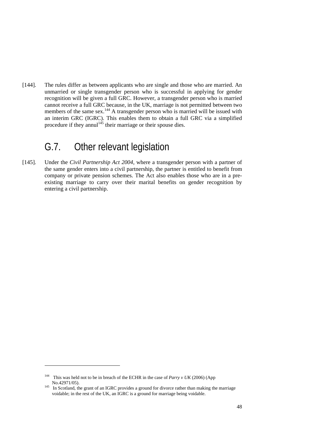[144]. The rules differ as between applicants who are single and those who are married. An unmarried or single transgender person who is successful in applying for gender recognition will be given a full GRC. However, a transgender person who is married cannot receive a full GRC because, in the UK, marriage is not permitted between two members of the same sex.<sup>144</sup> A transgender person who is married will be issued with an interim GRC (IGRC). This enables them to obtain a full GRC via a simplified procedure if they annul<sup>145</sup> their marriage or their spouse dies.

## G.7. Other relevant legislation

[145]. Under the *Civil Partnership Act 2004*, where a transgender person with a partner of the same gender enters into a civil partnership, the partner is entitled to benefit from company or private pension schemes. The Act also enables those who are in a preexisting marriage to carry over their marital benefits on gender recognition by entering a civil partnership.

<sup>144</sup> This was held not to be in breach of the ECHR in the case of *Parry v UK* (2006) (App No.42971/05).<br><sup>145</sup> In Scotland, the grant of an IGRC provides a ground for divorce rather than making the marriage

voidable; in the rest of the UK, an IGRC is a ground for marriage being voidable.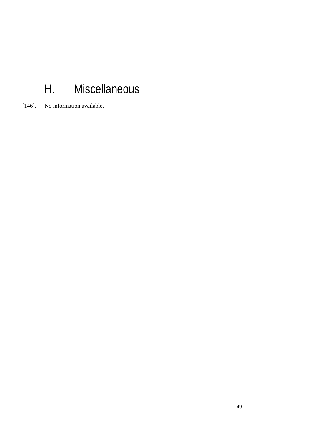# H. Miscellaneous

[146]. No information available.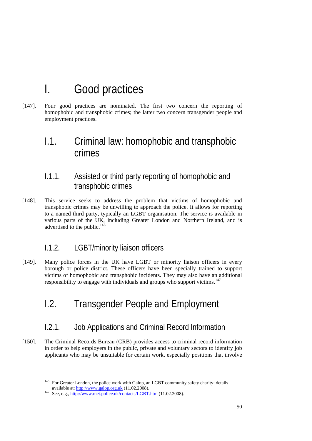# I. Good practices

[147]. Four good practices are nominated. The first two concern the reporting of homophobic and transphobic crimes; the latter two concern transgender people and employment practices.

## I.1. Criminal law: homophobic and transphobic crimes

### I.1.1. Assisted or third party reporting of homophobic and transphobic crimes

[148]. This service seeks to address the problem that victims of homophobic and transphobic crimes may be unwilling to approach the police. It allows for reporting to a named third party, typically an LGBT organisation. The service is available in various parts of the UK, including Greater London and Northern Ireland, and is advertised to the public. $146$ 

### I.1.2. LGBT/minority liaison officers

[149]. Many police forces in the UK have LGBT or minority liaison officers in every borough or police district. These officers have been specially trained to support victims of homophobic and transphobic incidents. They may also have an additional responsibility to engage with individuals and groups who support victims.<sup>147</sup>

## I.2. Transgender People and Employment

### I.2.1. Job Applications and Criminal Record Information

[150]. The Criminal Records Bureau (CRB) provides access to criminal record information in order to help employers in the public, private and voluntary sectors to identify job applicants who may be unsuitable for certain work, especially positions that involve

<sup>&</sup>lt;sup>146</sup> For Greater London, the police work with Galop, an LGBT community safety charity: details

available at: http://www.galop.org.uk (11.02.2008).<br>
See, e.g., http://www.met.police.uk/contacts/LGBT.htm (11.02.2008).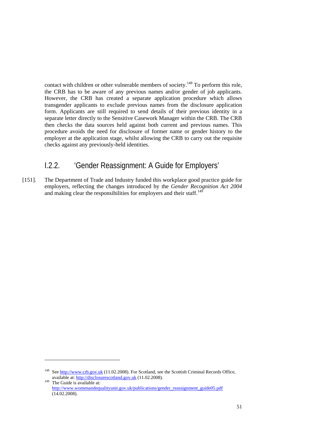contact with children or other vulnerable members of society.<sup>148</sup> To perform this role, the CRB has to be aware of any previous names and/or gender of job applicants. However, the CRB has created a separate application procedure which allows transgender applicants to exclude previous names from the disclosure application form. Applicants are still required to send details of their previous identity in a separate letter directly to the Sensitive Casework Manager within the CRB. The CRB then checks the data sources held against both current and previous names. This procedure avoids the need for disclosure of former name or gender history to the employer at the application stage, whilst allowing the CRB to carry out the requisite checks against any previously-held identities.

### I.2.2. 'Gender Reassignment: A Guide for Employers'

[151]. The Department of Trade and Industry funded this workplace good practice guide for employers, reflecting the changes introduced by the *Gender Recognition Act 2004* and making clear the responsibilities for employers and their staff.<sup>149</sup>

-

<sup>&</sup>lt;sup>148</sup> See http://www.crb.gov.uk (11.02.2008). For Scotland, see the Scottish Criminal Records Office, available at: http://disclosurescotland.gov.uk (11.02.2008).<br><sup>149</sup> The Guide is available at:

http://www.womenandequalityunit.gov.uk/publications/gender\_reassignment\_guide05.pdf (14.02.2008).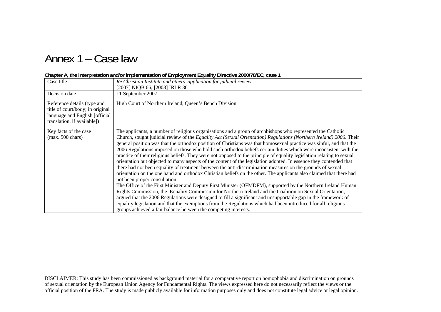## Annex 1 – Case law

#### **Chapter A, the interpretation and/or implementation of Employment Equality Directive 2000/78/EC, case 1**

| Case title<br>Decision date<br>Reference details (type and<br>title of court/body; in original<br>language and English [official | Re Christian Institute and others' application for judicial review<br>[2007] NIQB 66; [2008] IRLR 36<br>11 September 2007<br>High Court of Northern Ireland, Queen's Bench Division                                                                                                                                                                                                                                                                                                                                                                                                                                                                                                                                                                                                                                                                                                                                                                                                                                                                                                                                                                                                                                                                                                                                                                                                                                                                                                                                                  |
|----------------------------------------------------------------------------------------------------------------------------------|--------------------------------------------------------------------------------------------------------------------------------------------------------------------------------------------------------------------------------------------------------------------------------------------------------------------------------------------------------------------------------------------------------------------------------------------------------------------------------------------------------------------------------------------------------------------------------------------------------------------------------------------------------------------------------------------------------------------------------------------------------------------------------------------------------------------------------------------------------------------------------------------------------------------------------------------------------------------------------------------------------------------------------------------------------------------------------------------------------------------------------------------------------------------------------------------------------------------------------------------------------------------------------------------------------------------------------------------------------------------------------------------------------------------------------------------------------------------------------------------------------------------------------------|
| translation, if available])<br>Key facts of the case<br>$(max. 500 \text{ chars})$                                               | The applicants, a number of religious organisations and a group of archbishops who represented the Catholic<br>Church, sought judicial review of the Equality Act (Sexual Orientation) Regulations (Northern Ireland) 2006. Their<br>general position was that the orthodox position of Christians was that homosexual practice was sinful, and that the<br>2006 Regulations imposed on those who hold such orthodox beliefs certain duties which were inconsistent with the<br>practice of their religious beliefs. They were not opposed to the principle of equality legislation relating to sexual<br>orientation but objected to many aspects of the content of the legislation adopted. In essence they contended that<br>there had not been equality of treatment between the anti-discrimination measures on the grounds of sexual<br>orientation on the one hand and orthodox Christian beliefs on the other. The applicants also claimed that there had<br>not been proper consultation.<br>The Office of the First Minister and Deputy First Minister (OFMDFM), supported by the Northern Ireland Human<br>Rights Commission, the Equality Commission for Northern Ireland and the Coalition on Sexual Orientation,<br>argued that the 2006 Regulations were designed to fill a significant and unsupportable gap in the framework of<br>equality legislation and that the exemptions from the Regulations which had been introduced for all religious<br>groups achieved a fair balance between the competing interests. |

DISCLAIMER: This study has been commissioned as background material for a comparative report on homophobia and discrimination on grounds of sexual orientation by the European Union Agency for Fundamental Rights. The views expressed here do not necessarily reflect the views or the official position of the FRA. The study is made publicly available for information purposes only and does not constitute legal advice or legal opinion.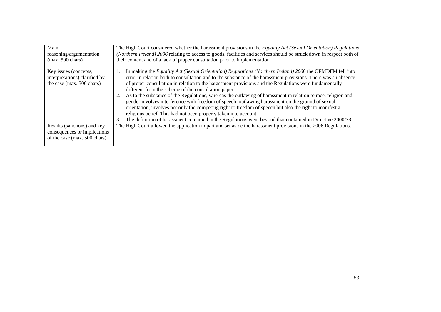| Main<br>reasoning/argumentation<br>$(max. 500 \text{ chars})$                               | The High Court considered whether the harassment provisions in the Equality Act (Sexual Orientation) Regulations<br>(Northern Ireland) 2006 relating to access to goods, facilities and services should be struck down in respect both of<br>their content and of a lack of proper consultation prior to implementation.                                                                                                                                                                                                                                                                                                                                                                                                                                                                                                                                                                                                     |  |  |  |
|---------------------------------------------------------------------------------------------|------------------------------------------------------------------------------------------------------------------------------------------------------------------------------------------------------------------------------------------------------------------------------------------------------------------------------------------------------------------------------------------------------------------------------------------------------------------------------------------------------------------------------------------------------------------------------------------------------------------------------------------------------------------------------------------------------------------------------------------------------------------------------------------------------------------------------------------------------------------------------------------------------------------------------|--|--|--|
| Key issues (concepts,<br>interpretations) clarified by<br>the case (max. 500 chars)         | In making the Equality Act (Sexual Orientation) Regulations (Northern Ireland) 2006 the OFMDFM fell into<br>1.<br>error in relation both to consultation and to the substance of the harassment provisions. There was an absence<br>of proper consultation in relation to the harassment provisions and the Regulations were fundamentally<br>different from the scheme of the consultation paper.<br>As to the substance of the Regulations, whereas the outlawing of harassment in relation to race, religion and<br>gender involves interference with freedom of speech, outlawing harassment on the ground of sexual<br>orientation, involves not only the competing right to freedom of speech but also the right to manifest a<br>religious belief. This had not been properly taken into account.<br>The definition of harassment contained in the Regulations went beyond that contained in Directive 2000/78.<br>3. |  |  |  |
| Results (sanctions) and key<br>consequences or implications<br>of the case (max. 500 chars) | The High Court allowed the application in part and set aside the harassment provisions in the 2006 Regulations.                                                                                                                                                                                                                                                                                                                                                                                                                                                                                                                                                                                                                                                                                                                                                                                                              |  |  |  |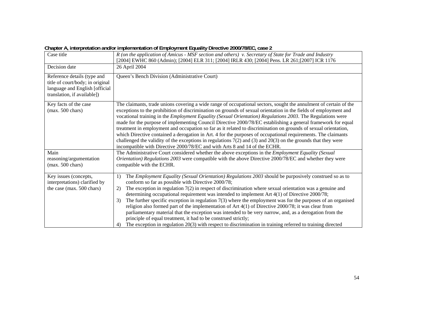| Case title                                                                                                                       | R (on the application of Amicus - MSF section and others) v. Secretary of State for Trade and Industry<br>[2004] EWHC 860 (Admin); [2004] ELR 311; [2004] IRLR 430; [2004] Pens. LR 261; [2007] ICR 1176                                                                                                                                                                                                                                                                                                                                                                                                                                                                                                                                                                                                                                                                                                                   |  |  |  |  |
|----------------------------------------------------------------------------------------------------------------------------------|----------------------------------------------------------------------------------------------------------------------------------------------------------------------------------------------------------------------------------------------------------------------------------------------------------------------------------------------------------------------------------------------------------------------------------------------------------------------------------------------------------------------------------------------------------------------------------------------------------------------------------------------------------------------------------------------------------------------------------------------------------------------------------------------------------------------------------------------------------------------------------------------------------------------------|--|--|--|--|
| Decision date                                                                                                                    | 26 April 2004                                                                                                                                                                                                                                                                                                                                                                                                                                                                                                                                                                                                                                                                                                                                                                                                                                                                                                              |  |  |  |  |
| Reference details (type and<br>title of court/body; in original<br>language and English [official<br>translation, if available]) | Queen's Bench Division (Administrative Court)                                                                                                                                                                                                                                                                                                                                                                                                                                                                                                                                                                                                                                                                                                                                                                                                                                                                              |  |  |  |  |
| Key facts of the case<br>$(max. 500 \text{ chars})$                                                                              | The claimants, trade unions covering a wide range of occupational sectors, sought the annulment of certain of the<br>exceptions to the prohibition of discrimination on grounds of sexual orientation in the fields of employment and<br>vocational training in the <i>Employment Equality</i> (Sexual Orientation) Regulations 2003. The Regulations were<br>made for the purpose of implementing Council Directive 2000/78/EC establishing a general framework for equal<br>treatment in employment and occupation so far as it related to discrimination on grounds of sexual orientation,<br>which Directive contained a derogation in Art. 4 for the purposes of occupational requirements. The claimants<br>challenged the validity of the exceptions in regulations $7(2)$ and $(3)$ and $20(3)$ on the grounds that they were<br>incompatible with Directive 2000/78/EC and with Arts 8 and 14 of the ECHR.        |  |  |  |  |
| Main<br>reasoning/argumentation<br>$(max. 500 \text{ chars})$                                                                    | The Administrative Court considered whether the above exceptions in the <i>Employment Equality (Sexual</i> )<br>Orientation) Regulations 2003 were compatible with the above Directive 2000/78/EC and whether they were<br>compatible with the ECHR.                                                                                                                                                                                                                                                                                                                                                                                                                                                                                                                                                                                                                                                                       |  |  |  |  |
| Key issues (concepts,<br>interpretations) clarified by<br>the case (max. 500 chars)                                              | The Employment Equality (Sexual Orientation) Regulations 2003 should be purposively construed so as to<br>1)<br>conform so far as possible with Directive 2000/78;<br>The exception in regulation $7(2)$ in respect of discrimination where sexual orientation was a genuine and<br>2)<br>determining occupational requirement was intended to implement Art 4(1) of Directive 2000/78;<br>The further specific exception in regulation $7(3)$ where the employment was for the purposes of an organised<br>3)<br>religion also formed part of the implementation of Art $4(1)$ of Directive 2000/78; it was clear from<br>parliamentary material that the exception was intended to be very narrow, and, as a derogation from the<br>principle of equal treatment, it had to be construed strictly;<br>The exception in regulation $20(3)$ with respect to discrimination in training referred to training directed<br>4) |  |  |  |  |

**Chapter A, interpretation and/or implementation of Employment Equality Directive 2000/78/EC, case 2**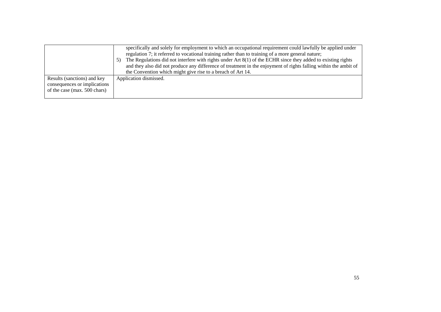|                                                                                             | specifically and solely for employment to which an occupational requirement could lawfully be applied under<br>regulation 7; it referred to vocational training rather than to training of a more general nature;<br>The Regulations did not interfere with rights under Art $8(1)$ of the ECHR since they added to existing rights<br>5)<br>and they also did not produce any difference of treatment in the enjoyment of rights falling within the ambit of<br>the Convention which might give rise to a breach of Art 14. |
|---------------------------------------------------------------------------------------------|------------------------------------------------------------------------------------------------------------------------------------------------------------------------------------------------------------------------------------------------------------------------------------------------------------------------------------------------------------------------------------------------------------------------------------------------------------------------------------------------------------------------------|
| Results (sanctions) and key<br>consequences or implications<br>of the case (max. 500 chars) | Application dismissed.                                                                                                                                                                                                                                                                                                                                                                                                                                                                                                       |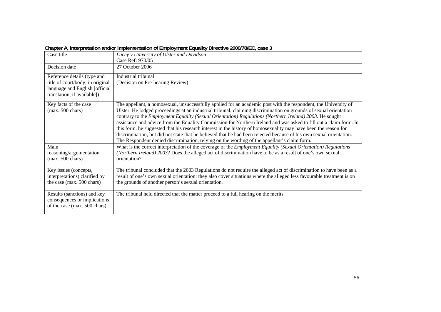|                                  | $\sim$ . The protection and or impromotion of Employment Equality Biroom $\sim$ Ecoen of Eq. (650)                         |
|----------------------------------|----------------------------------------------------------------------------------------------------------------------------|
| Case title                       | Lacey v University of Ulster and Davidson                                                                                  |
|                                  | Case Ref: 970/05                                                                                                           |
| Decision date                    | 27 October 2006                                                                                                            |
| Reference details (type and      | Industrial tribunal                                                                                                        |
| title of court/body; in original | (Decision on Pre-hearing Review)                                                                                           |
| language and English [official   |                                                                                                                            |
| translation, if available])      |                                                                                                                            |
| Key facts of the case            | The appellant, a homosexual, unsuccessfully applied for an academic post with the respondent, the University of            |
| $(max. 500 \text{ chars})$       | Ulster. He lodged proceedings at an industrial tribunal, claiming discrimination on grounds of sexual orientation          |
|                                  | contrary to the <i>Employment Equality</i> (Sexual Orientation) Regulations (Northern Ireland) 2003. He sought             |
|                                  | assistance and advice from the Equality Commission for Northern Ireland and was asked to fill out a claim form. In         |
|                                  | this form, he suggested that his research interest in the history of homosexuality may have been the reason for            |
|                                  | discrimination, but did not state that he believed that he had been rejected because of his own sexual orientation.        |
|                                  | The Respondent denied discrimination, relying on the wording of the appellant's claim form.                                |
| Main                             | What is the correct interpretation of the coverage of the <i>Employment Equality (Sexual Orientation) Regulations</i>      |
| reasoning/argumentation          | (Northern Ireland) 2003? Does the alleged act of discrimination have to be as a result of one's own sexual<br>orientation? |
| $(max. 500 \text{ chars})$       |                                                                                                                            |
| Key issues (concepts,            | The tribunal concluded that the 2003 Regulations do not require the alleged act of discrimination to have been as a        |
| interpretations) clarified by    | result of one's own sexual orientation; they also cover situations where the alleged less favourable treatment is on       |
| the case (max. 500 chars)        | the grounds of another person's sexual orientation.                                                                        |
| Results (sanctions) and key      | The tribunal held directed that the matter proceed to a full hearing on the merits.                                        |
| consequences or implications     |                                                                                                                            |
| of the case (max. 500 chars)     |                                                                                                                            |
|                                  |                                                                                                                            |

**Chapter A, interpretation and/or implementation of Employment Equality Directive 2000/78/EC, case 3**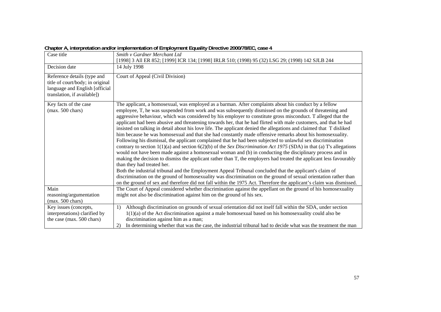| Case title                                                                                                                       | Smith v Gardner Merchant Ltd<br>[1998] 3 All ER 852; [1999] ICR 134; [1998] IRLR 510; (1998) 95 (32) LSG 29; (1998) 142 SJLB 244                                                                                                                                                                                                                                                                                                                                                                                                                                                                                                                                                                                                                                                                                                                                                                                                                                                                                                                                                                                                                                                                                                                                                                                                                                                                                                                                                                                                                                     |
|----------------------------------------------------------------------------------------------------------------------------------|----------------------------------------------------------------------------------------------------------------------------------------------------------------------------------------------------------------------------------------------------------------------------------------------------------------------------------------------------------------------------------------------------------------------------------------------------------------------------------------------------------------------------------------------------------------------------------------------------------------------------------------------------------------------------------------------------------------------------------------------------------------------------------------------------------------------------------------------------------------------------------------------------------------------------------------------------------------------------------------------------------------------------------------------------------------------------------------------------------------------------------------------------------------------------------------------------------------------------------------------------------------------------------------------------------------------------------------------------------------------------------------------------------------------------------------------------------------------------------------------------------------------------------------------------------------------|
| Decision date                                                                                                                    | 14 July 1998                                                                                                                                                                                                                                                                                                                                                                                                                                                                                                                                                                                                                                                                                                                                                                                                                                                                                                                                                                                                                                                                                                                                                                                                                                                                                                                                                                                                                                                                                                                                                         |
| Reference details (type and<br>title of court/body; in original<br>language and English [official<br>translation, if available]) | Court of Appeal (Civil Division)                                                                                                                                                                                                                                                                                                                                                                                                                                                                                                                                                                                                                                                                                                                                                                                                                                                                                                                                                                                                                                                                                                                                                                                                                                                                                                                                                                                                                                                                                                                                     |
| Key facts of the case<br>$(max. 500 \text{ chars})$                                                                              | The applicant, a homosexual, was employed as a barman. After complaints about his conduct by a fellow<br>employee, T, he was suspended from work and was subsequently dismissed on the grounds of threatening and<br>aggressive behaviour, which was considered by his employer to constitute gross misconduct. T alleged that the<br>applicant had been abusive and threatening towards her, that he had flirted with male customers, and that he had<br>insisted on talking in detail about his love life. The applicant denied the allegations and claimed that T disliked<br>him because he was homosexual and that she had constantly made offensive remarks about his homosexuality.<br>Following his dismissal, the applicant complained that he had been subjected to unlawful sex discrimination<br>contrary to section $1(1)(a)$ and section $6(2)(b)$ of the <i>Sex Discrimination Act 1975</i> (SDA) in that (a) T's allegations<br>would not have been made against a homosexual woman and (b) in conducting the disciplinary process and in<br>making the decision to dismiss the applicant rather than T, the employers had treated the applicant less favourably<br>than they had treated her.<br>Both the industrial tribunal and the Employment Appeal Tribunal concluded that the applicant's claim of<br>discrimination on the ground of homosexuality was discrimination on the ground of sexual orientation rather than<br>on the ground of sex and therefore did not fall within the 1975 Act. Therefore the applicant's claim was dismissed. |
| Main<br>reasoning/argumentation<br>$(max. 500 \text{ chars})$                                                                    | The Court of Appeal considered whether discrimination against the appellant on the ground of his homosexuality<br>might not also be discrimination against him on the ground of his sex.                                                                                                                                                                                                                                                                                                                                                                                                                                                                                                                                                                                                                                                                                                                                                                                                                                                                                                                                                                                                                                                                                                                                                                                                                                                                                                                                                                             |
| Key issues (concepts,<br>interpretations) clarified by<br>the case (max. 500 chars)                                              | Although discrimination on grounds of sexual orientation did not itself fall within the SDA, under section<br>1)<br>$1(1)(a)$ of the Act discrimination against a male homosexual based on his homosexuality could also be<br>discrimination against him as a man;<br>In determining whether that was the case, the industrial tribunal had to decide what was the treatment the man<br>2)                                                                                                                                                                                                                                                                                                                                                                                                                                                                                                                                                                                                                                                                                                                                                                                                                                                                                                                                                                                                                                                                                                                                                                           |
|                                                                                                                                  |                                                                                                                                                                                                                                                                                                                                                                                                                                                                                                                                                                                                                                                                                                                                                                                                                                                                                                                                                                                                                                                                                                                                                                                                                                                                                                                                                                                                                                                                                                                                                                      |

**Chapter A, interpretation and/or implementation of Employment Equality Directive 2000/78/EC, case 4**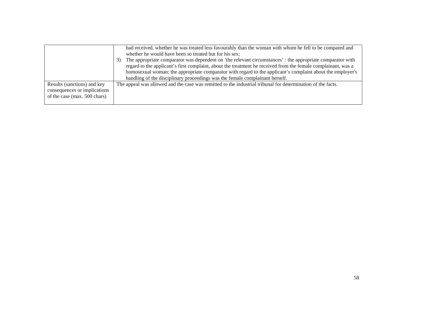|                                                                                             | had received, whether he was treated less favourably than the woman with whom he fell to be compared and<br>whether he would have been so treated but for his sex;<br>The appropriate comparator was dependent on 'the relevant circumstances': the appropriate comparator with<br>3)<br>regard to the applicant's first complaint, about the treatment he received from the female complainant, was a<br>homosexual woman; the appropriate comparator with regard to the applicant's complaint about the employer's<br>handling of the disciplinary proceedings was the female complainant herself. |
|---------------------------------------------------------------------------------------------|------------------------------------------------------------------------------------------------------------------------------------------------------------------------------------------------------------------------------------------------------------------------------------------------------------------------------------------------------------------------------------------------------------------------------------------------------------------------------------------------------------------------------------------------------------------------------------------------------|
| Results (sanctions) and key<br>consequences or implications<br>of the case (max. 500 chars) | The appeal was allowed and the case was remitted to the industrial tribunal for determination of the facts.                                                                                                                                                                                                                                                                                                                                                                                                                                                                                          |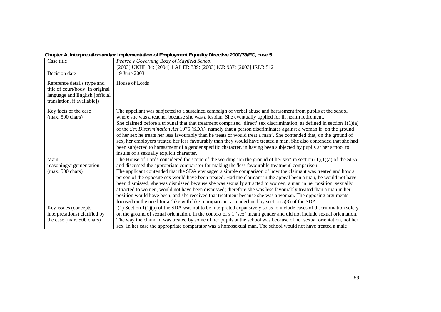|  | Chapter A, interpretation and/or implementation of Employment Equality Directive 2000/78/EC, case 5 |
|--|-----------------------------------------------------------------------------------------------------|
|  |                                                                                                     |

| Case title                                                                                                                       | Pearce v Governing Body of Mayfield School<br>[2003] UKHL 34; [2004] 1 All ER 339; [2003] ICR 937; [2003] IRLR 512                                                                                                                                                                                                                                                                                                                                                                                                                                                                                                                                                                                                                                                                                                                                                                                               |
|----------------------------------------------------------------------------------------------------------------------------------|------------------------------------------------------------------------------------------------------------------------------------------------------------------------------------------------------------------------------------------------------------------------------------------------------------------------------------------------------------------------------------------------------------------------------------------------------------------------------------------------------------------------------------------------------------------------------------------------------------------------------------------------------------------------------------------------------------------------------------------------------------------------------------------------------------------------------------------------------------------------------------------------------------------|
| Decision date                                                                                                                    | 19 June 2003                                                                                                                                                                                                                                                                                                                                                                                                                                                                                                                                                                                                                                                                                                                                                                                                                                                                                                     |
| Reference details (type and<br>title of court/body; in original<br>language and English [official<br>translation, if available]) | House of Lords                                                                                                                                                                                                                                                                                                                                                                                                                                                                                                                                                                                                                                                                                                                                                                                                                                                                                                   |
| Key facts of the case<br>$(max. 500 \text{ chars})$                                                                              | The appellant was subjected to a sustained campaign of verbal abuse and harassment from pupils at the school<br>where she was a teacher because she was a lesbian. She eventually applied for ill health retirement.<br>She claimed before a tribunal that that treatment comprised 'direct' sex discrimination, as defined in section $1(1)(a)$<br>of the Sex Discrimination Act 1975 (SDA), namely that a person discriminates against a woman if 'on the ground<br>of her sex he treats her less favourably than he treats or would treat a man'. She contended that, on the ground of<br>sex, her employers treated her less favourably than they would have treated a man. She also contended that she had<br>been subjected to harassment of a gender specific character, in having been subjected by pupils at her school to<br>insults of a sexually explicit character.                                 |
| Main<br>reasoning/argumentation<br>$(max. 500 \text{ chars})$                                                                    | The House of Lords considered the scope of the wording 'on the ground of her sex' in section $(1)(1)(a)$ of the SDA,<br>and discussed the appropriate comparator for making the 'less favourable treatment' comparison.<br>The applicant contended that the SDA envisaged a simple comparison of how the claimant was treated and how a<br>person of the opposite sex would have been treated. Had the claimant in the appeal been a man, he would not have<br>been dismissed; she was dismissed because she was sexually attracted to women; a man in her position, sexually<br>attracted to women, would not have been dismissed; therefore she was less favourably treated than a man in her<br>position would have been, and she received that treatment because she was a woman. The opposing arguments<br>focused on the need for a 'like with like' comparison, as underlined by section 5(3) of the SDA. |
| Key issues (concepts,<br>interpretations) clarified by<br>the case (max. 500 chars)                                              | $(1)$ Section $1(1)(a)$ of the SDA was not to be interpreted expansively so as to include cases of discrimination solely<br>on the ground of sexual orientation. In the context of s 1 'sex' meant gender and did not include sexual orientation.<br>The way the claimant was treated by some of her pupils at the school was because of her sexual orientation, not her<br>sex. In her case the appropriate comparator was a homosexual man. The school would not have treated a male                                                                                                                                                                                                                                                                                                                                                                                                                           |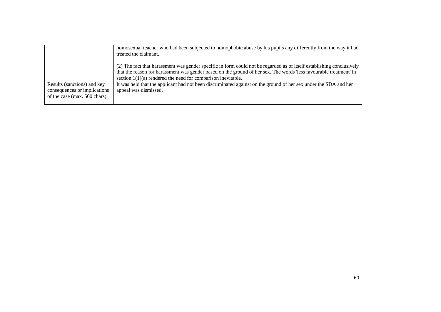|                                                                                             | homosexual teacher who had been subjected to homophobic abuse by his pupils any differently from the way it had<br>treated the claimant.                                                                                                                                                                      |  |  |  |
|---------------------------------------------------------------------------------------------|---------------------------------------------------------------------------------------------------------------------------------------------------------------------------------------------------------------------------------------------------------------------------------------------------------------|--|--|--|
|                                                                                             | (2) The fact that harassment was gender specific in form could not be regarded as of itself establishing conclusively<br>that the reason for harassment was gender based on the ground of her sex. The words 'less favourable treatment' in<br>section $1(1)(a)$ rendered the need for comparison inevitable. |  |  |  |
| Results (sanctions) and key<br>consequences or implications<br>of the case (max. 500 chars) | It was held that the applicant had not been discriminated against on the ground of her sex under the SDA and her<br>appeal was dismissed.                                                                                                                                                                     |  |  |  |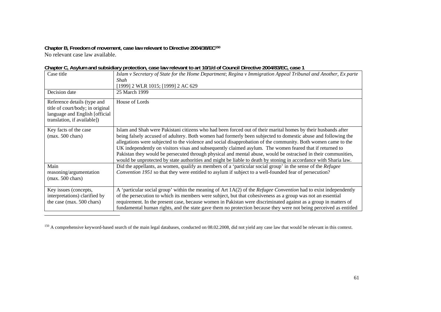**Chapter B, Freedom of movement, case law relevant to Directive 2004/38/EC150** No relevant case law available.

|                                                                                                                                  | onapici o <sub>r</sub> no jiam ana babbiaia y protoction, cabo iaw roiovant to art forma or obanch bircotivo zoomobizo, cabo i                                                                                                                                                                                                                                                                                                                                                                                                                                                                                                                                                                    |
|----------------------------------------------------------------------------------------------------------------------------------|---------------------------------------------------------------------------------------------------------------------------------------------------------------------------------------------------------------------------------------------------------------------------------------------------------------------------------------------------------------------------------------------------------------------------------------------------------------------------------------------------------------------------------------------------------------------------------------------------------------------------------------------------------------------------------------------------|
| Case title                                                                                                                       | Islam v Secretary of State for the Home Department; Regina v Immigration Appeal Tribunal and Another, Ex parte<br>Shah                                                                                                                                                                                                                                                                                                                                                                                                                                                                                                                                                                            |
|                                                                                                                                  | [1999] 2 WLR 1015; [1999] 2 AC 629                                                                                                                                                                                                                                                                                                                                                                                                                                                                                                                                                                                                                                                                |
| Decision date                                                                                                                    | 25 March 1999                                                                                                                                                                                                                                                                                                                                                                                                                                                                                                                                                                                                                                                                                     |
| Reference details (type and<br>title of court/body; in original<br>language and English [official<br>translation, if available]) | House of Lords                                                                                                                                                                                                                                                                                                                                                                                                                                                                                                                                                                                                                                                                                    |
| Key facts of the case<br>$(max. 500 \text{ chars})$                                                                              | Islam and Shah were Pakistani citizens who had been forced out of their marital homes by their husbands after<br>being falsely accused of adultery. Both women had formerly been subjected to domestic abuse and following the<br>allegations were subjected to the violence and social disapprobation of the community. Both women came to the<br>UK independently on visitors visas and subsequently claimed asylum. The women feared that if returned to<br>Pakistan they would be persecuted through physical and mental abuse, would be ostracised in their communities,<br>would be unprotected by state authorities and might be liable to death by stoning in accordance with Sharia law. |
| Main<br>reasoning/argumentation<br>$(max. 500 \text{ chars})$                                                                    | Did the appellants, as women, qualify as members of a 'particular social group' in the sense of the Refugee<br>Convention 1951 so that they were entitled to asylum if subject to a well-founded fear of persecution?                                                                                                                                                                                                                                                                                                                                                                                                                                                                             |
| Key issues (concepts,<br>interpretations) clarified by<br>the case (max. 500 chars)                                              | A 'particular social group' within the meaning of Art 1A(2) of the Refugee Convention had to exist independently<br>of the persecution to which its members were subject, but that cohesiveness as a group was not an essential<br>requirement. In the present case, because women in Pakistan were discriminated against as a group in matters of<br>fundamental human rights, and the state gave them no protection because they were not being perceived as entitled                                                                                                                                                                                                                           |

| Chapter C, Asylum and subsidiary protection, case law relevant to art 10/1/d of Council Directive 2004/83/EC, case 1 |  |  |  |  |
|----------------------------------------------------------------------------------------------------------------------|--|--|--|--|
|----------------------------------------------------------------------------------------------------------------------|--|--|--|--|

<sup>&</sup>lt;sup>150</sup> A comprehensive keyword-based search of the main legal databases, conducted on 08.02.2008, did not yield any case law that would be relevant in this context.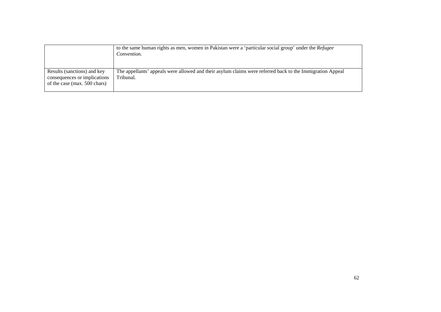|                                                                                             | to the same human rights as men, women in Pakistan were a 'particular social group' under the Refugee<br>Convention.   |
|---------------------------------------------------------------------------------------------|------------------------------------------------------------------------------------------------------------------------|
| Results (sanctions) and key<br>consequences or implications<br>of the case (max. 500 chars) | The appellants' appeals were allowed and their asylum claims were referred back to the Immigration Appeal<br>Tribunal. |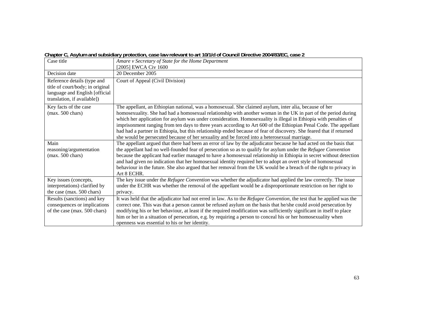|  |  |  | Chapter C, Asylum and subsidiary protection, case law relevant to art 10/1/d of Council Directive 2004/83/EC, case 2 |  |
|--|--|--|----------------------------------------------------------------------------------------------------------------------|--|
|--|--|--|----------------------------------------------------------------------------------------------------------------------|--|

| Case title                                                                                                                       | Amare v Secretary of State for the Home Department<br>[2005] EWCA Civ 1600                                                                                                                                                                                                                                                                                                                                                                                                                                                                                                                                                                                                                |
|----------------------------------------------------------------------------------------------------------------------------------|-------------------------------------------------------------------------------------------------------------------------------------------------------------------------------------------------------------------------------------------------------------------------------------------------------------------------------------------------------------------------------------------------------------------------------------------------------------------------------------------------------------------------------------------------------------------------------------------------------------------------------------------------------------------------------------------|
| Decision date                                                                                                                    | 20 December 2005                                                                                                                                                                                                                                                                                                                                                                                                                                                                                                                                                                                                                                                                          |
| Reference details (type and<br>title of court/body; in original<br>language and English [official<br>translation, if available]) | Court of Appeal (Civil Division)                                                                                                                                                                                                                                                                                                                                                                                                                                                                                                                                                                                                                                                          |
| Key facts of the case<br>$(max. 500 \text{ chars})$                                                                              | The appellant, an Ethiopian national, was a homosexual. She claimed asylum, inter alia, because of her<br>homosexuality. She had had a homosexual relationship with another woman in the UK in part of the period during<br>which her application for asylum was under consideration. Homosexuality is illegal in Ethiopia with penalties of<br>imprisonment ranging from ten days to three years according to Art 600 of the Ethiopian Penal Code. The appellant<br>had had a partner in Ethiopia, but this relationship ended because of fear of discovery. She feared that if returned<br>she would be persecuted because of her sexuality and be forced into a heterosexual marriage. |
| Main<br>reasoning/argumentation<br>$(max. 500 \text{ chars})$                                                                    | The appellant argued that there had been an error of law by the adjudicator because he had acted on the basis that<br>the appellant had no well-founded fear of persecution so as to qualify for asylum under the Refugee Convention<br>because the applicant had earlier managed to have a homosexual relationship in Ethiopia in secret without detection<br>and had given no indication that her homosexual identity required her to adopt an overt style of homosexual<br>behaviour in the future. She also argued that her removal from the UK would be a breach of the right to privacy in<br>Art 8 ECHR.                                                                           |
| Key issues (concepts,<br>interpretations) clarified by<br>the case (max. 500 chars)                                              | The key issue under the <i>Refugee Convention</i> was whether the adjudicator had applied the law correctly. The issue<br>under the ECHR was whether the removal of the appellant would be a disproportionate restriction on her right to<br>privacy.                                                                                                                                                                                                                                                                                                                                                                                                                                     |
| Results (sanctions) and key<br>consequences or implications<br>of the case (max. 500 chars)                                      | It was held that the adjudicator had not erred in law. As to the Refugee Convention, the test that he applied was the<br>correct one. This was that a person cannot be refused asylum on the basis that he/she could avoid persecution by<br>modifying his or her behaviour, at least if the required modification was sufficiently significant in itself to place<br>him or her in a situation of persecution, e.g. by requiring a person to conceal his or her homosexuality when<br>openness was essential to his or her identity.                                                                                                                                                     |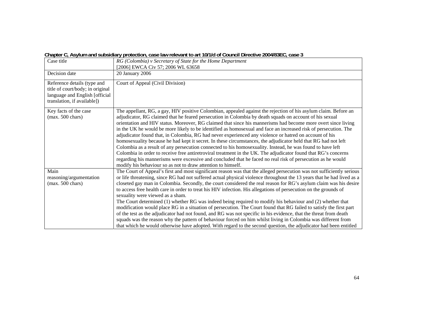| Chapter C, Asylum and subsidiary protection, case law relevant to art 10/1/d of Council Directive 2004/83EC, case 3 |  |  |  |
|---------------------------------------------------------------------------------------------------------------------|--|--|--|
|---------------------------------------------------------------------------------------------------------------------|--|--|--|

| Case title                                                                                                                       | RG (Colombia) v Secretary of State for the Home Department<br>[2006] EWCA Civ 57; 2006 WL 63658                                                                                                                                                                                                                                                                                                                                                                                                                                                                                                                                                                                                                                                                                                                                                                                                                                                                                                                                                                                                                              |
|----------------------------------------------------------------------------------------------------------------------------------|------------------------------------------------------------------------------------------------------------------------------------------------------------------------------------------------------------------------------------------------------------------------------------------------------------------------------------------------------------------------------------------------------------------------------------------------------------------------------------------------------------------------------------------------------------------------------------------------------------------------------------------------------------------------------------------------------------------------------------------------------------------------------------------------------------------------------------------------------------------------------------------------------------------------------------------------------------------------------------------------------------------------------------------------------------------------------------------------------------------------------|
| Decision date                                                                                                                    | 20 January 2006                                                                                                                                                                                                                                                                                                                                                                                                                                                                                                                                                                                                                                                                                                                                                                                                                                                                                                                                                                                                                                                                                                              |
| Reference details (type and<br>title of court/body; in original<br>language and English [official<br>translation, if available]) | Court of Appeal (Civil Division)                                                                                                                                                                                                                                                                                                                                                                                                                                                                                                                                                                                                                                                                                                                                                                                                                                                                                                                                                                                                                                                                                             |
| Key facts of the case<br>$(max. 500 \text{ chars})$                                                                              | The appellant, RG, a gay, HIV positive Colombian, appealed against the rejection of his asylum claim. Before an<br>adjudicator, RG claimed that he feared persecution in Colombia by death squads on account of his sexual<br>orientation and HIV status. Moreover, RG claimed that since his mannerisms had become more overt since living<br>in the UK he would be more likely to be identified as homosexual and face an increased risk of persecution. The<br>adjudicator found that, in Colombia, RG had never experienced any violence or hatred on account of his<br>homosexuality because he had kept it secret. In these circumstances, the adjudicator held that RG had not left<br>Colombia as a result of any persecution connected to his homosexuality. Instead, he was found to have left<br>Colombia in order to receive free antiretroviral treatment in the UK. The adjudicator found that RG's concerns<br>regarding his mannerisms were excessive and concluded that he faced no real risk of persecution as he would<br>modify his behaviour so as not to draw attention to himself.                    |
| Main<br>reasoning/argumentation<br>$(max. 500 \text{ chars})$                                                                    | The Court of Appeal's first and most significant reason was that the alleged persecution was not sufficiently serious<br>or life threatening, since RG had not suffered actual physical violence throughout the 13 years that he had lived as a<br>closeted gay man in Colombia. Secondly, the court considered the real reason for RG's asylum claim was his desire<br>to access free health care in order to treat his HIV infection. His allegations of persecution on the grounds of<br>sexuality were viewed as a sham.<br>The Court determined (1) whether RG was indeed being required to modify his behaviour and (2) whether that<br>modification would place RG in a situation of persecution. The Court found that RG failed to satisfy the first part<br>of the test as the adjudicator had not found, and RG was not specific in his evidence, that the threat from death<br>squads was the reason why the pattern of behaviour forced on him whilst living in Colombia was different from<br>that which he would otherwise have adopted. With regard to the second question, the adjudicator had been entitled |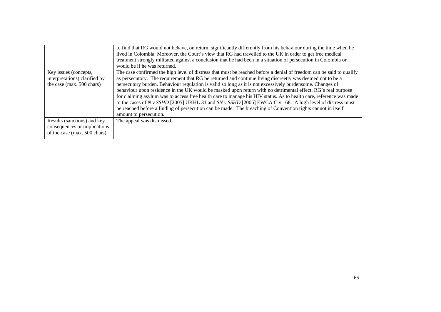|                               | to find that RG would not behave, on return, significantly differently from his behaviour during the time when he<br>lived in Colombia. Moreover, the Court's view that RG had travelled to the UK in order to get free medical<br>treatment strongly militated against a conclusion that he had been in a situation of persecution in Colombia or<br>would be if he was returned. |
|-------------------------------|------------------------------------------------------------------------------------------------------------------------------------------------------------------------------------------------------------------------------------------------------------------------------------------------------------------------------------------------------------------------------------|
| Key issues (concepts,         | The case confirmed the high level of distress that must be reached before a denial of freedom can be said to qualify                                                                                                                                                                                                                                                               |
| interpretations) clarified by | as persecutory. The requirement that RG be returned and continue living discreetly was deemed not to be a                                                                                                                                                                                                                                                                          |
| the case (max. 500 chars)     | persecutory burden. Behaviour regulation is valid so long as it is not excessively burdensome. Changes of                                                                                                                                                                                                                                                                          |
|                               | behaviour upon residence in the UK would be masked upon return with no detrimental effect. RG's real purpose                                                                                                                                                                                                                                                                       |
|                               | for claiming asylum was to access free health care to manage his HIV status. As to health care, reference was made                                                                                                                                                                                                                                                                 |
|                               | to the cases of N v SSHD [2005] UKHL 31 and SN v SSHD [2005] EWCA Civ 168. A high level of distress must                                                                                                                                                                                                                                                                           |
|                               | be reached before a finding of persecution can be made. The breaching of Convention rights cannot in itself                                                                                                                                                                                                                                                                        |
|                               | amount to persecution.                                                                                                                                                                                                                                                                                                                                                             |
| Results (sanctions) and key   | The appeal was dismissed.                                                                                                                                                                                                                                                                                                                                                          |
| consequences or implications  |                                                                                                                                                                                                                                                                                                                                                                                    |
| of the case (max. 500 chars)  |                                                                                                                                                                                                                                                                                                                                                                                    |
|                               |                                                                                                                                                                                                                                                                                                                                                                                    |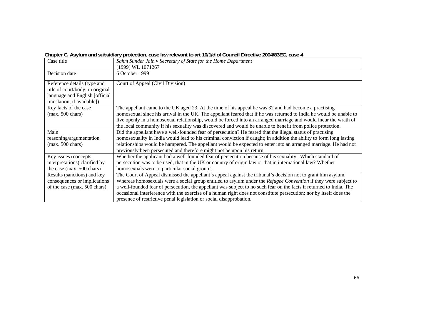|  |  |  | Chapter C, Asylum and subsidiary protection, case law relevant to art 10/1/d of Council Directive 2004/83EC, case 4 |
|--|--|--|---------------------------------------------------------------------------------------------------------------------|
|--|--|--|---------------------------------------------------------------------------------------------------------------------|

| Case title                       | Sahm Sunder Jain v Secretary of State for the Home Department                                                        |
|----------------------------------|----------------------------------------------------------------------------------------------------------------------|
|                                  | [1999] WL 1071267                                                                                                    |
| Decision date                    | 6 October 1999                                                                                                       |
| Reference details (type and      | Court of Appeal (Civil Division)                                                                                     |
| title of court/body; in original |                                                                                                                      |
| language and English [official   |                                                                                                                      |
| translation, if available])      |                                                                                                                      |
| Key facts of the case            | The appellant came to the UK aged 23. At the time of his appeal he was 32 and had become a practising                |
| $(max. 500 \text{ chars})$       | homosexual since his arrival in the UK. The appellant feared that if he was returned to India he would be unable to  |
|                                  | live openly in a homosexual relationship, would be forced into an arranged marriage and would incur the wrath of     |
|                                  | the local community if his sexuality was discovered and would be unable to benefit from police protection.           |
| Main                             | Did the appellant have a well-founded fear of persecution? He feared that the illegal status of practising           |
| reasoning/argumentation          | homosexuality in India would lead to his criminal conviction if caught; in addition the ability to form long lasting |
| $(max. 500 \text{ chars})$       | relationships would be hampered. The appellant would be expected to enter into an arranged marriage. He had not      |
|                                  | previously been persecuted and therefore might not be upon his return.                                               |
| Key issues (concepts,            | Whether the applicant had a well-founded fear of persecution because of his sexuality. Which standard of             |
| interpretations) clarified by    | persecution was to be used, that in the UK or country of origin law or that in international law? Whether            |
| the case (max. 500 chars)        | homosexuals were a 'particular social group'.                                                                        |
| Results (sanctions) and key      | The Court of Appeal dismissed the appellant's appeal against the tribunal's decision not to grant him asylum.        |
| consequences or implications     | Whereas homosexuals were a social group entitled to asylum under the Refugee Convention if they were subject to      |
| of the case (max. 500 chars)     | a well-founded fear of persecution, the appellant was subject to no such fear on the facts if returned to India. The |
|                                  | occasional interference with the exercise of a human right does not constitute persecution; nor by itself does the   |
|                                  | presence of restrictive penal legislation or social disapprobation.                                                  |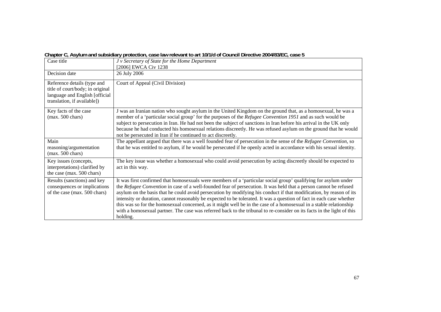#### **Chapter C, Asylum and subsidiary protection, case law relevant to art 10/1/d of Council Directive 2004/83/EC, case 5**

| Case title                                                                                                                       | J v Secretary of State for the Home Department<br>[2006] EWCA Civ 1238                                                                                                                                                                                                                                                                                                                                                                                                                                                                                                                                                                                                                                                                          |
|----------------------------------------------------------------------------------------------------------------------------------|-------------------------------------------------------------------------------------------------------------------------------------------------------------------------------------------------------------------------------------------------------------------------------------------------------------------------------------------------------------------------------------------------------------------------------------------------------------------------------------------------------------------------------------------------------------------------------------------------------------------------------------------------------------------------------------------------------------------------------------------------|
| Decision date                                                                                                                    | 26 July 2006                                                                                                                                                                                                                                                                                                                                                                                                                                                                                                                                                                                                                                                                                                                                    |
| Reference details (type and<br>title of court/body; in original<br>language and English [official<br>translation, if available]) | Court of Appeal (Civil Division)                                                                                                                                                                                                                                                                                                                                                                                                                                                                                                                                                                                                                                                                                                                |
| Key facts of the case<br>$(max. 500 \text{ chars})$                                                                              | J was an Iranian nation who sought asylum in the United Kingdom on the ground that, as a homosexual, he was a<br>member of a 'particular social group' for the purposes of the Refugee Convention 1951 and as such would be<br>subject to persecution in Iran. He had not been the subject of sanctions in Iran before his arrival in the UK only<br>because he had conducted his homosexual relations discreetly. He was refused asylum on the ground that he would<br>not be persecuted in Iran if he continued to act discreetly.                                                                                                                                                                                                            |
| Main<br>reasoning/argumentation<br>$(max. 500 \text{ chars})$                                                                    | The appellant argued that there was a well founded fear of persecution in the sense of the Refugee Convention, so<br>that he was entitled to asylum, if he would be persecuted if he openly acted in accordance with his sexual identity.                                                                                                                                                                                                                                                                                                                                                                                                                                                                                                       |
| Key issues (concepts,<br>interpretations) clarified by<br>the case (max. 500 chars)                                              | The key issue was whether a homosexual who could avoid persecution by acting discreetly should be expected to<br>act in this way.                                                                                                                                                                                                                                                                                                                                                                                                                                                                                                                                                                                                               |
| Results (sanctions) and key<br>consequences or implications<br>of the case (max. 500 chars)                                      | It was first confirmed that homosexuals were members of a 'particular social group' qualifying for asylum under<br>the Refugee Convention in case of a well-founded fear of persecution. It was held that a person cannot be refused<br>asylum on the basis that he could avoid persecution by modifying his conduct if that modification, by reason of its<br>intensity or duration, cannot reasonably be expected to be tolerated. It was a question of fact in each case whether<br>this was so for the homosexual concerned, as it might well be in the case of a homosexual in a stable relationship<br>with a homosexual partner. The case was referred back to the tribunal to re-consider on its facts in the light of this<br>holding. |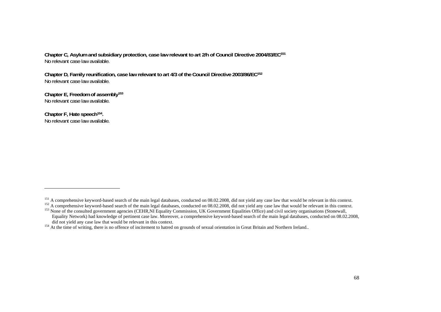**Chapter C, Asylum and subsidiary protection, case law relevant to art 2/h of Council Directive 2004/83/EC151** No relevant case law available.

**Chapter D, Family reunification, case law relevant to art 4/3 of the Council Directive 2003/86/EC152** No relevant case law available.

**Chapter E, Freedom of assembly153** No relevant case law available.

**Chapter F, Hate speech154.**  No relevant case law available.

<sup>&</sup>lt;sup>151</sup> A comprehensive keyword-based search of the main legal databases, conducted on 08.02.2008, did not yield any case law that would be relevant in this context.

<sup>&</sup>lt;sup>152</sup> A comprehensive keyword-based search of the main legal databases, conducted on 08.02.2008, did not yield any case law that would be relevant in this context.

<sup>&</sup>lt;sup>153</sup> None of the consulted government agencies (CEHR, NI Equality Commission, UK Government Equalities Office) and civil society organisations (Stonewall, Equality Network) had knowledge of pertinent case law. Moreover, a comprehensive keyword-based search of the main legal databases, conducted on 08.02.2008, did not yield any case law that would be relevant in this context.

<sup>&</sup>lt;sup>154</sup> At the time of writing, there is no offence of incitement to hatred on grounds of sexual orientation in Great Britain and Northern Ireland..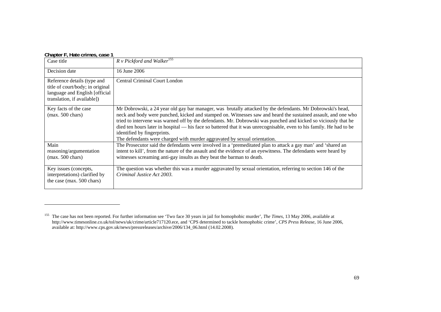|  | Chapter F, Hate crimes, case 1 |  |
|--|--------------------------------|--|
|--|--------------------------------|--|

| Case title                                                                                                                       | $R \vee Pickford$ and Walker <sup>155</sup>                                                                                                                                                                                                                                                                                                                                                                                                                                                                                                                                       |
|----------------------------------------------------------------------------------------------------------------------------------|-----------------------------------------------------------------------------------------------------------------------------------------------------------------------------------------------------------------------------------------------------------------------------------------------------------------------------------------------------------------------------------------------------------------------------------------------------------------------------------------------------------------------------------------------------------------------------------|
| Decision date                                                                                                                    | 16 June 2006                                                                                                                                                                                                                                                                                                                                                                                                                                                                                                                                                                      |
| Reference details (type and<br>title of court/body; in original<br>language and English [official<br>translation, if available]) | <b>Central Criminal Court London</b>                                                                                                                                                                                                                                                                                                                                                                                                                                                                                                                                              |
| Key facts of the case<br>$(max. 500 \text{ chars})$                                                                              | Mr Dobrowski, a 24 year old gay bar manager, was brutally attacked by the defendants. Mr Dobrowski's head,<br>neck and body were punched, kicked and stamped on. Witnesses saw and heard the sustained assault, and one who<br>tried to intervene was warned off by the defendants. Mr. Dobrowski was punched and kicked so viciously that he<br>died ten hours later in hospital — his face so battered that it was unrecognisable, even to his family. He had to be<br>identified by fingerprints.<br>The defendants were charged with murder aggravated by sexual orientation. |
| Main<br>reasoning/argumentation<br>$(max. 500 \text{ chars})$                                                                    | The Prosecutor said the defendants were involved in a 'premeditated plan to attack a gay man' and 'shared an<br>intent to kill', from the nature of the assault and the evidence of an eyewitness. The defendants were heard by<br>witnesses screaming anti-gay insults as they beat the barman to death.                                                                                                                                                                                                                                                                         |
| Key issues (concepts,<br>interpretations) clarified by<br>the case (max. 500 chars)                                              | The question was whether this was a murder aggravated by sexual orientation, referring to section 146 of the<br>Criminal Justice Act 2003.                                                                                                                                                                                                                                                                                                                                                                                                                                        |

<sup>&</sup>lt;sup>155</sup> The case has not been reported. For further information see 'Two face 30 years in jail for homophobic murder', *The Times*, 13 May 2006, available at http://www.timesonline.co.uk/tol/news/uk/crime/article717120.ece, and 'CPS determined to tackle homophobic crime', *CPS Press Release*, 16 June 2006, available at: http://www.cps.gov.uk/news/pressreleases/archive/2006/134\_06.html (14.02.2008).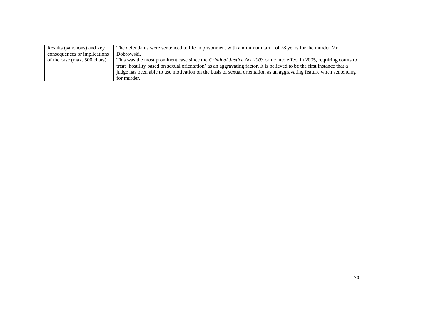| Results (sanctions) and key  | The defendants were sentenced to life imprisonment with a minimum tariff of 28 years for the murder Mr                    |
|------------------------------|---------------------------------------------------------------------------------------------------------------------------|
| consequences or implications | Dobrowski.                                                                                                                |
| of the case (max. 500 chars) | This was the most prominent case since the <i>Criminal Justice Act 2003</i> came into effect in 2005, requiring courts to |
|                              | treat 'hostility based on sexual orientation' as an aggravating factor. It is believed to be the first instance that a    |
|                              | judge has been able to use motivation on the basis of sexual orientation as an aggravating feature when sentencing        |
|                              | for murder.                                                                                                               |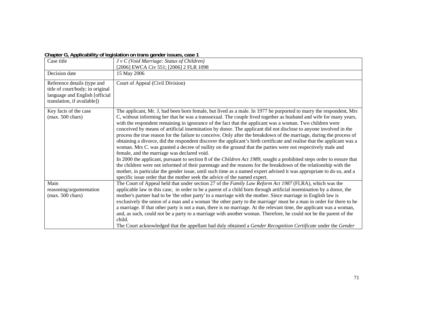#### **Chapter G, Applicability of legislation on trans gender issues, case 1**

| Case title                                                                                                                       | J v C (Void Marriage: Status of Children)                                                                                                                                                                                                                                                                                                                                                                                                                                                                                                                                                                                                                                                                                                                                                                                                                                                                                                                                                                                                                                                                                                                                                                                                                                                                                                  |
|----------------------------------------------------------------------------------------------------------------------------------|--------------------------------------------------------------------------------------------------------------------------------------------------------------------------------------------------------------------------------------------------------------------------------------------------------------------------------------------------------------------------------------------------------------------------------------------------------------------------------------------------------------------------------------------------------------------------------------------------------------------------------------------------------------------------------------------------------------------------------------------------------------------------------------------------------------------------------------------------------------------------------------------------------------------------------------------------------------------------------------------------------------------------------------------------------------------------------------------------------------------------------------------------------------------------------------------------------------------------------------------------------------------------------------------------------------------------------------------|
|                                                                                                                                  | [2006] EWCA Civ 551; [2006] 2 FLR 1098                                                                                                                                                                                                                                                                                                                                                                                                                                                                                                                                                                                                                                                                                                                                                                                                                                                                                                                                                                                                                                                                                                                                                                                                                                                                                                     |
| Decision date                                                                                                                    | 15 May 2006                                                                                                                                                                                                                                                                                                                                                                                                                                                                                                                                                                                                                                                                                                                                                                                                                                                                                                                                                                                                                                                                                                                                                                                                                                                                                                                                |
| Reference details (type and<br>title of court/body; in original<br>language and English [official<br>translation, if available]) | Court of Appeal (Civil Division)                                                                                                                                                                                                                                                                                                                                                                                                                                                                                                                                                                                                                                                                                                                                                                                                                                                                                                                                                                                                                                                                                                                                                                                                                                                                                                           |
| Key facts of the case<br>$(max. 500 \text{ chars})$                                                                              | The applicant, Mr. J, had been born female, but lived as a male. In 1977 he purported to marry the respondent, Mrs<br>C, without informing her that he was a transsexual. The couple lived together as husband and wife for many years,<br>with the respondent remaining in ignorance of the fact that the applicant was a woman. Two children were<br>conceived by means of artificial insemination by donor. The applicant did not disclose to anyone involved in the<br>process the true reason for the failure to conceive. Only after the breakdown of the marriage, during the process of<br>obtaining a divorce, did the respondent discover the applicant's birth certificate and realise that the applicant was a<br>woman. Mrs C. was granted a decree of nullity on the ground that the parties were not respectively male and<br>female, and the marriage was declared void.<br>In 2000 the applicant, pursuant to section 8 of the Children Act 1989, sought a prohibited steps order to ensure that<br>the children were not informed of their parentage and the reasons for the breakdown of the relationship with the<br>mother, in particular the gender issue, until such time as a named expert advised it was appropriate to do so, and a<br>specific issue order that the mother seek the advice of the named expert. |
| Main<br>reasoning/argumentation<br>$(max. 500 \text{ chars})$                                                                    | The Court of Appeal held that under section 27 of the Family Law Reform Act 1987 (FLRA), which was the<br>applicable law in this case, in order to be a parent of a child born through artificial insemination by a donor, the<br>mother's partner had to be 'the other party' to a marriage with the mother. Since marriage in English law is<br>exclusively the union of a man and a woman 'the other party to the marriage' must be a man in order for there to be<br>a marriage. If that other party is not a man, there is no marriage. At the relevant time, the applicant was a woman,<br>and, as such, could not be a party to a marriage with another woman. Therefore, he could not be the parent of the<br>child.<br>The Court acknowledged that the appellant had duly obtained a Gender Recognition Certificate under the Gender                                                                                                                                                                                                                                                                                                                                                                                                                                                                                              |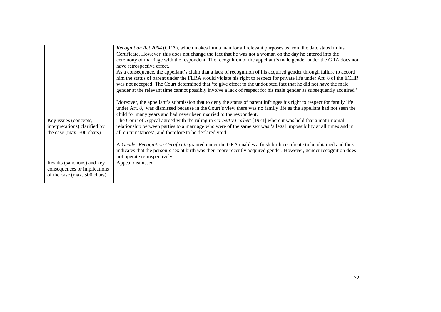|                               | Recognition Act 2004 (GRA), which makes him a man for all relevant purposes as from the date stated in his<br>Certificate. However, this does not change the fact that he was not a woman on the day he entered into the<br>ceremony of marriage with the respondent. The recognition of the appellant's male gender under the GRA does not<br>have retrospective effect.<br>As a consequence, the appellant's claim that a lack of recognition of his acquired gender through failure to accord<br>him the status of parent under the FLRA would violate his right to respect for private life under Art. 8 of the ECHR<br>was not accepted. The Court determined that 'to give effect to the undoubted fact that he did not have the male<br>gender at the relevant time cannot possibly involve a lack of respect for his male gender as subsequently acquired.'<br>Moreover, the appellant's submission that to deny the status of parent infringes his right to respect for family life<br>under Art. 8, was dismissed because in the Court's view there was no family life as the appellant had not seen the<br>child for many years and had never been married to the respondent. |
|-------------------------------|------------------------------------------------------------------------------------------------------------------------------------------------------------------------------------------------------------------------------------------------------------------------------------------------------------------------------------------------------------------------------------------------------------------------------------------------------------------------------------------------------------------------------------------------------------------------------------------------------------------------------------------------------------------------------------------------------------------------------------------------------------------------------------------------------------------------------------------------------------------------------------------------------------------------------------------------------------------------------------------------------------------------------------------------------------------------------------------------------------------------------------------------------------------------------------------|
| Key issues (concepts,         | The Court of Appeal agreed with the ruling in Corbett v Corbett [1971] where it was held that a matrimonial                                                                                                                                                                                                                                                                                                                                                                                                                                                                                                                                                                                                                                                                                                                                                                                                                                                                                                                                                                                                                                                                              |
| interpretations) clarified by | relationship between parties to a marriage who were of the same sex was 'a legal impossibility at all times and in                                                                                                                                                                                                                                                                                                                                                                                                                                                                                                                                                                                                                                                                                                                                                                                                                                                                                                                                                                                                                                                                       |
| the case (max. 500 chars)     | all circumstances', and therefore to be declared void.                                                                                                                                                                                                                                                                                                                                                                                                                                                                                                                                                                                                                                                                                                                                                                                                                                                                                                                                                                                                                                                                                                                                   |
|                               |                                                                                                                                                                                                                                                                                                                                                                                                                                                                                                                                                                                                                                                                                                                                                                                                                                                                                                                                                                                                                                                                                                                                                                                          |
|                               | A Gender Recognition Certificate granted under the GRA enables a fresh birth certificate to be obtained and thus                                                                                                                                                                                                                                                                                                                                                                                                                                                                                                                                                                                                                                                                                                                                                                                                                                                                                                                                                                                                                                                                         |
|                               | indicates that the person's sex at birth was their more recently acquired gender. However, gender recognition does                                                                                                                                                                                                                                                                                                                                                                                                                                                                                                                                                                                                                                                                                                                                                                                                                                                                                                                                                                                                                                                                       |
|                               | not operate retrospectively.                                                                                                                                                                                                                                                                                                                                                                                                                                                                                                                                                                                                                                                                                                                                                                                                                                                                                                                                                                                                                                                                                                                                                             |
| Results (sanctions) and key   | Appeal dismissed.                                                                                                                                                                                                                                                                                                                                                                                                                                                                                                                                                                                                                                                                                                                                                                                                                                                                                                                                                                                                                                                                                                                                                                        |
| consequences or implications  |                                                                                                                                                                                                                                                                                                                                                                                                                                                                                                                                                                                                                                                                                                                                                                                                                                                                                                                                                                                                                                                                                                                                                                                          |
| of the case (max. 500 chars)  |                                                                                                                                                                                                                                                                                                                                                                                                                                                                                                                                                                                                                                                                                                                                                                                                                                                                                                                                                                                                                                                                                                                                                                                          |
|                               |                                                                                                                                                                                                                                                                                                                                                                                                                                                                                                                                                                                                                                                                                                                                                                                                                                                                                                                                                                                                                                                                                                                                                                                          |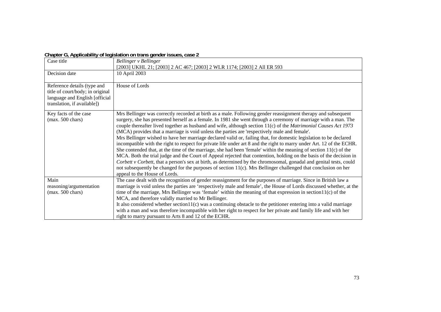**Chapter G, Applicability of legislation on trans gender issues, case 2** 

| Case title                                                                                                                       | Bellinger v Bellinger<br>[2003] UKHL 21; [2003] 2 AC 467; [2003] 2 WLR 1174; [2003] 2 All ER 593                                                                                                                                                                                                                                                                                                                                                                                                                                                                                                                                                                                                                                                                                                                                                                                                                                                                                                                                                                                                                                                                                                                                     |
|----------------------------------------------------------------------------------------------------------------------------------|--------------------------------------------------------------------------------------------------------------------------------------------------------------------------------------------------------------------------------------------------------------------------------------------------------------------------------------------------------------------------------------------------------------------------------------------------------------------------------------------------------------------------------------------------------------------------------------------------------------------------------------------------------------------------------------------------------------------------------------------------------------------------------------------------------------------------------------------------------------------------------------------------------------------------------------------------------------------------------------------------------------------------------------------------------------------------------------------------------------------------------------------------------------------------------------------------------------------------------------|
| Decision date                                                                                                                    | 10 April 2003                                                                                                                                                                                                                                                                                                                                                                                                                                                                                                                                                                                                                                                                                                                                                                                                                                                                                                                                                                                                                                                                                                                                                                                                                        |
| Reference details (type and<br>title of court/body; in original<br>language and English [official<br>translation, if available]) | House of Lords                                                                                                                                                                                                                                                                                                                                                                                                                                                                                                                                                                                                                                                                                                                                                                                                                                                                                                                                                                                                                                                                                                                                                                                                                       |
| Key facts of the case<br>$(max. 500 \text{ chars})$                                                                              | Mrs Bellinger was correctly recorded at birth as a male. Following gender reassignment therapy and subsequent<br>surgery, she has presented herself as a female. In 1981 she went through a ceremony of marriage with a man. The<br>couple thereafter lived together as husband and wife, although section $11(c)$ of the <i>Matrimonial Causes Act 1973</i><br>(MCA) provides that a marriage is void unless the parties are 'respectively male and female'.<br>Mrs Bellinger wished to have her marriage declared valid or, failing that, for domestic legislation to be declared<br>incompatible with the right to respect for private life under art 8 and the right to marry under Art. 12 of the ECHR.<br>She contended that, at the time of the marriage, she had been 'female' within the meaning of section $11(c)$ of the<br>MCA. Both the trial judge and the Court of Appeal rejected that contention, holding on the basis of the decision in<br>Corbett v Corbett, that a person's sex at birth, as determined by the chromosomal, gonadal and genital tests, could<br>not subsequently be changed for the purposes of section 11(c). Mrs Bellinger challenged that conclusion on her<br>appeal to the House of Lords. |
| Main<br>reasoning/argumentation<br>$(max. 500 \text{ chars})$                                                                    | The case dealt with the recognition of gender reassignment for the purposes of marriage. Since in British law a<br>marriage is void unless the parties are 'respectively male and female', the House of Lords discussed whether, at the<br>time of the marriage, Mrs Bellinger was 'female' within the meaning of that expression in section $11(c)$ of the<br>MCA, and therefore validly married to Mr Bellinger.<br>It also considered whether section $11(c)$ was a continuing obstacle to the petitioner entering into a valid marriage<br>with a man and was therefore incompatible with her right to respect for her private and family life and with her<br>right to marry pursuant to Arts 8 and 12 of the ECHR.                                                                                                                                                                                                                                                                                                                                                                                                                                                                                                             |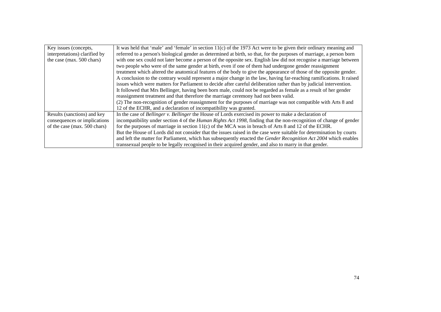| Key issues (concepts,         | It was held that 'male' and 'female' in section $11(c)$ of the 1973 Act were to be given their ordinary meaning and        |  |  |
|-------------------------------|----------------------------------------------------------------------------------------------------------------------------|--|--|
| interpretations) clarified by | referred to a person's biological gender as determined at birth, so that, for the purposes of marriage, a person born      |  |  |
| the case (max. 500 chars)     | with one sex could not later become a person of the opposite sex. English law did not recognise a marriage between         |  |  |
|                               | two people who were of the same gender at birth, even if one of them had undergone gender reassignment                     |  |  |
|                               | treatment which altered the anatomical features of the body to give the appearance of those of the opposite gender.        |  |  |
|                               | A conclusion to the contrary would represent a major change in the law, having far-reaching ramifications. It raised       |  |  |
|                               | issues which were matters for Parliament to decide after careful deliberation rather than by judicial intervention.        |  |  |
|                               | It followed that Mrs Bellinger, having been born male, could not be regarded as female as a result of her gender           |  |  |
|                               | reassignment treatment and that therefore the marriage ceremony had not been valid.                                        |  |  |
|                               | (2) The non-recognition of gender reassignment for the purposes of marriage was not compatible with Arts 8 and             |  |  |
|                               | 12 of the ECHR, and a declaration of incompatibility was granted.                                                          |  |  |
| Results (sanctions) and key   | In the case of Bellinger v. Bellinger the House of Lords exercised its power to make a declaration of                      |  |  |
| consequences or implications  | incompatibility under section 4 of the <i>Human Rights Act 1998</i> , finding that the non-recognition of change of gender |  |  |
| of the case (max. 500 chars)  | for the purposes of marriage in section $11(c)$ of the MCA was in breach of Arts 8 and 12 of the ECHR.                     |  |  |
|                               | But the House of Lords did not consider that the issues raised in the case were suitable for determination by courts       |  |  |
|                               | and left the matter for Parliament, which has subsequently enacted the Gender Recognition Act 2004 which enables           |  |  |
|                               | transsexual people to be legally recognised in their acquired gender, and also to marry in that gender.                    |  |  |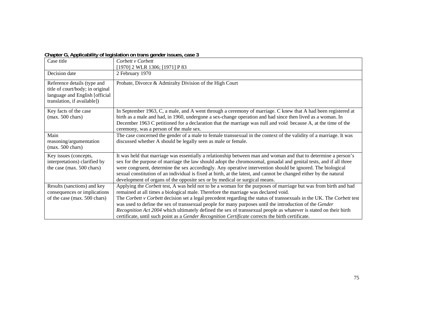# **Chapter G, Applicability of legislation on trans gender issues, case 3**

| Case title                                                                                                                       | Corbett v Corbett<br>[1970] 2 WLR 1306; [1971] P 83                                                                                                                                                                                                                                                                                                                                                                                                                                                                                                                                                                                                                |
|----------------------------------------------------------------------------------------------------------------------------------|--------------------------------------------------------------------------------------------------------------------------------------------------------------------------------------------------------------------------------------------------------------------------------------------------------------------------------------------------------------------------------------------------------------------------------------------------------------------------------------------------------------------------------------------------------------------------------------------------------------------------------------------------------------------|
| Decision date                                                                                                                    | 2 February 1970                                                                                                                                                                                                                                                                                                                                                                                                                                                                                                                                                                                                                                                    |
| Reference details (type and<br>title of court/body; in original<br>language and English [official<br>translation, if available]) | Probate, Divorce & Admiralty Division of the High Court                                                                                                                                                                                                                                                                                                                                                                                                                                                                                                                                                                                                            |
| Key facts of the case<br>$(max. 500 \text{ chars})$                                                                              | In September 1963, C, a male, and A went through a ceremony of marriage. C knew that A had been registered at<br>birth as a male and had, in 1960, undergone a sex-change operation and had since then lived as a woman. In<br>December 1963 C petitioned for a declaration that the marriage was null and void because A, at the time of the<br>ceremony, was a person of the male sex.                                                                                                                                                                                                                                                                           |
| Main<br>reasoning/argumentation<br>(max. 500 chars)                                                                              | The case concerned the gender of a male to female transsexual in the context of the validity of a marriage. It was<br>discussed whether A should be legally seen as male or female.                                                                                                                                                                                                                                                                                                                                                                                                                                                                                |
| Key issues (concepts,<br>interpretations) clarified by<br>the case (max. 500 chars)                                              | It was held that marriage was essentially a relationship between man and woman and that to determine a person's<br>sex for the purpose of marriage the law should adopt the chromosomal, gonadal and genital tests, and if all three<br>were congruent, determine the sex accordingly. Any operative intervention should be ignored. The biological<br>sexual constitution of an individual is fixed at birth, at the latest, and cannot be changed either by the natural<br>development of organs of the opposite sex or by medical or surgical means.                                                                                                            |
| Results (sanctions) and key<br>consequences or implications<br>of the case (max. 500 chars)                                      | Applying the Corbett test, A was held not to be a woman for the purposes of marriage but was from birth and had<br>remained at all times a biological male. Therefore the marriage was declared void.<br>The Corbett v Corbett decision set a legal precedent regarding the status of transsexuals in the UK. The Corbett test<br>was used to define the sex of transsexual people for many purposes until the introduction of the Gender<br>Recognition Act 2004 which ultimately defined the sex of transsexual people as whatever is stated on their birth<br>certificate, until such point as a Gender Recognition Certificate corrects the birth certificate. |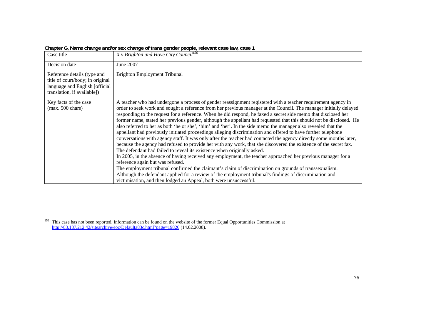| Case title                                                                                                                        | $\frac{1}{2}$<br>X v Brighton and Hove City Council <sup>156</sup>                                                                                                                                                                                                                                                                                                                                                                                                                                                                                                                                                                                                                                                                                                                                                                                                                                                                                                                                                                                                                                                                                                                                                                                                                                                                                                                                                                                                                |
|-----------------------------------------------------------------------------------------------------------------------------------|-----------------------------------------------------------------------------------------------------------------------------------------------------------------------------------------------------------------------------------------------------------------------------------------------------------------------------------------------------------------------------------------------------------------------------------------------------------------------------------------------------------------------------------------------------------------------------------------------------------------------------------------------------------------------------------------------------------------------------------------------------------------------------------------------------------------------------------------------------------------------------------------------------------------------------------------------------------------------------------------------------------------------------------------------------------------------------------------------------------------------------------------------------------------------------------------------------------------------------------------------------------------------------------------------------------------------------------------------------------------------------------------------------------------------------------------------------------------------------------|
| Decision date                                                                                                                     | June 2007                                                                                                                                                                                                                                                                                                                                                                                                                                                                                                                                                                                                                                                                                                                                                                                                                                                                                                                                                                                                                                                                                                                                                                                                                                                                                                                                                                                                                                                                         |
| Reference details (type and<br>title of court/body; in original<br>language and English [official]<br>translation, if available]) | <b>Brighton Employment Tribunal</b>                                                                                                                                                                                                                                                                                                                                                                                                                                                                                                                                                                                                                                                                                                                                                                                                                                                                                                                                                                                                                                                                                                                                                                                                                                                                                                                                                                                                                                               |
| Key facts of the case<br>$(max. 500 \text{ chars})$                                                                               | A teacher who had undergone a process of gender reassignment registered with a teacher requirement agency in<br>order to seek work and sought a reference from her previous manager at the Council. The manager initially delayed<br>responding to the request for a reference. When he did respond, he faxed a secret side memo that disclosed her<br>former name, stated her previous gender, although the appellant had requested that this should not be disclosed. He<br>also referred to her as both 'he or she', 'him' and 'her'. In the side memo the manager also revealed that the<br>appellant had previously initiated proceedings alleging discrimination and offered to have further telephone<br>conversations with agency staff. It was only after the teacher had contacted the agency directly some months later,<br>because the agency had refused to provide her with any work, that she discovered the existence of the secret fax.<br>The defendant had failed to reveal its existence when originally asked.<br>In 2005, in the absence of having received any employment, the teacher approached her previous manager for a<br>reference again but was refused.<br>The employment tribunal confirmed the claimant's claim of discrimination on grounds of transsexualism.<br>Although the defendant applied for a review of the employment tribunal's findings of discrimination and<br>victimisation, and then lodged an Appeal, both were unsuccessful. |

**Chapter G, Name change and/or sex change of trans gender people, relevant case law, case 1** 

<sup>&</sup>lt;sup>156</sup> This case has not been reported. Information can be found on the website of the former Equal Opportunities Commission at http://83.137.212.42/sitearchive/eoc/Defaulta83c.html?page=19826 (14.02.2008).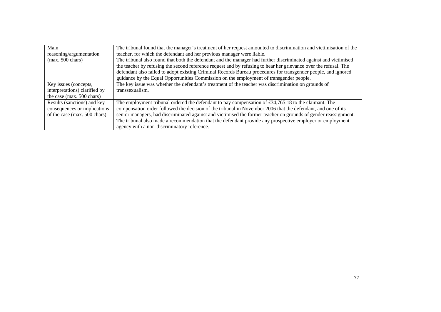| Main                          | The tribunal found that the manager's treatment of her request amounted to discrimination and victimisation of the |  |  |
|-------------------------------|--------------------------------------------------------------------------------------------------------------------|--|--|
| reasoning/argumentation       | teacher, for which the defendant and her previous manager were liable.                                             |  |  |
| $(max. 500 \text{ chars})$    | The tribunal also found that both the defendant and the manager had further discriminated against and victimised   |  |  |
|                               | the teacher by refusing the second reference request and by refusing to hear her grievance over the refusal. The   |  |  |
|                               | defendant also failed to adopt existing Criminal Records Bureau procedures for transgender people, and ignored     |  |  |
|                               | guidance by the Equal Opportunities Commission on the employment of transgender people.                            |  |  |
| Key issues (concepts,         | The key issue was whether the defendant's treatment of the teacher was discrimination on grounds of                |  |  |
| interpretations) clarified by | transsexualism.                                                                                                    |  |  |
| the case (max. 500 chars)     |                                                                                                                    |  |  |
| Results (sanctions) and key   | The employment tribunal ordered the defendant to pay compensation of £34,765.18 to the claimant. The               |  |  |
| consequences or implications  | compensation order followed the decision of the tribunal in November 2006 that the defendant, and one of its       |  |  |
| of the case (max. 500 chars)  | senior managers, had discriminated against and victimised the former teacher on grounds of gender reassignment.    |  |  |
|                               | The tribunal also made a recommendation that the defendant provide any prospective employer or employment          |  |  |
|                               | agency with a non-discriminatory reference.                                                                        |  |  |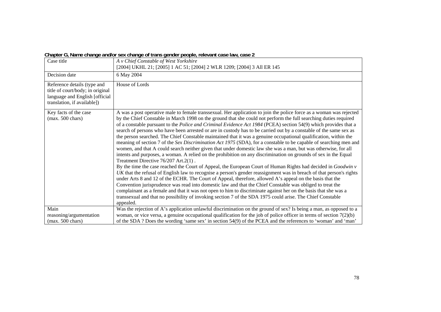|  | Chapter G, Name change and/or sex change of trans gender people, relevant case law, case 2 |  |  |
|--|--------------------------------------------------------------------------------------------|--|--|
|  |                                                                                            |  |  |

| Case title                                                                                                                       | A v Chief Constable of West Yorkshire<br>[2004] UKHL 21; [2005] 1 AC 51; [2004] 2 WLR 1209; [2004] 3 All ER 145                                                                                                                                                                                                                                                                                                                                                                                                                                                                                                                                                                                                                                                                                                                                                                                                                                                                                                                                                                                                                                                                                                                                                                                                                                                                                                                                                                                                                                                                                                                                                                                                         |  |
|----------------------------------------------------------------------------------------------------------------------------------|-------------------------------------------------------------------------------------------------------------------------------------------------------------------------------------------------------------------------------------------------------------------------------------------------------------------------------------------------------------------------------------------------------------------------------------------------------------------------------------------------------------------------------------------------------------------------------------------------------------------------------------------------------------------------------------------------------------------------------------------------------------------------------------------------------------------------------------------------------------------------------------------------------------------------------------------------------------------------------------------------------------------------------------------------------------------------------------------------------------------------------------------------------------------------------------------------------------------------------------------------------------------------------------------------------------------------------------------------------------------------------------------------------------------------------------------------------------------------------------------------------------------------------------------------------------------------------------------------------------------------------------------------------------------------------------------------------------------------|--|
| Decision date                                                                                                                    | 6 May 2004                                                                                                                                                                                                                                                                                                                                                                                                                                                                                                                                                                                                                                                                                                                                                                                                                                                                                                                                                                                                                                                                                                                                                                                                                                                                                                                                                                                                                                                                                                                                                                                                                                                                                                              |  |
| Reference details (type and<br>title of court/body; in original<br>language and English [official<br>translation, if available]) | House of Lords                                                                                                                                                                                                                                                                                                                                                                                                                                                                                                                                                                                                                                                                                                                                                                                                                                                                                                                                                                                                                                                                                                                                                                                                                                                                                                                                                                                                                                                                                                                                                                                                                                                                                                          |  |
| Key facts of the case<br>$(max. 500 \text{ chars})$                                                                              | A was a post operative male to female transsexual. Her application to join the police force as a woman was rejected<br>by the Chief Constable in March 1998 on the ground that she could not perform the full searching duties required<br>of a constable pursuant to the Police and Criminal Evidence Act 1984 (PCEA) section 54(9) which provides that a<br>search of persons who have been arrested or are in custody has to be carried out by a constable of the same sex as<br>the person searched. The Chief Constable maintained that it was a genuine occupational qualification, within the<br>meaning of section 7 of the Sex Discrimination Act 1975 (SDA), for a constable to be capable of searching men and<br>women, and that A could search neither given that under domestic law she was a man, but was otherwise, for all<br>intents and purposes, a woman. A relied on the prohibition on any discrimination on grounds of sex in the Equal<br>Treatment Directive 76/207 Art.2(1).<br>By the time the case reached the Court of Appeal, the European Court of Human Rights had decided in Goodwin v<br>UK that the refusal of English law to recognise a person's gender reassignment was in breach of that person's rights<br>under Arts 8 and 12 of the ECHR. The Court of Appeal, therefore, allowed A's appeal on the basis that the<br>Convention jurisprudence was read into domestic law and that the Chief Constable was obliged to treat the<br>complainant as a female and that it was not open to him to discriminate against her on the basis that she was a<br>transsexual and that no possibility of invoking section 7 of the SDA 1975 could arise. The Chief Constable<br>appealed. |  |
| Main                                                                                                                             | Was the rejection of A's application unlawful discrimination on the ground of sex? Is being a man, as opposed to a                                                                                                                                                                                                                                                                                                                                                                                                                                                                                                                                                                                                                                                                                                                                                                                                                                                                                                                                                                                                                                                                                                                                                                                                                                                                                                                                                                                                                                                                                                                                                                                                      |  |
| reasoning/argumentation                                                                                                          | woman, or vice versa, a genuine occupational qualification for the job of police officer in terms of section $7(2)(b)$                                                                                                                                                                                                                                                                                                                                                                                                                                                                                                                                                                                                                                                                                                                                                                                                                                                                                                                                                                                                                                                                                                                                                                                                                                                                                                                                                                                                                                                                                                                                                                                                  |  |
| $(max. 500 \text{ chars})$                                                                                                       | of the SDA? Does the wording 'same sex' in section 54(9) of the PCEA and the references to 'woman' and 'man'                                                                                                                                                                                                                                                                                                                                                                                                                                                                                                                                                                                                                                                                                                                                                                                                                                                                                                                                                                                                                                                                                                                                                                                                                                                                                                                                                                                                                                                                                                                                                                                                            |  |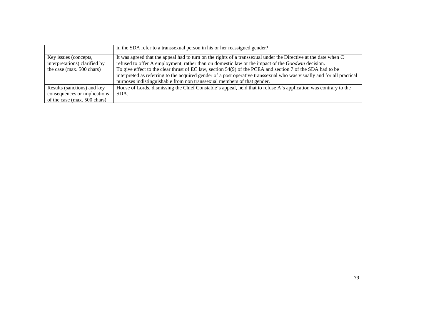|                                                                                     | in the SDA refer to a transsexual person in his or her reassigned gender?                                                                                                                                                                                                                                                                                                                                                                                                                                                                      |
|-------------------------------------------------------------------------------------|------------------------------------------------------------------------------------------------------------------------------------------------------------------------------------------------------------------------------------------------------------------------------------------------------------------------------------------------------------------------------------------------------------------------------------------------------------------------------------------------------------------------------------------------|
| Key issues (concepts,<br>interpretations) clarified by<br>the case (max. 500 chars) | It was agreed that the appeal had to turn on the rights of a transsexual under the Directive at the date when C<br>refused to offer A employment, rather than on domestic law or the impact of the <i>Goodwin</i> decision.<br>To give effect to the clear thrust of EC law, section 54(9) of the PCEA and section 7 of the SDA had to be<br>interpreted as referring to the acquired gender of a post operative transsexual who was visually and for all practical<br>purposes indistinguishable from non transsexual members of that gender. |
| Results (sanctions) and key                                                         | House of Lords, dismissing the Chief Constable's appeal, held that to refuse A's application was contrary to the                                                                                                                                                                                                                                                                                                                                                                                                                               |
| consequences or implications<br>of the case (max. 500 chars)                        | SDA.                                                                                                                                                                                                                                                                                                                                                                                                                                                                                                                                           |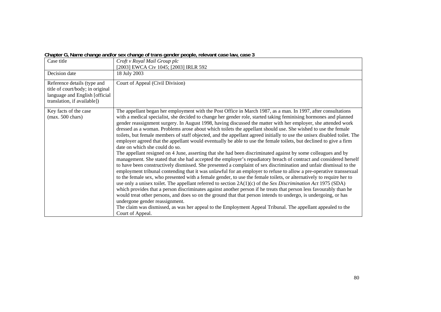| Case title                                                                                                                       | Croft v Royal Mail Group plc<br>[2003] EWCA Civ 1045; [2003] IRLR 592                                                                                                                                                                                                                                                                                                                                                                                                                                                                                                                                                                                                                                                                                                                                                                                                                                                                                                                                                                                                                                                                                                                                                                                                                                                                                                                                                                                                                                                                                                                                                                                                                                                                                                                                                                                                                              |
|----------------------------------------------------------------------------------------------------------------------------------|----------------------------------------------------------------------------------------------------------------------------------------------------------------------------------------------------------------------------------------------------------------------------------------------------------------------------------------------------------------------------------------------------------------------------------------------------------------------------------------------------------------------------------------------------------------------------------------------------------------------------------------------------------------------------------------------------------------------------------------------------------------------------------------------------------------------------------------------------------------------------------------------------------------------------------------------------------------------------------------------------------------------------------------------------------------------------------------------------------------------------------------------------------------------------------------------------------------------------------------------------------------------------------------------------------------------------------------------------------------------------------------------------------------------------------------------------------------------------------------------------------------------------------------------------------------------------------------------------------------------------------------------------------------------------------------------------------------------------------------------------------------------------------------------------------------------------------------------------------------------------------------------------|
| Decision date                                                                                                                    | 18 July 2003                                                                                                                                                                                                                                                                                                                                                                                                                                                                                                                                                                                                                                                                                                                                                                                                                                                                                                                                                                                                                                                                                                                                                                                                                                                                                                                                                                                                                                                                                                                                                                                                                                                                                                                                                                                                                                                                                       |
| Reference details (type and<br>title of court/body; in original<br>language and English [official<br>translation, if available]) | Court of Appeal (Civil Division)                                                                                                                                                                                                                                                                                                                                                                                                                                                                                                                                                                                                                                                                                                                                                                                                                                                                                                                                                                                                                                                                                                                                                                                                                                                                                                                                                                                                                                                                                                                                                                                                                                                                                                                                                                                                                                                                   |
| Key facts of the case<br>$(max. 500 \text{ chars})$                                                                              | The appellant began her employment with the Post Office in March 1987, as a man. In 1997, after consultations<br>with a medical specialist, she decided to change her gender role, started taking feminising hormones and planned<br>gender reassignment surgery. In August 1998, having discussed the matter with her employer, she attended work<br>dressed as a woman. Problems arose about which toilets the appellant should use. She wished to use the female<br>toilets, but female members of staff objected, and the appellant agreed initially to use the unisex disabled toilet. The<br>employer agreed that the appellant would eventually be able to use the female toilets, but declined to give a firm<br>date on which she could do so.<br>The appellant resigned on 4 June, asserting that she had been discriminated against by some colleagues and by<br>management. She stated that she had accepted the employer's repudiatory breach of contract and considered herself<br>to have been constructively dismissed. She presented a complaint of sex discrimination and unfair dismissal to the<br>employment tribunal contending that it was unlawful for an employer to refuse to allow a pre-operative transsexual<br>to the female sex, who presented with a female gender, to use the female toilets, or alternatively to require her to<br>use only a unisex toilet. The appellant referred to section $2A(1)(c)$ of the Sex Discrimination Act 1975 (SDA)<br>which provides that a person discriminates against another person if he treats that person less favourably than he<br>would treat other persons, and does so on the ground that that person intends to undergo, is undergoing, or has<br>undergone gender reassignment.<br>The claim was dismissed, as was her appeal to the Employment Appeal Tribunal. The appellant appealed to the<br>Court of Appeal. |

### **Chapter G, Name change and/or sex change of trans gender people, relevant case law, case 3**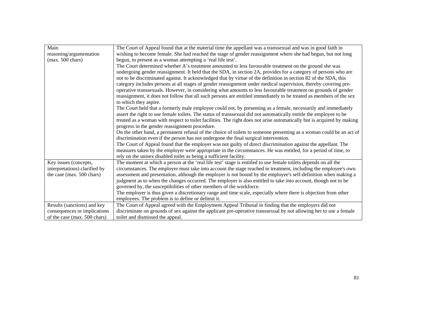| Main                          | The Court of Appeal found that at the material time the appellant was a transsexual and was in good faith in           |
|-------------------------------|------------------------------------------------------------------------------------------------------------------------|
| reasoning/argumentation       | wishing to become female. She had reached the stage of gender reassignment where she had begun, but not long           |
| $(max. 500 \text{ chars})$    | begun, to present as a woman attempting a 'real life test'.                                                            |
|                               | The Court determined whether A's treatment amounted to less favourable treatment on the ground she was                 |
|                               | undergoing gender reassignment. It held that the SDA, in section 2A, provides for a category of persons who are        |
|                               | not to be discriminated against. It acknowledged that by virtue of the definition in section 82 of the SDA, this       |
|                               | category includes persons at all stages of gender reassignment under medical supervision, thereby covering pre-        |
|                               | operative transsexuals. However, in considering what amounts to less favourable treatment on grounds of gender         |
|                               | reassignment, it does not follow that all such persons are entitled immediately to be treated as members of the sex    |
|                               | to which they aspire.                                                                                                  |
|                               | The Court held that a formerly male employee could not, by presenting as a female, necessarily and immediately         |
|                               | assert the right to use female toilets. The status of transsexual did not automatically entitle the employee to be     |
|                               | treated as a woman with respect to toilet facilities. The right does not arise automatically but is acquired by making |
|                               | progress in the gender reassignment procedure.                                                                         |
|                               | On the other hand, a permanent refusal of the choice of toilets to someone presenting as a woman could be an act of    |
|                               | discrimination even if the person has not undergone the final surgical intervention.                                   |
|                               | The Court of Appeal found that the employer was not guilty of direct discrimination against the appellant. The         |
|                               | measures taken by the employer were appropriate in the circumstances. He was entitled, for a period of time, to        |
|                               | rely on the unisex disabled toilet as being a sufficient facility.                                                     |
| Key issues (concepts,         | The moment at which a person at the 'real life test' stage is entitled to use female toilets depends on all the        |
| interpretations) clarified by | circumstances. The employer must take into account the stage reached in treatment, including the employee's own        |
| the case (max. 500 chars)     | assessment and presentation, although the employer is not bound by the employee's self-definition when making a        |
|                               | judgment as to when the changes occurred. The employer is also entitled to take into account, though not to be         |
|                               | governed by, the susceptibilities of other members of the workforce.                                                   |
|                               | The employer is thus given a discretionary range and time scale, especially where there is objection from other        |
|                               | employees. The problem is to define or delimit it.                                                                     |
| Results (sanctions) and key   | The Court of Appeal agreed with the Employment Appeal Tribunal in finding that the employers did not                   |
| consequences or implications  | discriminate on grounds of sex against the applicant pre-operative transsexual by not allowing her to use a female     |
| of the case (max. 500 chars)  | toilet and dismissed the appeal.                                                                                       |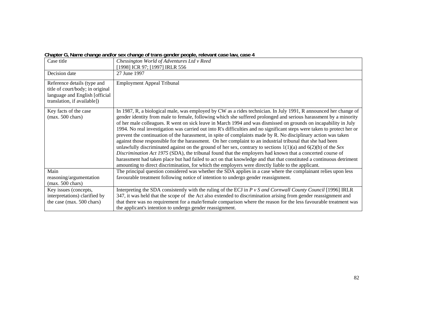|  |  |  | Chapter G, Name change and/or sex change of trans gender people, relevant case law, case 4 |
|--|--|--|--------------------------------------------------------------------------------------------|
|  |  |  |                                                                                            |

|                               | Case title                                                                                                                        | Chessington World of Adventures Ltd v Reed                                                                                                                                                                                                                                                                                                                                                                                                                                                                                                                                                                                                                                                                                                                                                                                                                                                                                                                                                                                                                                                                                                                                         |
|-------------------------------|-----------------------------------------------------------------------------------------------------------------------------------|------------------------------------------------------------------------------------------------------------------------------------------------------------------------------------------------------------------------------------------------------------------------------------------------------------------------------------------------------------------------------------------------------------------------------------------------------------------------------------------------------------------------------------------------------------------------------------------------------------------------------------------------------------------------------------------------------------------------------------------------------------------------------------------------------------------------------------------------------------------------------------------------------------------------------------------------------------------------------------------------------------------------------------------------------------------------------------------------------------------------------------------------------------------------------------|
|                               |                                                                                                                                   | [1998] ICR 97; [1997] IRLR 556                                                                                                                                                                                                                                                                                                                                                                                                                                                                                                                                                                                                                                                                                                                                                                                                                                                                                                                                                                                                                                                                                                                                                     |
|                               | Decision date                                                                                                                     | 27 June 1997                                                                                                                                                                                                                                                                                                                                                                                                                                                                                                                                                                                                                                                                                                                                                                                                                                                                                                                                                                                                                                                                                                                                                                       |
|                               | Reference details (type and<br>title of court/body; in original<br>language and English [official]<br>translation, if available]) | <b>Employment Appeal Tribunal</b>                                                                                                                                                                                                                                                                                                                                                                                                                                                                                                                                                                                                                                                                                                                                                                                                                                                                                                                                                                                                                                                                                                                                                  |
|                               | Key facts of the case<br>$(max. 500 \text{ chars})$                                                                               | In 1987, R, a biological male, was employed by CW as a rides technician. In July 1991, R announced her change of<br>gender identity from male to female, following which she suffered prolonged and serious harassment by a minority<br>of her male colleagues. R went on sick leave in March 1994 and was dismissed on grounds on incapability in July<br>1994. No real investigation was carried out into R's difficulties and no significant steps were taken to protect her or<br>prevent the continuation of the harassment, in spite of complaints made by R. No disciplinary action was taken<br>against those responsible for the harassment. On her complaint to an industrial tribunal that she had been<br>unlawfully discriminated against on the ground of her sex, contrary to sections $1(1)(a)$ and $6(2)(b)$ of the Sex<br>Discrimination Act 1975 (SDA), the tribunal found that the employers had known that a concerted course of<br>harassment had taken place but had failed to act on that knowledge and that that constituted a continuous detriment<br>amounting to direct discrimination, for which the employers were directly liable to the applicant. |
|                               | Main<br>reasoning/argumentation                                                                                                   | The principal question considered was whether the SDA applies in a case where the complainant relies upon less<br>favourable treatment following notice of intention to undergo gender reassignment.                                                                                                                                                                                                                                                                                                                                                                                                                                                                                                                                                                                                                                                                                                                                                                                                                                                                                                                                                                               |
| $(max. 500 \text{ chars})$    |                                                                                                                                   |                                                                                                                                                                                                                                                                                                                                                                                                                                                                                                                                                                                                                                                                                                                                                                                                                                                                                                                                                                                                                                                                                                                                                                                    |
|                               | Key issues (concepts,                                                                                                             | Interpreting the SDA consistently with the ruling of the ECJ in $P$ v $S$ and Cornwall County Council [1996] IRLR                                                                                                                                                                                                                                                                                                                                                                                                                                                                                                                                                                                                                                                                                                                                                                                                                                                                                                                                                                                                                                                                  |
| interpretations) clarified by |                                                                                                                                   | 347, it was held that the scope of the Act also extended to discrimination arising from gender reassignment and                                                                                                                                                                                                                                                                                                                                                                                                                                                                                                                                                                                                                                                                                                                                                                                                                                                                                                                                                                                                                                                                    |
|                               | the case (max. 500 chars)                                                                                                         | that there was no requirement for a male/female comparison where the reason for the less favourable treatment was                                                                                                                                                                                                                                                                                                                                                                                                                                                                                                                                                                                                                                                                                                                                                                                                                                                                                                                                                                                                                                                                  |
|                               |                                                                                                                                   | the applicant's intention to undergo gender reassignment.                                                                                                                                                                                                                                                                                                                                                                                                                                                                                                                                                                                                                                                                                                                                                                                                                                                                                                                                                                                                                                                                                                                          |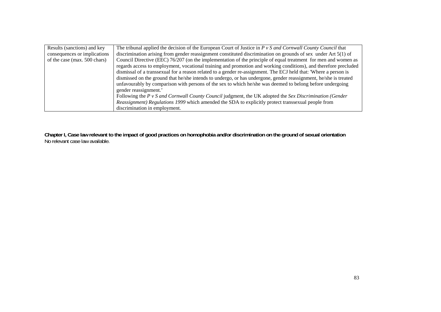| Results (sanctions) and key  | The tribunal applied the decision of the European Court of Justice in $P \nu S$ and Cornwall County Council that |
|------------------------------|------------------------------------------------------------------------------------------------------------------|
| consequences or implications | discrimination arising from gender reassignment constituted discrimination on grounds of sex under Art 5(1) of   |
| of the case (max. 500 chars) | Council Directive (EEC) 76/207 (on the implementation of the principle of equal treatment for men and women as   |
|                              | regards access to employment, vocational training and promotion and working conditions), and therefore precluded |
|                              | dismissal of a transsexual for a reason related to a gender re-assignment. The ECJ held that: 'Where a person is |
|                              | dismissed on the ground that he/she intends to undergo, or has undergone, gender reassignment, he/she is treated |
|                              | unfavourably by comparison with persons of the sex to which he/she was deemed to belong before undergoing        |
|                              | gender reassignment.'                                                                                            |
|                              | Following the $P \nu S$ and Cornwall County Council judgment, the UK adopted the Sex Discrimination (Gender      |
|                              | Reassignment) Regulations 1999 which amended the SDA to explicitly protect transsexual people from               |
|                              | discrimination in employment.                                                                                    |

**Chapter I, Case law relevant to the impact of good practices on homophobia and/or discrimination on the ground of sexual orientation**  No relevant case law available.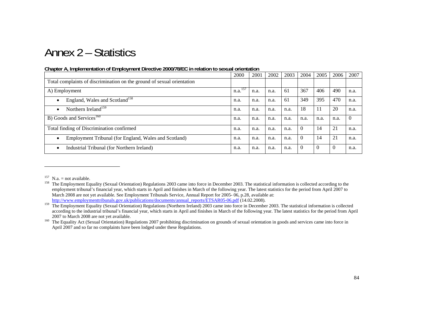# Annex 2 – Statistics

|                                                                        | 2000                | 2001 | 2002 | 2003 | 2004           | 2005         | 2006         | 2007     |
|------------------------------------------------------------------------|---------------------|------|------|------|----------------|--------------|--------------|----------|
| Total complaints of discrimination on the ground of sexual orientation |                     |      |      |      |                |              |              |          |
| A) Employment                                                          | n.a. <sup>157</sup> | n.a. | n.a. | 61   | 367            | 406          | 490          | n.a.     |
| England, Wales and Scotland <sup>158</sup><br>$\bullet$                | n.a.                | n.a. | n.a. | 61   | 349            | 395          | 470          | n.a.     |
| Northern Ireland <sup>159</sup><br>$\bullet$                           | n.a.                | n.a. | n.a. | n.a. | 18             | 11           | 20           | n.a.     |
| B) Goods and Services <sup>160</sup>                                   | n.a.                | n.a. | n.a. | n.a. | n.a.           | n.a.         | n.a.         | $\Omega$ |
| Total finding of Discrimination confirmed                              | n.a.                | n.a. | n.a. | n.a. | $\Omega$       | 14           | 21           | n.a.     |
| Employment Tribunal (for England, Wales and Scotland)<br>$\bullet$     | n.a.                | n.a. | n.a. | n.a. | $\Omega$       | 14           | 21           | n.a.     |
| Industrial Tribunal (for Northern Ireland)<br>$\bullet$                | n.a.                | n.a. | n.a. | n.a. | $\overline{0}$ | $\mathbf{0}$ | $\mathbf{0}$ | n.a.     |

#### **Chapter A, Implementation of Employment Directive 2000/78/EC in relation to sexual orientation**

<sup>&</sup>lt;sup>157</sup> N.a. = not available.

<sup>&</sup>lt;sup>158</sup> The Employment Equality (Sexual Orientation) Regulations 2003 came into force in December 2003. The statistical information is collected according to the employment tribunal's financial year, which starts in April and finishes in March of the following year. The latest statistics for the period from April 2007 to March 2008 are not yet available. See Employment Tribunals Service, Annual Report for 2005- 06, p.28, available at: http://www.employmenttribunals.gov.uk/publications/documents/annual\_reports/ETSAR05-06.pdf (14.02.2008).

<sup>&</sup>lt;sup>159</sup> The Employment Equality (Sexual Orientation) Regulations (Northern Ireland) 2003 came into force in December 2003. The statistical information is collected according to the industrial tribunal's financial year, which starts in April and finishes in March of the following year. The latest statistics for the period from April 2007 to March 2008 are not yet available.

<sup>&</sup>lt;sup>160</sup> The Equality Act (Sexual Orientation) Regulations 2007 prohibiting discrimination on grounds of sexual orientation in goods and services came into force in April 2007 and so far no complaints have been lodged under these Regulations.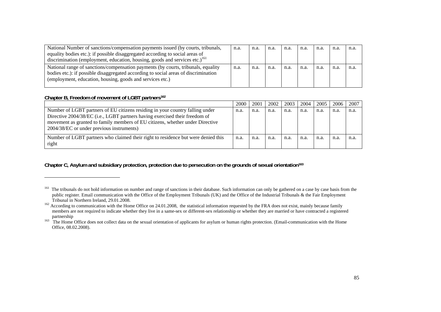| National Number of sanctions/compensation payments issued (by courts, tribunals,<br>equality bodies etc.): if possible disaggregated according to social areas of<br>discrimination (employment, education, housing, goods and services etc.) <sup>161</sup> | n.a. | n.a. | n.a. | n.a. | n.a. | n.a. | n.a. | n.a |
|--------------------------------------------------------------------------------------------------------------------------------------------------------------------------------------------------------------------------------------------------------------|------|------|------|------|------|------|------|-----|
| National range of sanctions/compensation payments (by courts, tribunals, equality<br>bodies etc.): if possible disaggregated according to social areas of discrimination<br>(employment, education, housing, goods and services etc.)                        | n.a. | n.a. | n.a. | n.a. | n.a. | n.a. | n.a  | n.a |

#### **Chapter B, Freedom of movement of LGBT partners162**

|                                                                                                                                                                                                                                                                                            | 2000 | 2001 | 2002 | 2003 | 2004 | 2005 | 2006 | 2007 |
|--------------------------------------------------------------------------------------------------------------------------------------------------------------------------------------------------------------------------------------------------------------------------------------------|------|------|------|------|------|------|------|------|
| Number of LGBT partners of EU citizens residing in your country falling under<br>Directive 2004/38/EC (i.e., LGBT partners having exercised their freedom of<br>movement as granted to family members of EU citizens, whether under Directive<br>2004/38/EC or under previous instruments) | n.a. | n.a. | n.a. | n.a. | n.a. | n.a. | n.a. | n.a. |
| Number of LGBT partners who claimed their right to residence but were denied this<br>right                                                                                                                                                                                                 | n.a. | n.a. | n.a. | n.a. | n.a. | n.a. | n.a. | n.a. |

**Chapter C, Asylum and subsidiary protection, protection due to persecution on the grounds of sexual orientation163**

<sup>&</sup>lt;sup>161</sup> The tribunals do not hold information on number and range of sanctions in their database. Such information can only be gathered on a case by case basis from the public register. Email communication with the Office of the Employment Tribunals (UK) and the Office of the Industrial Tribunals & the Fair Employment Tribunal in Northern Ireland, 29.01.2008.

<sup>&</sup>lt;sup>162</sup> According to communication with the Home Office on 24.01.2008, the statistical information requested by the FRA does not exist, mainly because family members are not required to indicate whether they live in a same-sex or different-sex relationship or whether they are married or have contracted a registered partnership

<sup>&</sup>lt;sup>163</sup> The Home Office does not collect data on the sexual orientation of applicants for asylum or human rights protection. (Email-communication with the Home Office, 08.02.2008).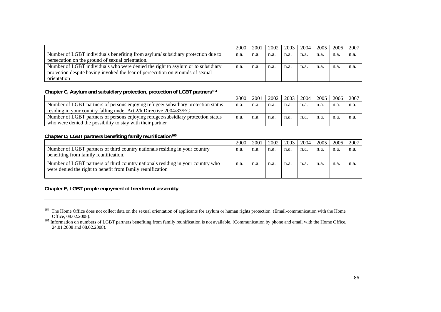|                                                                                 | 2000 | 2001 | 2002 | 2003 | 2004 | 2005 | 2006 | 2007 |
|---------------------------------------------------------------------------------|------|------|------|------|------|------|------|------|
| Number of LGBT individuals benefiting from asylum/subsidiary protection due to  | n.a. | n.a. | n.a. | n.a. | n.a. | n.a. | n.a. | n.a. |
| persecution on the ground of sexual orientation.                                |      |      |      |      |      |      |      |      |
| Number of LGBT individuals who were denied the right to asylum or to subsidiary | n.a. | n.a. | n.a. | n.a. | n.a. | n.a. | n.a. | n.a. |
| protection despite having invoked the fear of persecution on grounds of sexual  |      |      |      |      |      |      |      |      |
| orientation                                                                     |      |      |      |      |      |      |      |      |

#### **Chapter C, Asylum and subsidiary protection, protection of LGBT partners164**

|                                                                                   | 2000 | 2001 | 2002 | 2003 | 2004 | 2005 | 2006 | 2007 |
|-----------------------------------------------------------------------------------|------|------|------|------|------|------|------|------|
| Number of LGBT partners of persons enjoying refugee/ subsidiary protection status | n.a. | n.a. | n.a. | n.a. | n.a. | n.a. | n.a. | n.a. |
| residing in your country falling under Art 2/h Directive 2004/83/EC               |      |      |      |      |      |      |      |      |
| Number of LGBT partners of persons enjoying refugee/subsidiary protection status  | n.a. | n.a. | n.a. | n.a. | n.a. | n.a. | n.a  | n.a. |
| who were denied the possibility to stay with their partner                        |      |      |      |      |      |      |      |      |

#### Chapter D, LGBT partners benefiting family reunification<sup>165</sup>

|                                                                                                                                               | 2000 | 2001 | 2002 | 2003 | 2004 | 2005 | 2006 | 2007 |
|-----------------------------------------------------------------------------------------------------------------------------------------------|------|------|------|------|------|------|------|------|
| Number of LGBT partners of third country nationals residing in your country<br>benefiting from family reunification.                          | n.a. | n.a. | n.a. | n.a. | n.a. | n.a. | n.a. | n.a. |
| Number of LGBT partners of third country nationals residing in your country who<br>were denied the right to benefit from family reunification | n.a. | n.a. | n.a. | n.a. | n.a. | n.a. | n.a  | n.a. |

## **Chapter E, LGBT people enjoyment of freedom of assembly**

<sup>&</sup>lt;sup>164</sup> The Home Office does not collect data on the sexual orientation of applicants for asylum or human rights protection. (Email-communication with the Home Office, 08.02.2008).

<sup>&</sup>lt;sup>165</sup> Information on numbers of LGBT partners benefiting from family reunification is not available. (Communication by phone and email with the Home Office, 24.01.2008 and 08.02.2008).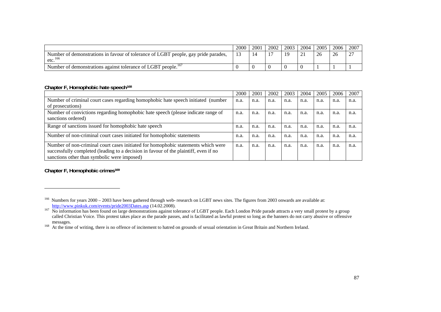|                                                                                                           | 2000           | 2001 | 2002 | 2003 | 2004             | 2005 | 2006 | 2007             |
|-----------------------------------------------------------------------------------------------------------|----------------|------|------|------|------------------|------|------|------------------|
| Number of demonstrations in favour of tolerance of LGBT people, gay pride parades,<br>etc. <sup>166</sup> | 1 <sub>2</sub> |      |      |      | $\bigcap$ 1<br>. | 26   | 26   | $\sim$<br>$\sim$ |
| Number of demonstrations against tolerance of LGBT people. <sup>167</sup>                                 |                |      |      |      |                  |      |      |                  |

#### **Chapter F, Homophobic hate speech168**

|                                                                                      | 2000 | 2001 | 2002 | 2003 | 2004 | 2005 | 2006 | 2007 |
|--------------------------------------------------------------------------------------|------|------|------|------|------|------|------|------|
| Number of criminal court cases regarding homophobic hate speech initiated (number    | n.a. | n.a. | n.a. | n.a. | n.a. | n.a. | n.a. | n.a. |
| of prosecutions)                                                                     |      |      |      |      |      |      |      |      |
| Number of convictions regarding homophobic hate speech (please indicate range of     | n.a. | n.a. | n.a. | n.a. | n.a. | n.a. | n.a. | n.a. |
| sanctions ordered)                                                                   |      |      |      |      |      |      |      |      |
| Range of sanctions issued for homophobic hate speech                                 | n.a. | n.a. | n.a. | n.a. | n.a. | n.a. | n.a. | n.a. |
| Number of non-criminal court cases initiated for homophobic statements               | n.a. | n.a. | n.a. | n.a. | n.a. | n.a  | n.a. | n.a. |
| Number of non-criminal court cases initiated for homophobic statements which were    | n.a. | n.a. | n.a. | n.a. | n.a. | n.a. | n.a. | n.a. |
| successfully completed (leading to a decision in favour of the plaintiff, even if no |      |      |      |      |      |      |      |      |
| sanctions other than symbolic were imposed)                                          |      |      |      |      |      |      |      |      |

**Chapter F, Homophobic crimes169**

 $166$  Numbers for years  $2000 - 2003$  have been gathered through web-research on LGBT news sites. The figures from 2003 onwards are available at: http://www.pinkuk.com/events/pride2003Dates.asp (14.02.2008).

<sup>&</sup>lt;sup>167</sup> No information has been found on large demonstrations against tolerance of LGBT people. Each London Pride parade attracts a very small protest by a group called Christian Voice. This protest takes place as the parade passes, and is facilitated as lawful protest so long as the banners do not carry abusive or offensive messages.

<sup>&</sup>lt;sup>168</sup> At the time of writing, there is no offence of incitement to hatred on grounds of sexual orientation in Great Britain and Northern Ireland.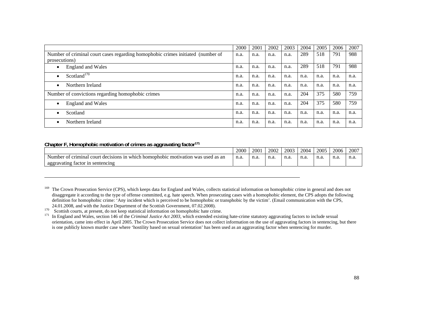|                                                                                                  | 2000 | 2001 | 2002 | 2003 | 2004 | 2005 | 2006 | 2007 |
|--------------------------------------------------------------------------------------------------|------|------|------|------|------|------|------|------|
| Number of criminal court cases regarding homophobic crimes initiated (number of<br>prosecutions) | n.a. | n.a. | n.a. | n.a. | 289  | 518  | 791  | 988  |
| <b>England and Wales</b><br>$\bullet$                                                            | n.a. | n.a. | n.a. | n.a. | 289  | 518  | 791  | 988  |
| Scotland <sup>170</sup><br>$\bullet$                                                             | n.a. | n.a. | n.a. | n.a. | n.a. | n.a. | n.a. | n.a. |
| Northern Ireland<br>$\bullet$                                                                    | n.a. | n.a. | n.a. | n.a. | n.a. | n.a. | n.a. | n.a. |
| Number of convictions regarding homophobic crimes                                                | n.a. | n.a. | n.a. | n.a. | 204  | 375  | 580  | 759  |
| <b>England and Wales</b><br>$\bullet$                                                            | n.a. | n.a. | n.a. | n.a. | 204  | 375  | 580  | 759  |
| Scotland<br>$\bullet$                                                                            | n.a. | n.a. | n.a. | n.a. | n.a. | n.a. | n.a. | n.a. |
| Northern Ireland<br>$\bullet$                                                                    | n.a. | n.a. | n.a. | n.a. | n.a. | n.a. | n.a. | n.a. |

#### **Chapter F, Homophobic motivation of crimes as aggravating factor171**

|                                                                                                              | 2000 | 200  | 2002  | 2003 | 2004 | 2005 | 2006 | 2007 |
|--------------------------------------------------------------------------------------------------------------|------|------|-------|------|------|------|------|------|
| which<br>. cour<br>1n<br>motivation<br>criminal<br>homophobic<br>used as an<br>was<br>decisions<br>Number of | n.a. | n.a. | 11.a. | n.a. | n.a  | n.a. | n.a. | n.a. |
| aggravating factor in<br>sentencing                                                                          |      |      |       |      |      |      |      |      |

<sup>169</sup> The Crown Prosecution Service (CPS), which keeps data for England and Wales, collects statistical information on homophobic crime in general and does not disaggregate it according to the type of offense committed, e.g. hate speech. When prosecuting cases with a homophobic element, the CPS adopts the following definition for homophobic crime: 'Any incident which is perceived to be homophobic or transphobic by the victim'. (Email communication with the CPS, 24.01.2008, and with the Justice Department of the Scottish Government, 07.02.2008).

 $170$  Secotish courts, at present, do not keep statistical information on homophobic hate crime.

171 In England and Wales, section 146 of the *Criminal Justice Act 2003,* which extended existing hate-crime statutory aggravating factors to include sexual orientation, came into effect in April 2005. The Crown Prosecution Service does not collect information on the use of aggravating factors in sentencing, but there is one publicly known murder case where 'hostility based on sexual orientation' has been used as an aggravating factor when sentencing for murder.